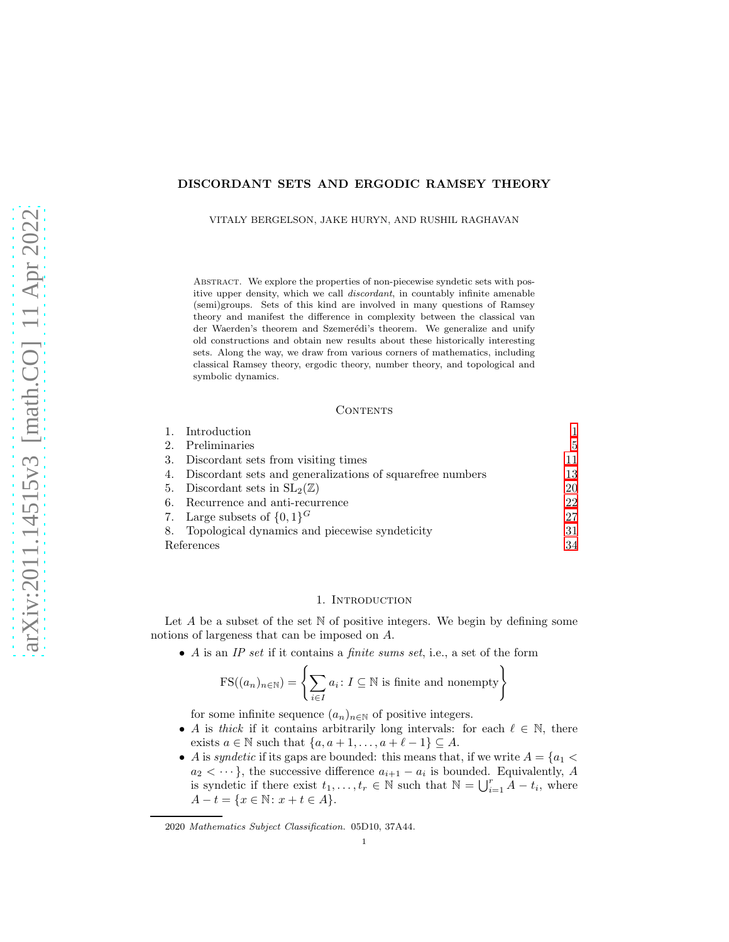## DISCORDANT SETS AND ERGODIC RAMSEY THEORY

VITALY BERGELSON, JAKE HURYN, AND RUSHIL RAGHAVAN

Abstract. We explore the properties of non-piecewise syndetic sets with positive upper density, which we call discordant, in countably infinite amenable (semi)groups. Sets of this kind are involved in many questions of Ramsey theory and manifest the difference in complexity between the classical van der Waerden's theorem and Szemerédi's theorem. We generalize and unify old constructions and obtain new results about these historically interesting sets. Along the way, we draw from various corners of mathematics, including classical Ramsey theory, ergodic theory, number theory, and topological and symbolic dynamics.

#### **CONTENTS**

|            | Introduction                                              |    |
|------------|-----------------------------------------------------------|----|
| 2.         | Preliminaries                                             | 5  |
| 3.         | Discordant sets from visiting times                       | 11 |
| 4.         | Discordant sets and generalizations of squarefree numbers | 13 |
|            | 5. Discordant sets in $SL_2(\mathbb{Z})$                  | 20 |
| 6.         | Recurrence and anti-recurrence                            | 22 |
|            | 7. Large subsets of $\{0,1\}^G$                           | 27 |
|            | 8. Topological dynamics and piecewise syndeticity         | 31 |
| References |                                                           | 34 |

### 1. INTRODUCTION

<span id="page-0-0"></span>Let  $A$  be a subset of the set  $N$  of positive integers. We begin by defining some notions of largeness that can be imposed on A.

• A is an *IP set* if it contains a *finite sums set*, i.e., a set of the form

$$
FS((a_n)_{n \in \mathbb{N}}) = \left\{ \sum_{i \in I} a_i : I \subseteq \mathbb{N} \text{ is finite and nonempty} \right\}
$$

for some infinite sequence  $(a_n)_{n\in\mathbb{N}}$  of positive integers.

- A is *thick* if it contains arbitrarily long intervals: for each  $\ell \in \mathbb{N}$ , there exists  $a \in \mathbb{N}$  such that  $\{a, a+1, \ldots, a+\ell-1\} \subseteq A$ .
- A is *syndetic* if its gaps are bounded: this means that, if we write  $A = \{a_1 < a_2\}$  $a_2 < \dots$ , the successive difference  $a_{i+1} - a_i$  is bounded. Equivalently, A is syndetic if there exist  $t_1, \ldots, t_r \in \mathbb{N}$  such that  $\mathbb{N} = \bigcup_{i=1}^r A - t_i$ , where  $A - t = \{x \in \mathbb{N} : x + t \in A\}.$

<sup>2020</sup> Mathematics Subject Classification. 05D10, 37A44.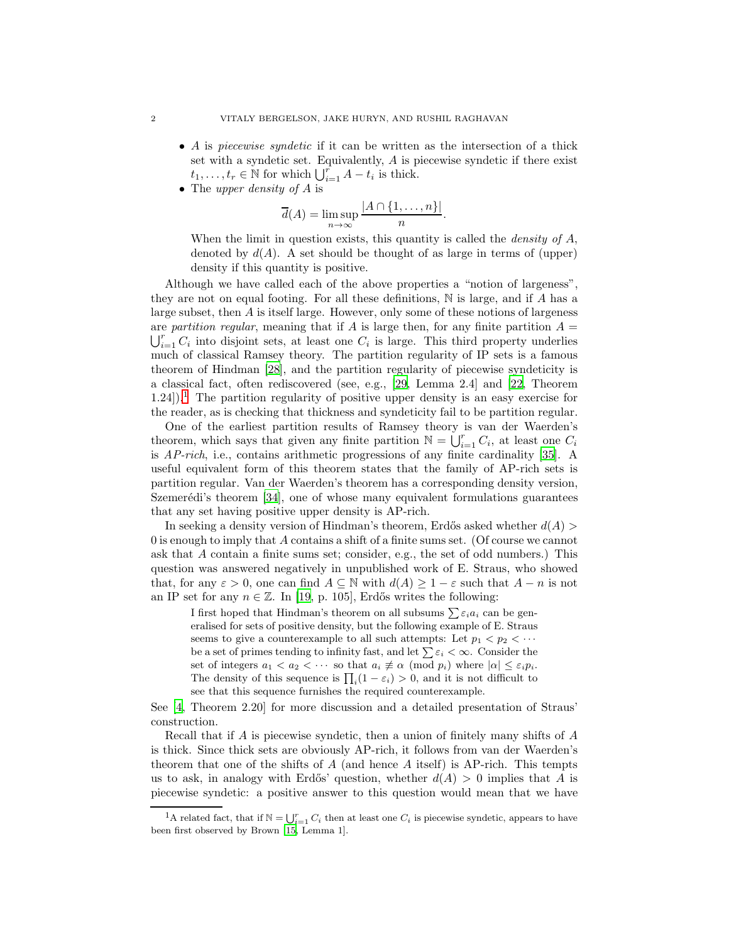- A is *piecewise syndetic* if it can be written as the intersection of a thick set with a syndetic set. Equivalently, A is piecewise syndetic if there exist  $t_1, \ldots, t_r \in \mathbb{N}$  for which  $\bigcup_{i=1}^r A - t_i$  is thick.
- The *upper density of* A is

$$
\overline{d}(A) = \limsup_{n \to \infty} \frac{|A \cap \{1, \dots, n\}|}{n}.
$$

When the limit in question exists, this quantity is called the *density of* A, denoted by  $d(A)$ . A set should be thought of as large in terms of (upper) density if this quantity is positive.

Although we have called each of the above properties a "notion of largeness", they are not on equal footing. For all these definitions,  $\mathbb N$  is large, and if A has a large subset, then A is itself large. However, only some of these notions of largeness are *partition regular*, meaning that if A is large then, for any finite partition  $A =$  $i=1 \atop i=1} C_i$  into disjoint sets, at least one  $C_i$  is large. This third property underlies much of classical Ramsey theory. The partition regularity of IP sets is a famous theorem of Hindman [\[28](#page-34-0)], and the partition regularity of piecewise syndeticity is a classical fact, often rediscovered (see, e.g., [\[29,](#page-34-1) Lemma 2.4] and [\[22](#page-34-2), Theorem  $1.24$  $1.24$ ).<sup>1</sup> The partition regularity of positive upper density is an easy exercise for the reader, as is checking that thickness and syndeticity fail to be partition regular.

One of the earliest partition results of Ramsey theory is van der Waerden's theorem, which says that given any finite partition  $\mathbb{N} = \bigcup_{i=1}^{r} C_i$ , at least one  $C_i$ is *AP-rich*, i.e., contains arithmetic progressions of any finite cardinality [\[35\]](#page-34-3). A useful equivalent form of this theorem states that the family of AP-rich sets is partition regular. Van der Waerden's theorem has a corresponding density version, Szemerédi's theorem  $[34]$ , one of whose many equivalent formulations guarantees that any set having positive upper density is AP-rich.

In seeking a density version of Hindman's theorem, Erdős asked whether  $d(A)$ 0 is enough to imply that A contains a shift of a finite sums set. (Of course we cannot ask that A contain a finite sums set; consider, e.g., the set of odd numbers.) This question was answered negatively in unpublished work of E. Straus, who showed that, for any  $\varepsilon > 0$ , one can find  $A \subseteq \mathbb{N}$  with  $d(A) \geq 1 - \varepsilon$  such that  $A - n$  is not an IP set for any  $n \in \mathbb{Z}$ . In [\[19](#page-34-5), p. 105], Erdős writes the following:

I first hoped that Hindman's theorem on all subsums  $\sum \varepsilon_i a_i$  can be generalised for sets of positive density, but the following example of E. Straus seems to give a counterexample to all such attempts: Let  $p_1 < p_2 < \cdots$ be a set of primes tending to infinity fast, and let  $\sum \varepsilon_i < \infty$ . Consider the set of integers  $a_1 < a_2 < \cdots$  so that  $a_i \not\equiv \alpha \pmod{p_i}$  where  $|\alpha| \leq \varepsilon_i p_i$ . The density of this sequence is  $\prod_i(1 - \varepsilon_i) > 0$ , and it is not difficult to see that this sequence furnishes the required counterexample.

See [\[4](#page-33-1), Theorem 2.20] for more discussion and a detailed presentation of Straus' construction.

Recall that if A is piecewise syndetic, then a union of finitely many shifts of A is thick. Since thick sets are obviously AP-rich, it follows from van der Waerden's theorem that one of the shifts of  $A$  (and hence  $A$  itself) is AP-rich. This tempts us to ask, in analogy with Erdős' question, whether  $d(A) > 0$  implies that A is piecewise syndetic: a positive answer to this question would mean that we have

<span id="page-1-0"></span><sup>&</sup>lt;sup>1</sup>A related fact, that if  $N = \bigcup_{i=1}^{r} C_i$  then at least one  $C_i$  is piecewise syndetic, appears to have been first observed by Brown [\[15,](#page-34-6) Lemma 1].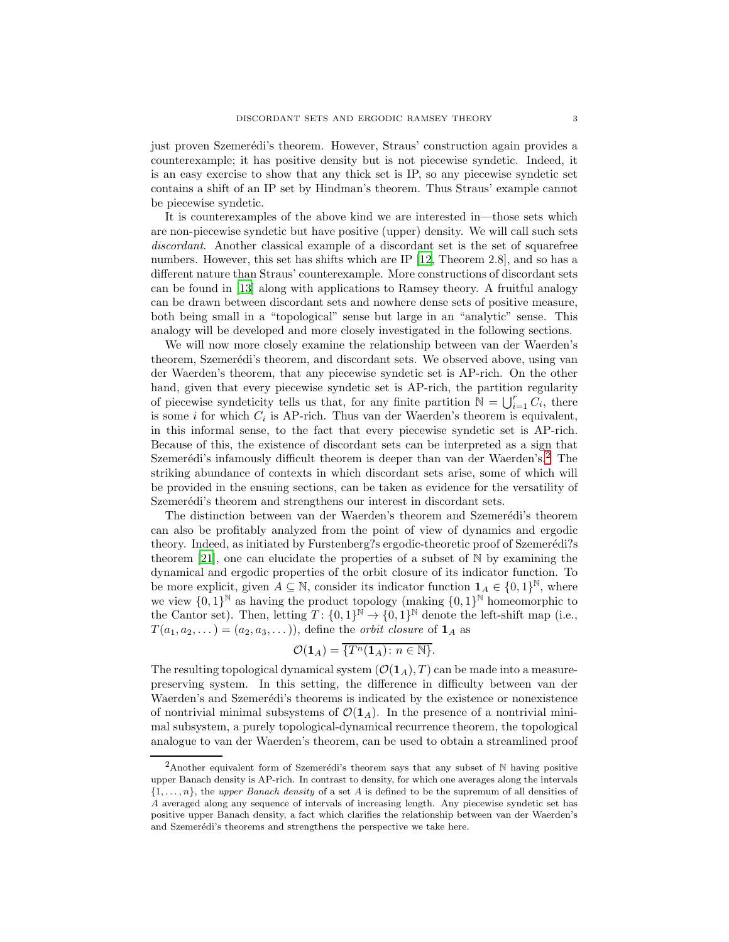just proven Szemerédi's theorem. However, Straus' construction again provides a counterexample; it has positive density but is not piecewise syndetic. Indeed, it is an easy exercise to show that any thick set is IP, so any piecewise syndetic set contains a shift of an IP set by Hindman's theorem. Thus Straus' example cannot be piecewise syndetic.

It is counterexamples of the above kind we are interested in—those sets which are non-piecewise syndetic but have positive (upper) density. We will call such sets *discordant*. Another classical example of a discordant set is the set of squarefree numbers. However, this set has shifts which are IP [\[12,](#page-34-7) Theorem 2.8], and so has a different nature than Straus' counterexample. More constructions of discordant sets can be found in [\[13](#page-34-8)] along with applications to Ramsey theory. A fruitful analogy can be drawn between discordant sets and nowhere dense sets of positive measure, both being small in a "topological" sense but large in an "analytic" sense. This analogy will be developed and more closely investigated in the following sections.

We will now more closely examine the relationship between van der Waerden's theorem, Szemerédi's theorem, and discordant sets. We observed above, using van der Waerden's theorem, that any piecewise syndetic set is AP-rich. On the other hand, given that every piecewise syndetic set is AP-rich, the partition regularity of piecewise syndeticity tells us that, for any finite partition  $\mathbb{N} = \bigcup_{i=1}^r C_i$ , there is some *i* for which  $C_i$  is AP-rich. Thus van der Waerden's theorem is equivalent, in this informal sense, to the fact that every piecewise syndetic set is AP-rich. Because of this, the existence of discordant sets can be interpreted as a sign that Szemerédi's infamously difficult theorem is deeper than van der Waerden's.<sup>[2](#page-2-0)</sup> The striking abundance of contexts in which discordant sets arise, some of which will be provided in the ensuing sections, can be taken as evidence for the versatility of Szemerédi's theorem and strengthens our interest in discordant sets.

The distinction between van der Waerden's theorem and Szemerédi's theorem can also be profitably analyzed from the point of view of dynamics and ergodic theory. Indeed, as initiated by Furstenberg?s ergodic-theoretic proof of Szemerédi?s theorem [\[21\]](#page-34-9), one can elucidate the properties of a subset of  $\mathbb N$  by examining the dynamical and ergodic properties of the orbit closure of its indicator function. To be more explicit, given  $A \subseteq \mathbb{N}$ , consider its indicator function  $\mathbf{1}_A \in \{0,1\}^{\mathbb{N}}$ , where we view  $\{0,1\}^{\mathbb{N}}$  as having the product topology (making  $\{0,1\}^{\mathbb{N}}$  homeomorphic to the Cantor set). Then, letting  $T: \{0,1\}^{\mathbb{N}} \to \{0,1\}^{\mathbb{N}}$  denote the left-shift map (i.e.,  $T(a_1, a_2, \dots) = (a_2, a_3, \dots)$ , define the *orbit closure* of  $\mathbf{1}_A$  as

$$
\mathcal{O}(\mathbf{1}_A) = \overline{\{T^n(\mathbf{1}_A): n \in \mathbb{N}\}}.
$$

The resulting topological dynamical system  $(\mathcal{O}(1_A), T)$  can be made into a measurepreserving system. In this setting, the difference in difficulty between van der Waerden's and Szemerédi's theorems is indicated by the existence or nonexistence of nontrivial minimal subsystems of  $\mathcal{O}(1_A)$ . In the presence of a nontrivial minimal subsystem, a purely topological-dynamical recurrence theorem, the topological analogue to van der Waerden's theorem, can be used to obtain a streamlined proof

<span id="page-2-0"></span><sup>&</sup>lt;sup>2</sup>Another equivalent form of Szemerédi's theorem says that any subset of  $N$  having positive upper Banach density is AP-rich. In contrast to density, for which one averages along the intervals  $\{1, \ldots, n\}$ , the upper Banach density of a set A is defined to be the supremum of all densities of A averaged along any sequence of intervals of increasing length. Any piecewise syndetic set has positive upper Banach density, a fact which clarifies the relationship between van der Waerden's and Szemerédi's theorems and strengthens the perspective we take here.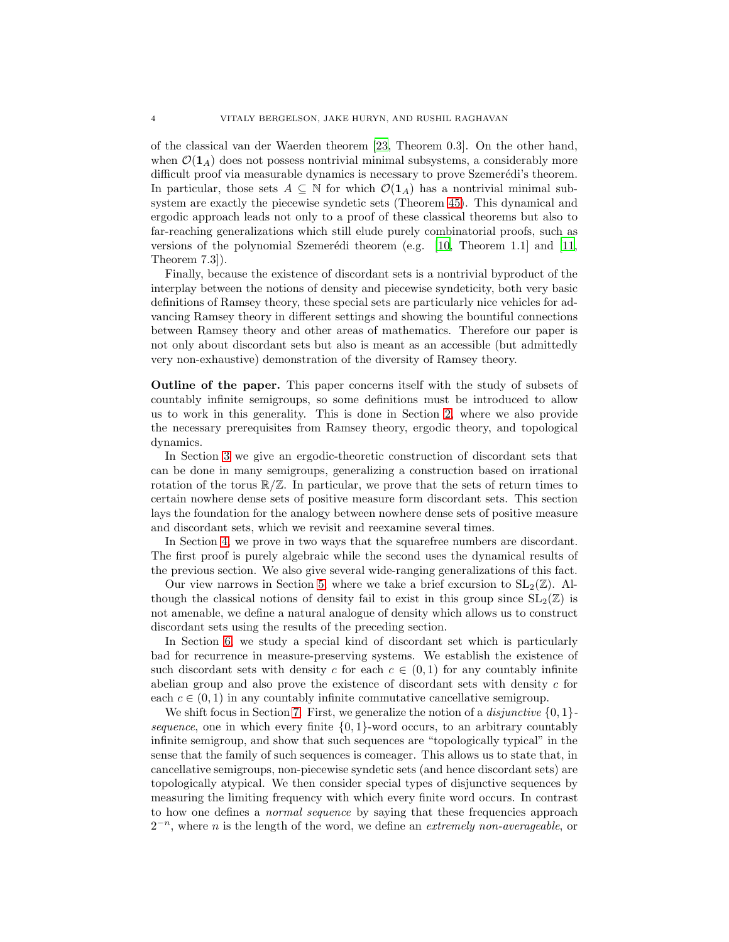of the classical van der Waerden theorem [\[23,](#page-34-10) Theorem 0.3]. On the other hand, when  $\mathcal{O}(1_A)$  does not possess nontrivial minimal subsystems, a considerably more difficult proof via measurable dynamics is necessary to prove Szemerédi's theorem. In particular, those sets  $A \subseteq \mathbb{N}$  for which  $\mathcal{O}(1_A)$  has a nontrivial minimal subsystem are exactly the piecewise syndetic sets (Theorem [45\)](#page-31-0). This dynamical and ergodic approach leads not only to a proof of these classical theorems but also to far-reaching generalizations which still elude purely combinatorial proofs, such as versions of the polynomial Szemerédi theorem (e.g.  $[10,$  Theorem 1.1] and  $[11,$ Theorem 7.3]).

Finally, because the existence of discordant sets is a nontrivial byproduct of the interplay between the notions of density and piecewise syndeticity, both very basic definitions of Ramsey theory, these special sets are particularly nice vehicles for advancing Ramsey theory in different settings and showing the bountiful connections between Ramsey theory and other areas of mathematics. Therefore our paper is not only about discordant sets but also is meant as an accessible (but admittedly very non-exhaustive) demonstration of the diversity of Ramsey theory.

Outline of the paper. This paper concerns itself with the study of subsets of countably infinite semigroups, so some definitions must be introduced to allow us to work in this generality. This is done in Section [2,](#page-4-0) where we also provide the necessary prerequisites from Ramsey theory, ergodic theory, and topological dynamics.

In Section [3](#page-10-0) we give an ergodic-theoretic construction of discordant sets that can be done in many semigroups, generalizing a construction based on irrational rotation of the torus  $\mathbb{R}/\mathbb{Z}$ . In particular, we prove that the sets of return times to certain nowhere dense sets of positive measure form discordant sets. This section lays the foundation for the analogy between nowhere dense sets of positive measure and discordant sets, which we revisit and reexamine several times.

In Section [4,](#page-12-0) we prove in two ways that the squarefree numbers are discordant. The first proof is purely algebraic while the second uses the dynamical results of the previous section. We also give several wide-ranging generalizations of this fact.

Our view narrows in Section [5,](#page-19-0) where we take a brief excursion to  $SL_2(\mathbb{Z})$ . Although the classical notions of density fail to exist in this group since  $SL_2(\mathbb{Z})$  is not amenable, we define a natural analogue of density which allows us to construct discordant sets using the results of the preceding section.

In Section [6,](#page-21-0) we study a special kind of discordant set which is particularly bad for recurrence in measure-preserving systems. We establish the existence of such discordant sets with density c for each  $c \in (0,1)$  for any countably infinite abelian group and also prove the existence of discordant sets with density c for each  $c \in (0, 1)$  in any countably infinite commutative cancellative semigroup.

We shift focus in Section [7.](#page-26-0) First, we generalize the notion of a *disjunctive* {0, 1} *sequence*, one in which every finite  $\{0, 1\}$ -word occurs, to an arbitrary countably infinite semigroup, and show that such sequences are "topologically typical" in the sense that the family of such sequences is comeager. This allows us to state that, in cancellative semigroups, non-piecewise syndetic sets (and hence discordant sets) are topologically atypical. We then consider special types of disjunctive sequences by measuring the limiting frequency with which every finite word occurs. In contrast to how one defines a *normal sequence* by saying that these frequencies approach 2<sup>-n</sup>, where *n* is the length of the word, we define an *extremely non-averageable*, or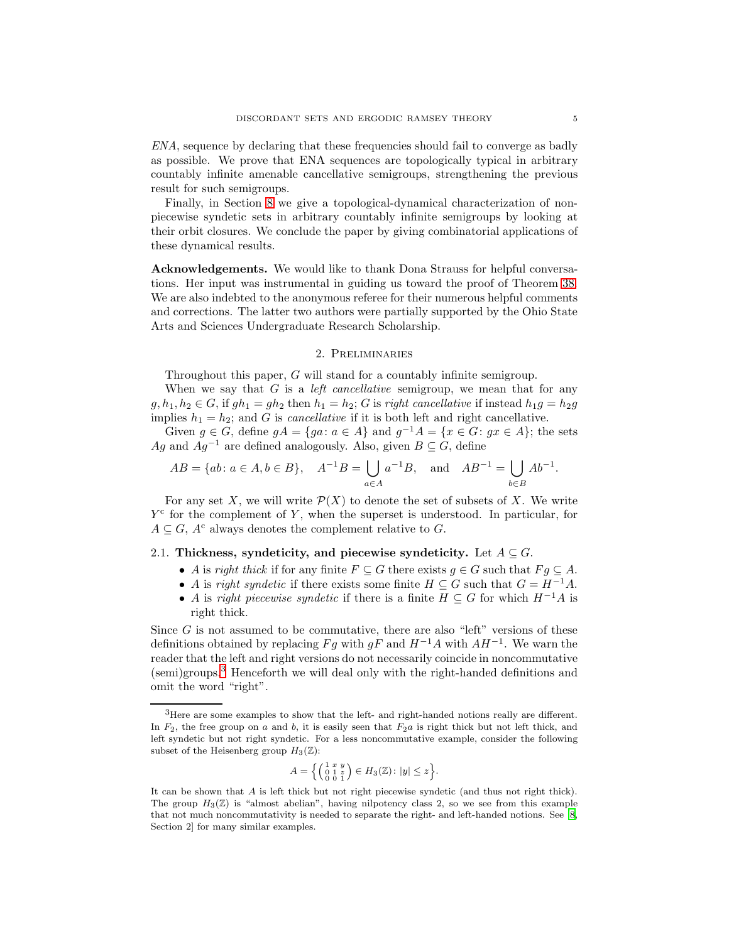*ENA*, sequence by declaring that these frequencies should fail to converge as badly as possible. We prove that ENA sequences are topologically typical in arbitrary countably infinite amenable cancellative semigroups, strengthening the previous result for such semigroups.

Finally, in Section [8](#page-30-0) we give a topological-dynamical characterization of nonpiecewise syndetic sets in arbitrary countably infinite semigroups by looking at their orbit closures. We conclude the paper by giving combinatorial applications of these dynamical results.

Acknowledgements. We would like to thank Dona Strauss for helpful conversations. Her input was instrumental in guiding us toward the proof of Theorem [38.](#page-24-0) We are also indebted to the anonymous referee for their numerous helpful comments and corrections. The latter two authors were partially supported by the Ohio State Arts and Sciences Undergraduate Research Scholarship.

#### 2. Preliminaries

<span id="page-4-0"></span>Throughout this paper, G will stand for a countably infinite semigroup.

When we say that G is a *left cancellative* semigroup, we mean that for any  $g, h_1, h_2 \in G$ , if  $gh_1 = gh_2$  then  $h_1 = h_2$ ; G is *right cancellative* if instead  $h_1g = h_2g$ implies  $h_1 = h_2$ ; and G is *cancellative* if it is both left and right cancellative.

Given  $g \in G$ , define  $gA = \{ga : a \in A\}$  and  $g^{-1}A = \{x \in G : gx \in A\}$ ; the sets Ag and  $Aq^{-1}$  are defined analogously. Also, given  $B \subseteq G$ , define

$$
AB = \{ab : a \in A, b \in B\}, \quad A^{-1}B = \bigcup_{a \in A} a^{-1}B, \text{ and } AB^{-1} = \bigcup_{b \in B} Ab^{-1}.
$$

For any set X, we will write  $\mathcal{P}(X)$  to denote the set of subsets of X. We write  $Y<sup>c</sup>$  for the complement of Y, when the superset is understood. In particular, for  $A \subseteq G$ ,  $A^c$  always denotes the complement relative to G.

### 2.1. Thickness, syndeticity, and piecewise syndeticity. Let  $A \subseteq G$ .

- A is *right thick* if for any finite  $F \subseteq G$  there exists  $g \in G$  such that  $F g \subseteq A$ .
- A is *right syndetic* if there exists some finite  $H \subseteq G$  such that  $G = H^{-1}A$ .
- A is *right piecewise syndetic* if there is a finite  $H \subseteq G$  for which  $H^{-1}A$  is right thick.

Since  $G$  is not assumed to be commutative, there are also "left" versions of these definitions obtained by replacing  $Fg$  with  $gF$  and  $H^{-1}A$  with  $AH^{-1}$ . We warn the reader that the left and right versions do not necessarily coincide in noncommutative (semi)groups.[3](#page-4-1) Henceforth we will deal only with the right-handed definitions and omit the word "right".

$$
A = \left\{ \left( \begin{smallmatrix} 1 & x & y \\ 0 & 1 & z \\ 0 & 0 & 1 \end{smallmatrix} \right) \in H_3(\mathbb{Z}) \colon |y| \le z \right\}.
$$

<span id="page-4-1"></span><sup>3</sup>Here are some examples to show that the left- and right-handed notions really are different. In  $F_2$ , the free group on a and b, it is easily seen that  $F_2a$  is right thick but not left thick, and left syndetic but not right syndetic. For a less noncommutative example, consider the following subset of the Heisenberg group  $H_3(\mathbb{Z})$ :

It can be shown that A is left thick but not right piecewise syndetic (and thus not right thick). The group  $H_3(\mathbb{Z})$  is "almost abelian", having nilpotency class 2, so we see from this example that not much noncommutativity is needed to separate the right- and left-handed notions. See [\[8,](#page-34-13) Section 2] for many similar examples.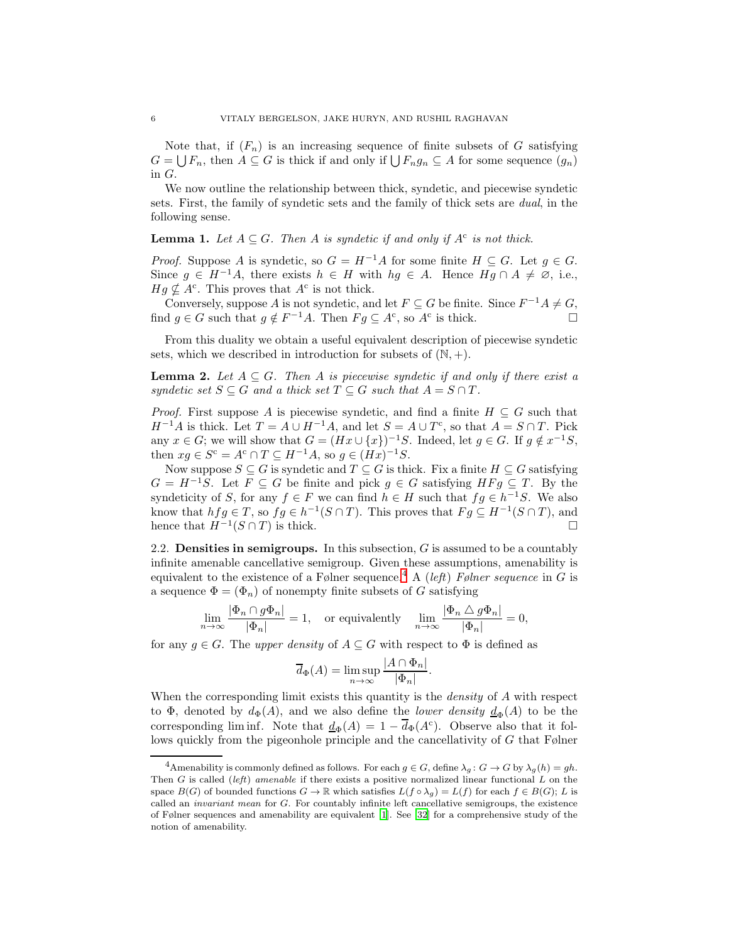Note that, if  $(F_n)$  is an increasing sequence of finite subsets of G satisfying  $G = \bigcup F_n$ , then  $A \subseteq G$  is thick if and only if  $\bigcup F_n g_n \subseteq A$  for some sequence  $(g_n)$ in G.

We now outline the relationship between thick, syndetic, and piecewise syndetic sets. First, the family of syndetic sets and the family of thick sets are *dual*, in the following sense.

# <span id="page-5-2"></span>**Lemma 1.** Let  $A \subseteq G$ . Then A is syndetic if and only if  $A^c$  is not thick.

*Proof.* Suppose A is syndetic, so  $G = H^{-1}A$  for some finite  $H \subseteq G$ . Let  $g \in G$ . Since  $g \in H^{-1}A$ , there exists  $h \in H$  with  $hg \in A$ . Hence  $Hg \cap A \neq \emptyset$ , i.e.,  $Hg \nsubseteq A^c$ . This proves that  $A^c$  is not thick.

Conversely, suppose A is not syndetic, and let  $F \subseteq G$  be finite. Since  $F^{-1}A \neq G$ , find  $g \in G$  such that  $g \notin F^{-1}A$ . Then  $Fg \subseteq A^c$ , so  $A^c$  is thick.

From this duality we obtain a useful equivalent description of piecewise syndetic sets, which we described in introduction for subsets of  $(N, +)$ .

<span id="page-5-1"></span>**Lemma 2.** Let  $A \subseteq G$ . Then A is piecewise syndetic if and only if there exist a *syndetic set*  $S \subseteq G$  *and a thick set*  $T \subseteq G$  *such that*  $A = S \cap T$ *.* 

*Proof.* First suppose A is piecewise syndetic, and find a finite  $H \subseteq G$  such that  $H^{-1}A$  is thick. Let  $T = A \cup H^{-1}A$ , and let  $S = A \cup T^{c}$ , so that  $A = S \cap T$ . Pick any  $x \in G$ ; we will show that  $G = (Hx \cup \{x\})^{-1}S$ . Indeed, let  $g \in G$ . If  $g \notin x^{-1}S$ , then  $xg \in S^c = A^c \cap T \subseteq H^{-1}A$ , so  $g \in (Hx)^{-1}S$ .

Now suppose  $S \subseteq G$  is syndetic and  $T \subseteq G$  is thick. Fix a finite  $H \subseteq G$  satisfying  $G = H^{-1}S$ . Let  $F \subseteq G$  be finite and pick  $g \in G$  satisfying  $HFg \subseteq T$ . By the syndeticity of S, for any  $f \in F$  we can find  $h \in H$  such that  $fg \in h^{-1}S$ . We also know that  $hfg \in T$ , so  $fg \in h^{-1}(S \cap T)$ . This proves that  $Fg \subseteq H^{-1}(S \cap T)$ , and hence that  $H^{-1}(S \cap T)$  is thick.

2.2. **Densities in semigroups.** In this subsection,  $G$  is assumed to be a countably infinite amenable cancellative semigroup. Given these assumptions, amenability is equivalent to the existence of a Følner sequence.<sup>[4](#page-5-0)</sup> A (*left*) *Følner sequence* in G is a sequence  $\Phi = (\Phi_n)$  of nonempty finite subsets of G satisfying

$$
\lim_{n \to \infty} \frac{|\Phi_n \cap g\Phi_n|}{|\Phi_n|} = 1, \text{ or equivalently } \lim_{n \to \infty} \frac{|\Phi_n \triangle g\Phi_n|}{|\Phi_n|} = 0,
$$

for any  $g \in G$ . The *upper density* of  $A \subseteq G$  with respect to  $\Phi$  is defined as

$$
\overline{d}_{\Phi}(A) = \limsup_{n \to \infty} \frac{|A \cap \Phi_n|}{|\Phi_n|}.
$$

When the corresponding limit exists this quantity is the *density* of A with respect to  $\Phi$ , denoted by  $d_{\Phi}(A)$ , and we also define the *lower density*  $\underline{d}_{\Phi}(A)$  to be the corresponding lim inf. Note that  $\underline{d}_{\Phi}(A) = 1 - \overline{d}_{\Phi}(A^c)$ . Observe also that it follows quickly from the pigeonhole principle and the cancellativity of G that Følner

<span id="page-5-0"></span><sup>&</sup>lt;sup>4</sup>Amenability is commonly defined as follows. For each  $g \in G$ , define  $\lambda_g : G \to G$  by  $\lambda_g(h) = gh$ . Then G is called (left) amenable if there exists a positive normalized linear functional  $L$  on the space  $B(G)$  of bounded functions  $G \to \mathbb{R}$  which satisfies  $L(f \circ \lambda_g) = L(f)$  for each  $f \in B(G)$ ; L is called an invariant mean for G. For countably infinite left cancellative semigroups, the existence of Følner sequences and amenability are equivalent [\[1\]](#page-33-2). See [\[32](#page-34-14)] for a comprehensive study of the notion of amenability.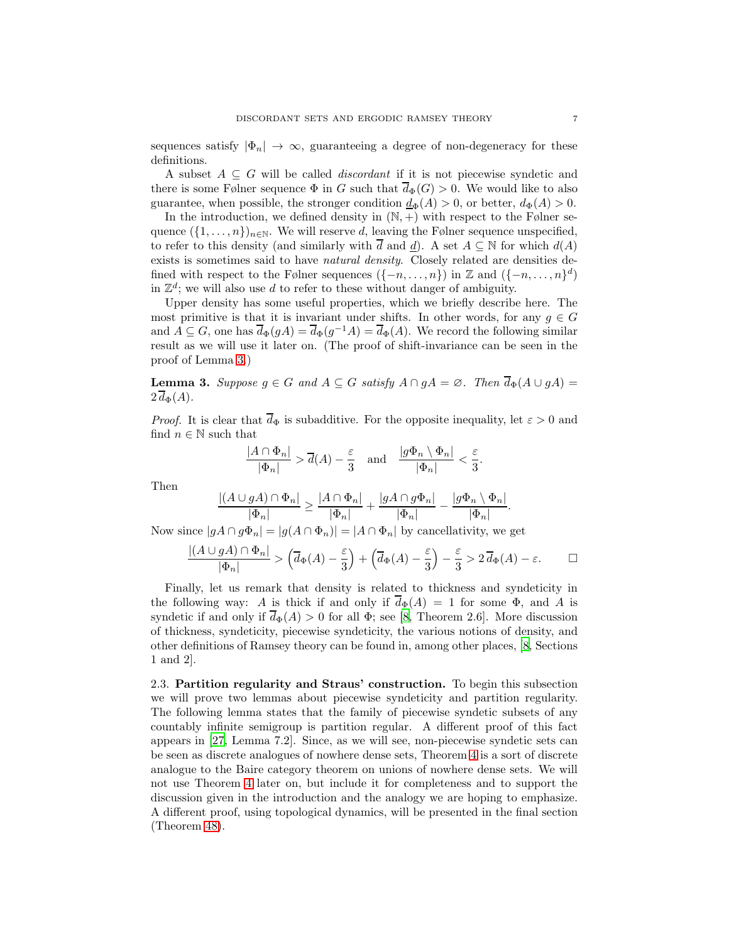sequences satisfy  $|\Phi_n| \to \infty$ , guaranteeing a degree of non-degeneracy for these definitions.

A subset  $A \subseteq G$  will be called *discordant* if it is not piecewise syndetic and there is some Følner sequence  $\Phi$  in G such that  $\overline{d}_{\Phi}(G) > 0$ . We would like to also guarantee, when possible, the stronger condition  $\underline{d}_{\Phi}(A) > 0$ , or better,  $d_{\Phi}(A) > 0$ .

In the introduction, we defined density in  $(N, +)$  with respect to the Følner sequence  $({1, \ldots, n})_{n \in \mathbb{N}}$ . We will reserve d, leaving the Følner sequence unspecified, to refer to this density (and similarly with  $\overline{d}$  and  $\underline{d}$ ). A set  $A \subseteq \mathbb{N}$  for which  $d(A)$ exists is sometimes said to have *natural density*. Closely related are densities defined with respect to the Følner sequences  $({-n, \ldots, n})$  in Z and  $({-n, \ldots, n})^d$ ) in  $\mathbb{Z}^d$ ; we will also use d to refer to these without danger of ambiguity.

Upper density has some useful properties, which we briefly describe here. The most primitive is that it is invariant under shifts. In other words, for any  $g \in G$ and  $A \subseteq G$ , one has  $\overline{d}_{\Phi}(gA) = \overline{d}_{\Phi}(g^{-1}A) = \overline{d}_{\Phi}(A)$ . We record the following similar result as we will use it later on. (The proof of shift-invariance can be seen in the proof of Lemma [3.](#page-6-0))

<span id="page-6-0"></span>**Lemma 3.** Suppose  $g \in G$  and  $A \subseteq G$  satisfy  $A \cap gA = \emptyset$ . Then  $\overline{d}_{\Phi}(A \cup gA) =$  $2 d_{\Phi}(A)$ .

*Proof.* It is clear that  $\overline{d}_{\Phi}$  is subadditive. For the opposite inequality, let  $\varepsilon > 0$  and find  $n \in \mathbb{N}$  such that

$$
\frac{|A \cap \Phi_n|}{|\Phi_n|} > \overline{d}(A) - \frac{\varepsilon}{3} \quad \text{and} \quad \frac{|g\Phi_n \setminus \Phi_n|}{|\Phi_n|} < \frac{\varepsilon}{3}.
$$

Then

$$
\frac{|(A\cup gA)\cap\Phi_n|}{|\Phi_n|}\geq \frac{|A\cap\Phi_n|}{|\Phi_n|}+\frac{|gA\cap g\Phi_n|}{|\Phi_n|}-\frac{|g\Phi_n\setminus\Phi_n|}{|\Phi_n|}.
$$

Now since  $|gA \cap g\Phi_n| = |g(A \cap \Phi_n)| = |A \cap \Phi_n|$  by cancellativity, we get

$$
\frac{|(A \cup gA) \cap \Phi_n|}{|\Phi_n|} > \left(\overline{d}_{\Phi}(A) - \frac{\varepsilon}{3}\right) + \left(\overline{d}_{\Phi}(A) - \frac{\varepsilon}{3}\right) - \frac{\varepsilon}{3} > 2\overline{d}_{\Phi}(A) - \varepsilon. \qquad \Box
$$

Finally, let us remark that density is related to thickness and syndeticity in the following way: A is thick if and only if  $d_{\Phi}(A) = 1$  for some  $\Phi$ , and A is syndetic if and only if  $\overline{d}_{\Phi}(A) > 0$  for all  $\Phi$ ; see [\[8,](#page-34-13) Theorem 2.6]. More discussion of thickness, syndeticity, piecewise syndeticity, the various notions of density, and other definitions of Ramsey theory can be found in, among other places, [\[8](#page-34-13), Sections 1 and 2].

2.3. Partition regularity and Straus' construction. To begin this subsection we will prove two lemmas about piecewise syndeticity and partition regularity. The following lemma states that the family of piecewise syndetic subsets of any countably infinite semigroup is partition regular. A different proof of this fact appears in [\[27,](#page-34-15) Lemma 7.2]. Since, as we will see, non-piecewise syndetic sets can be seen as discrete analogues of nowhere dense sets, Theorem [4](#page-7-0) is a sort of discrete analogue to the Baire category theorem on unions of nowhere dense sets. We will not use Theorem [4](#page-7-0) later on, but include it for completeness and to support the discussion given in the introduction and the analogy we are hoping to emphasize. A different proof, using topological dynamics, will be presented in the final section (Theorem [48\)](#page-33-3).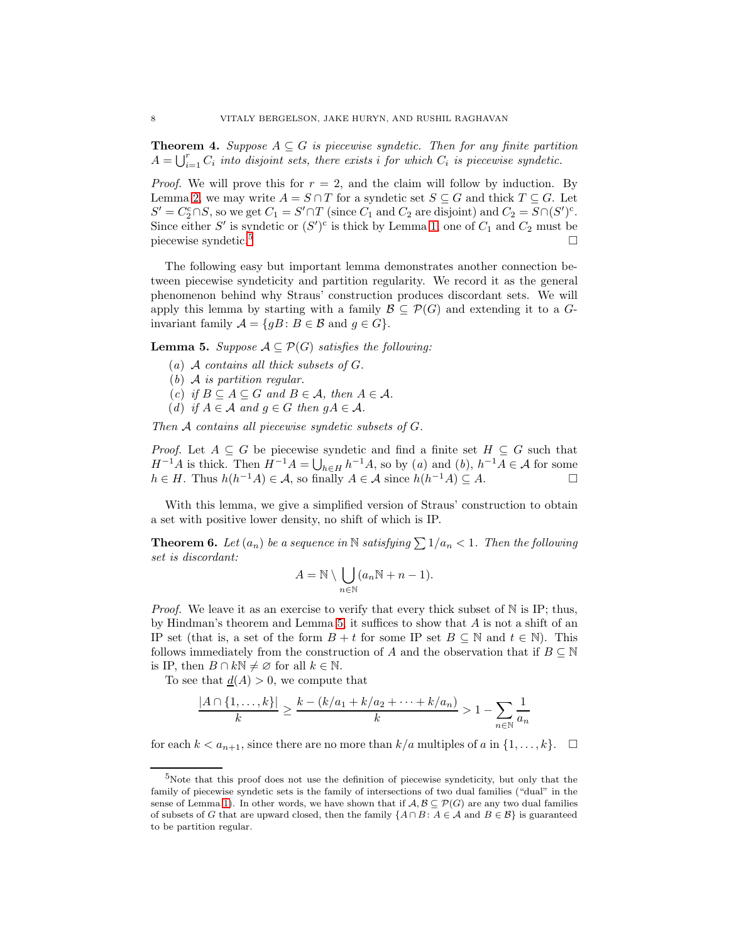<span id="page-7-0"></span>**Theorem 4.** *Suppose*  $A \subseteq G$  *is piecewise syndetic. Then for any finite partition*  $A = \bigcup_{i=1}^r C_i$  *into disjoint sets, there exists i for which*  $C_i$  *is piecewise syndetic.* 

*Proof.* We will prove this for  $r = 2$ , and the claim will follow by induction. By Lemma [2,](#page-5-1) we may write  $A = S \cap T$  for a syndetic set  $S \subseteq G$  and thick  $T \subseteq G$ . Let  $S' = C_2^c \cap S$ , so we get  $C_1 = S' \cap T$  (since  $C_1$  and  $C_2$  are disjoint) and  $C_2 = S \cap (S')^c$ . Since either S' is syndetic or  $(S')^c$  is thick by Lemma [1,](#page-5-2) one of  $C_1$  and  $C_2$  must be piecewise syndetic.<sup>[5](#page-7-1)</sup>

The following easy but important lemma demonstrates another connection between piecewise syndeticity and partition regularity. We record it as the general phenomenon behind why Straus' construction produces discordant sets. We will apply this lemma by starting with a family  $\mathcal{B} \subseteq \mathcal{P}(G)$  and extending it to a Ginvariant family  $A = \{gB : B \in \mathcal{B} \text{ and } g \in G\}.$ 

<span id="page-7-2"></span>**Lemma 5.** *Suppose*  $A \subseteq \mathcal{P}(G)$  *satisfies the following:* 

- (*a*) A *contains all thick subsets of* G*.*
- (*b*) A *is partition regular.*
- (*c*) *if*  $B \subseteq A \subseteq G$  *and*  $B \in \mathcal{A}$ *, then*  $A \in \mathcal{A}$ *.*
- (*d*) *if*  $A \in \mathcal{A}$  *and*  $g \in G$  *then*  $gA \in \mathcal{A}$ *.*

*Then* A *contains all piecewise syndetic subsets of* G*.*

*Proof.* Let  $A \subseteq G$  be piecewise syndetic and find a finite set  $H \subseteq G$  such that  $H^{-1}A$  is thick. Then  $H^{-1}A = \bigcup_{h \in H} h^{-1}A$ , so by (*a*) and (*b*),  $h^{-1}A \in \mathcal{A}$  for some  $h \in H$ . Thus  $h(h^{-1}A) \in \mathcal{A}$ , so finally  $A \in \mathcal{A}$  since  $h(h^{-1}A) \subseteq A$ .

With this lemma, we give a simplified version of Straus' construction to obtain a set with positive lower density, no shift of which is IP.

<span id="page-7-3"></span>**Theorem 6.** Let  $(a_n)$  be a sequence in N satisfying  $\sum 1/a_n < 1$ . Then the following *set is discordant:*

$$
A = \mathbb{N} \setminus \bigcup_{n \in \mathbb{N}} (a_n \mathbb{N} + n - 1).
$$

*Proof.* We leave it as an exercise to verify that every thick subset of  $\mathbb N$  is IP; thus, by Hindman's theorem and Lemma [5,](#page-7-2) it suffices to show that  $A$  is not a shift of an IP set (that is, a set of the form  $B + t$  for some IP set  $B \subseteq \mathbb{N}$  and  $t \in \mathbb{N}$ ). This follows immediately from the construction of A and the observation that if  $B \subseteq \mathbb{N}$ is IP, then  $B \cap k\mathbb{N} \neq \emptyset$  for all  $k \in \mathbb{N}$ .

To see that  $\underline{d}(A) > 0$ , we compute that

$$
\frac{|A \cap \{1, \dots, k\}|}{k} \ge \frac{k - (k/a_1 + k/a_2 + \dots + k/a_n)}{k} > 1 - \sum_{n \in \mathbb{N}} \frac{1}{a_n}
$$

for each  $k < a_{n+1}$ , since there are no more than  $k/a$  multiples of a in  $\{1, \ldots, k\}$ .  $\Box$ 

<span id="page-7-1"></span><sup>5</sup>Note that this proof does not use the definition of piecewise syndeticity, but only that the family of piecewise syndetic sets is the family of intersections of two dual families ("dual" in the sense of Lemma [1\)](#page-5-2). In other words, we have shown that if  $A, B \subseteq \mathcal{P}(G)$  are any two dual families of subsets of G that are upward closed, then the family  $\{A \cap B : A \in \mathcal{A} \text{ and } B \in \mathcal{B}\}\$ is guaranteed to be partition regular.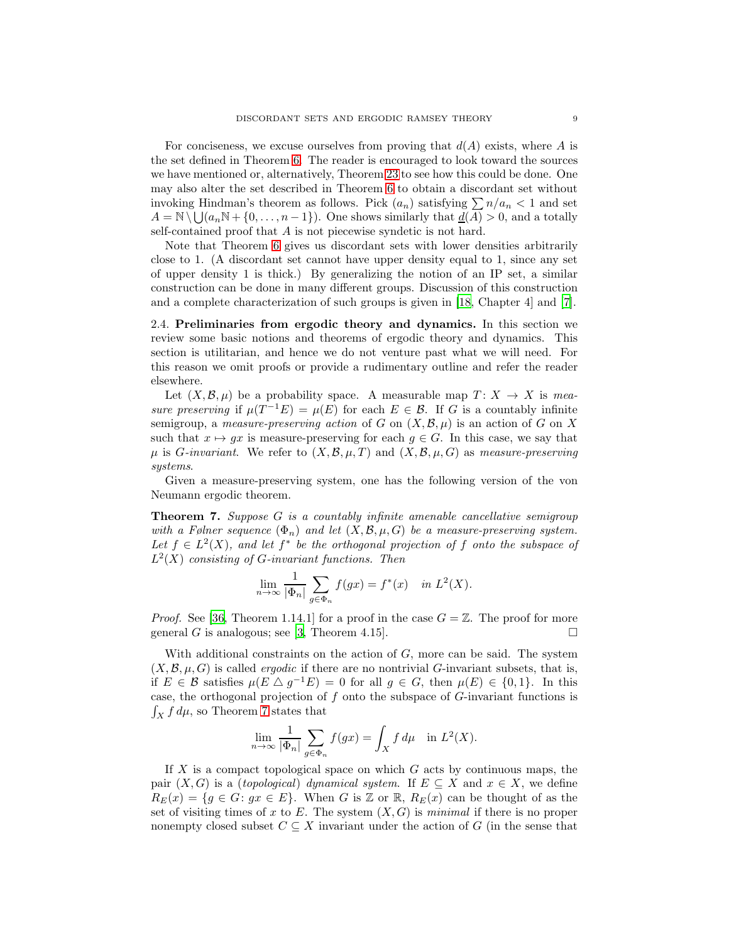For conciseness, we excuse ourselves from proving that  $d(A)$  exists, where A is the set defined in Theorem [6.](#page-7-3) The reader is encouraged to look toward the sources we have mentioned or, alternatively, Theorem [23](#page-16-0) to see how this could be done. One may also alter the set described in Theorem [6](#page-7-3) to obtain a discordant set without invoking Hindman's theorem as follows. Pick  $(a_n)$  satisfying  $\sum n/a_n < 1$  and set  $A = \mathbb{N} \setminus \bigcup (a_n \mathbb{N} + \{0, \ldots, n-1\})$ . One shows similarly that  $\underline{d}(\overline{A}) > 0$ , and a totally self-contained proof that A is not piecewise syndetic is not hard.

Note that Theorem [6](#page-7-3) gives us discordant sets with lower densities arbitrarily close to 1. (A discordant set cannot have upper density equal to 1, since any set of upper density 1 is thick.) By generalizing the notion of an IP set, a similar construction can be done in many different groups. Discussion of this construction and a complete characterization of such groups is given in [\[18,](#page-34-16) Chapter 4] and [\[7\]](#page-34-17).

<span id="page-8-1"></span>2.4. Preliminaries from ergodic theory and dynamics. In this section we review some basic notions and theorems of ergodic theory and dynamics. This section is utilitarian, and hence we do not venture past what we will need. For this reason we omit proofs or provide a rudimentary outline and refer the reader elsewhere.

Let  $(X, \mathcal{B}, \mu)$  be a probability space. A measurable map  $T: X \to X$  is *measure preserving* if  $\mu(T^{-1}E) = \mu(E)$  for each  $E \in \mathcal{B}$ . If G is a countably infinite semigroup, a *measure-preserving action* of G on  $(X, \mathcal{B}, \mu)$  is an action of G on X such that  $x \mapsto gx$  is measure-preserving for each  $g \in G$ . In this case, we say that  $\mu$  is *G*-invariant. We refer to  $(X, \mathcal{B}, \mu, T)$  and  $(X, \mathcal{B}, \mu, G)$  as *measure-preserving systems*.

Given a measure-preserving system, one has the following version of the von Neumann ergodic theorem.

<span id="page-8-0"></span>Theorem 7. *Suppose* G *is a countably infinite amenable cancellative semigroup with a Følner sequence*  $(\Phi_n)$  *and let*  $(X, \mathcal{B}, \mu, G)$  *be a measure-preserving system.* Let  $f \in L^2(X)$ , and let  $f^*$  be the orthogonal projection of f onto the subspace of L 2 (X) *consisting of* G*-invariant functions. Then*

$$
\lim_{n \to \infty} \frac{1}{|\Phi_n|} \sum_{g \in \Phi_n} f(gx) = f^*(x) \quad \text{in } L^2(X).
$$

*Proof.* See [\[36](#page-34-18), Theorem 1.14.1] for a proof in the case  $G = \mathbb{Z}$ . The proof for more general G is analogous; see [\[3,](#page-33-4) Theorem 4.15].

With additional constraints on the action of  $G$ , more can be said. The system  $(X, \mathcal{B}, \mu, G)$  is called *ergodic* if there are no nontrivial G-invariant subsets, that is, if  $E \in \mathcal{B}$  satisfies  $\mu(E \triangle g^{-1}E) = 0$  for all  $g \in G$ , then  $\mu(E) \in \{0,1\}$ . In this case, the orthogonal projection of f onto the subspace of G-invariant functions is  $\int_X f d\mu$ , so Theorem [7](#page-8-0) states that

$$
\lim_{n \to \infty} \frac{1}{|\Phi_n|} \sum_{g \in \Phi_n} f(gx) = \int_X f d\mu \quad \text{in } L^2(X).
$$

If X is a compact topological space on which  $G$  acts by continuous maps, the pair  $(X, G)$  is a *(topological) dynamical system*. If  $E \subseteq X$  and  $x \in X$ , we define  $R_E(x) = \{g \in G : gx \in E\}.$  When G is Z or R,  $R_E(x)$  can be thought of as the set of visiting times of x to E. The system  $(X, G)$  is *minimal* if there is no proper nonempty closed subset  $C \subseteq X$  invariant under the action of G (in the sense that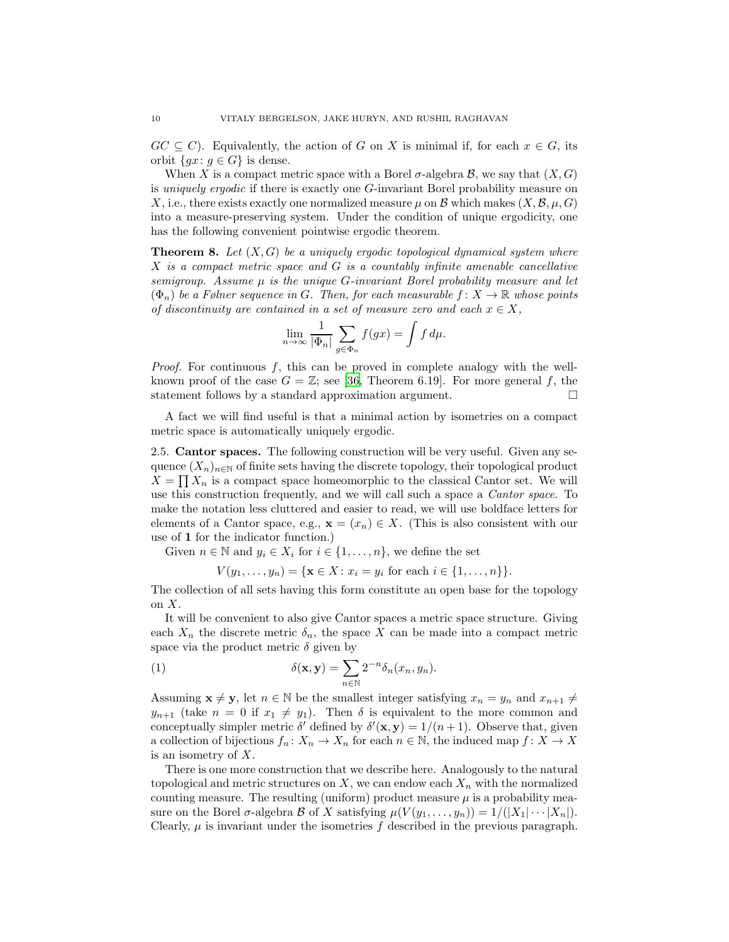$GC \subseteq C$ . Equivalently, the action of G on X is minimal if, for each  $x \in G$ , its orbit  $\{gx: g \in G\}$  is dense.

When X is a compact metric space with a Borel  $\sigma$ -algebra  $\mathcal{B}$ , we say that  $(X, G)$ is *uniquely ergodic* if there is exactly one G-invariant Borel probability measure on X, i.e., there exists exactly one normalized measure  $\mu$  on B which makes  $(X, \mathcal{B}, \mu, G)$ into a measure-preserving system. Under the condition of unique ergodicity, one has the following convenient pointwise ergodic theorem.

<span id="page-9-1"></span>Theorem 8. *Let* (X, G) *be a uniquely ergodic topological dynamical system where* X *is a compact metric space and* G *is a countably infinite amenable cancellative semigroup. Assume* µ *is the unique* G*-invariant Borel probability measure and let*  $(\Phi_n)$  *be a Følner sequence in G. Then, for each measurable*  $f: X \to \mathbb{R}$  whose points *of discontinuity are contained in a set of measure zero and each*  $x \in X$ ,

$$
\lim_{n \to \infty} \frac{1}{|\Phi_n|} \sum_{g \in \Phi_n} f(gx) = \int f d\mu.
$$

*Proof.* For continuous f, this can be proved in complete analogy with the wellknown proof of the case  $G = \mathbb{Z}$ ; see [\[36,](#page-34-18) Theorem 6.19]. For more general f, the statement follows by a standard approximation argument.

A fact we will find useful is that a minimal action by isometries on a compact metric space is automatically uniquely ergodic.

<span id="page-9-0"></span>2.5. Cantor spaces. The following construction will be very useful. Given any sequence  $(X_n)_{n\in\mathbb{N}}$  of finite sets having the discrete topology, their topological product  $X = \prod X_n$  is a compact space homeomorphic to the classical Cantor set. We will use this construction frequently, and we will call such a space a *Cantor space*. To make the notation less cluttered and easier to read, we will use boldface letters for elements of a Cantor space, e.g.,  $\mathbf{x} = (x_n) \in X$ . (This is also consistent with our use of 1 for the indicator function.)

Given  $n \in \mathbb{N}$  and  $y_i \in X_i$  for  $i \in \{1, \ldots, n\}$ , we define the set

 $V(y_1, \ldots, y_n) = \{ \mathbf{x} \in X : x_i = y_i \text{ for each } i \in \{1, \ldots, n\} \}.$ 

The collection of all sets having this form constitute an open base for the topology on  $X$ .

It will be convenient to also give Cantor spaces a metric space structure. Giving each  $X_n$  the discrete metric  $\delta_n$ , the space X can be made into a compact metric space via the product metric  $\delta$  given by

(1) 
$$
\delta(\mathbf{x}, \mathbf{y}) = \sum_{n \in \mathbb{N}} 2^{-n} \delta_n(x_n, y_n).
$$

Assuming  $\mathbf{x} \neq \mathbf{y}$ , let  $n \in \mathbb{N}$  be the smallest integer satisfying  $x_n = y_n$  and  $x_{n+1} \neq \emptyset$  $y_{n+1}$  (take  $n = 0$  if  $x_1 \neq y_1$ ). Then  $\delta$  is equivalent to the more common and conceptually simpler metric  $\delta'$  defined by  $\delta'(\mathbf{x}, \mathbf{y}) = 1/(n+1)$ . Observe that, given a collection of bijections  $f_n: X_n \to X_n$  for each  $n \in \mathbb{N}$ , the induced map  $f: X \to X$ is an isometry of X.

There is one more construction that we describe here. Analogously to the natural topological and metric structures on  $X$ , we can endow each  $X_n$  with the normalized counting measure. The resulting (uniform) product measure  $\mu$  is a probability measure on the Borel  $\sigma$ -algebra  $\mathcal B$  of X satisfying  $\mu(V(y_1,\ldots,y_n))=1/(|X_1|\cdots|X_n|).$ Clearly,  $\mu$  is invariant under the isometries f described in the previous paragraph.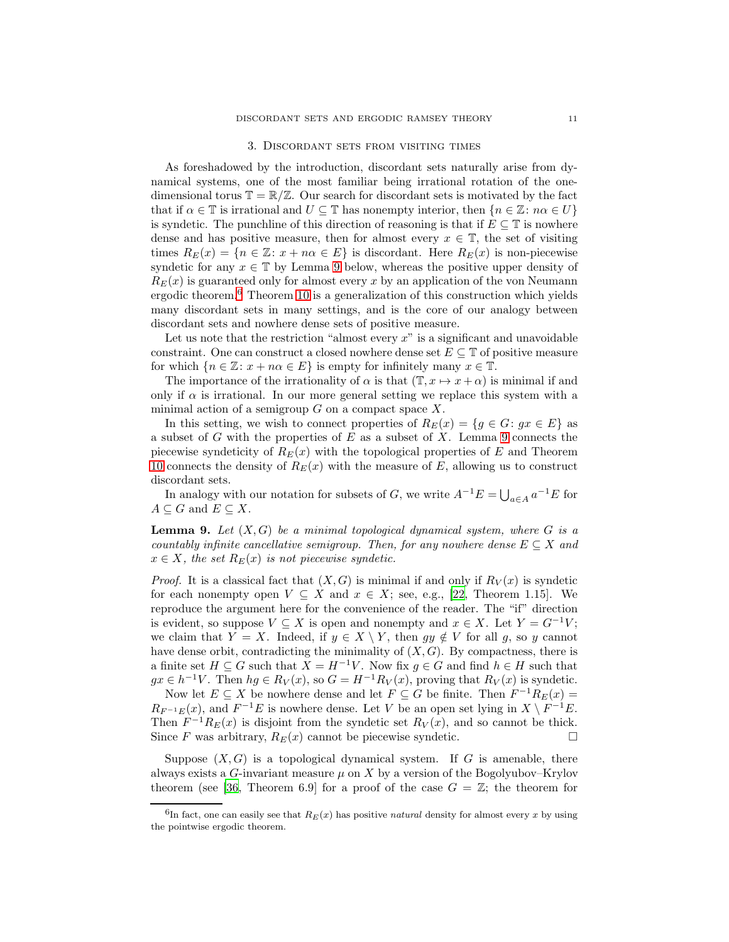#### 3. Discordant sets from visiting times

<span id="page-10-0"></span>As foreshadowed by the introduction, discordant sets naturally arise from dynamical systems, one of the most familiar being irrational rotation of the onedimensional torus  $\mathbb{T} = \mathbb{R}/\mathbb{Z}$ . Our search for discordant sets is motivated by the fact that if  $\alpha \in \mathbb{T}$  is irrational and  $U \subseteq \mathbb{T}$  has nonempty interior, then  $\{n \in \mathbb{Z} : n\alpha \in U\}$ is syndetic. The punchline of this direction of reasoning is that if  $E \subseteq \mathbb{T}$  is nowhere dense and has positive measure, then for almost every  $x \in \mathbb{T}$ , the set of visiting times  $R_E(x) = \{n \in \mathbb{Z}: x + n\alpha \in E\}$  is discordant. Here  $R_E(x)$  is non-piecewise syndetic for any  $x \in \mathbb{T}$  by Lemma [9](#page-10-1) below, whereas the positive upper density of  $R_E(x)$  is guaranteed only for almost every x by an application of the von Neumann ergodic theorem.[6](#page-10-2) Theorem [10](#page-11-0) is a generalization of this construction which yields many discordant sets in many settings, and is the core of our analogy between discordant sets and nowhere dense sets of positive measure.

Let us note that the restriction "almost every  $x$ " is a significant and unavoidable constraint. One can construct a closed nowhere dense set  $E \subseteq \mathbb{T}$  of positive measure for which  $\{n \in \mathbb{Z} : x + n\alpha \in E\}$  is empty for infinitely many  $x \in \mathbb{T}$ .

The importance of the irrationality of  $\alpha$  is that  $(\mathbb{T}, x \mapsto x + \alpha)$  is minimal if and only if  $\alpha$  is irrational. In our more general setting we replace this system with a minimal action of a semigroup  $G$  on a compact space  $X$ .

In this setting, we wish to connect properties of  $R_E(x) = \{g \in G : gx \in E\}$  as a subset of  $G$  with the properties of  $E$  as a subset of  $X$ . Lemma [9](#page-10-1) connects the piecewise syndeticity of  $R_E(x)$  with the topological properties of E and Theorem [10](#page-11-0) connects the density of  $R_E(x)$  with the measure of E, allowing us to construct discordant sets.

In analogy with our notation for subsets of  $G$ , we write  $A^{-1}E = \bigcup_{a \in A} a^{-1}E$  for  $A \subseteq G$  and  $E \subseteq X$ .

<span id="page-10-1"></span>Lemma 9. *Let* (X, G) *be a minimal topological dynamical system, where* G *is a countably infinite cancellative semigroup. Then, for any nowhere dense*  $E \subseteq X$  *and*  $x \in X$ *, the set*  $R_E(x)$  *is not piecewise syndetic.* 

*Proof.* It is a classical fact that  $(X, G)$  is minimal if and only if  $R_V(x)$  is syndetic for each nonempty open  $V \subseteq X$  and  $x \in X$ ; see, e.g., [\[22](#page-34-2), Theorem 1.15]. We reproduce the argument here for the convenience of the reader. The "if" direction is evident, so suppose  $V \subseteq X$  is open and nonempty and  $x \in X$ . Let  $Y = G^{-1}V$ ; we claim that  $Y = X$ . Indeed, if  $y \in X \setminus Y$ , then  $gy \notin V$  for all g, so y cannot have dense orbit, contradicting the minimality of  $(X, G)$ . By compactness, there is a finite set  $H \subseteq G$  such that  $X = H^{-1}V$ . Now fix  $g \in G$  and find  $h \in H$  such that  $gx \in h^{-1}V$ . Then  $hg \in R_V(x)$ , so  $G = H^{-1}R_V(x)$ , proving that  $R_V(x)$  is syndetic.

Now let  $E \subseteq X$  be nowhere dense and let  $F \subseteq G$  be finite. Then  $F^{-1}R_E(x) =$  $R_{F^{-1}E}(x)$ , and  $F^{-1}E$  is nowhere dense. Let V be an open set lying in  $X \setminus F^{-1}E$ . Then  $F^{-1}R_E(x)$  is disjoint from the syndetic set  $R_V(x)$ , and so cannot be thick. Since F was arbitrary,  $R_E(x)$  cannot be piecewise syndetic.

Suppose  $(X, G)$  is a topological dynamical system. If G is amenable, there always exists a G-invariant measure  $\mu$  on X by a version of the Bogolyubov–Krylov theorem (see [\[36](#page-34-18), Theorem 6.9] for a proof of the case  $G = \mathbb{Z}$ ; the theorem for

<span id="page-10-2"></span><sup>&</sup>lt;sup>6</sup>In fact, one can easily see that  $R_E(x)$  has positive *natural* density for almost every x by using the pointwise ergodic theorem.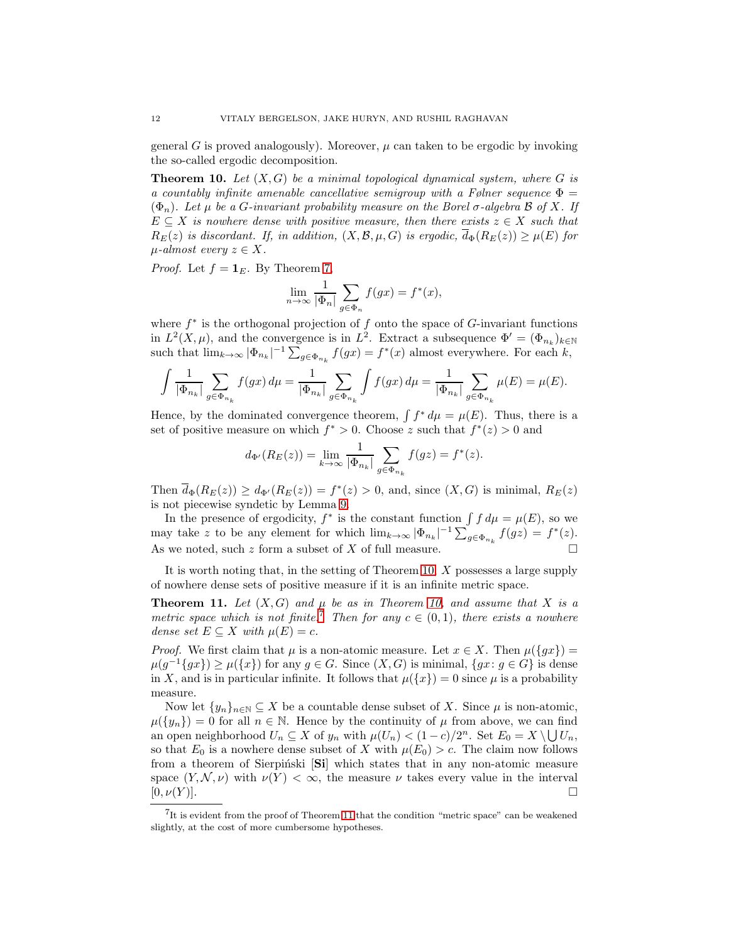general G is proved analogously). Moreover,  $\mu$  can taken to be ergodic by invoking the so-called ergodic decomposition.

<span id="page-11-0"></span>**Theorem 10.** Let  $(X, G)$  be a minimal topological dynamical system, where G is *a countably infinite amenable cancellative semigroup with a Følner sequence*  $\Phi =$  $(\Phi_n)$ *. Let*  $\mu$  *be a G-invariant probability measure on the Borel σ-algebra*  $\beta$  *of* X*. If*  $E \subseteq X$  *is nowhere dense with positive measure, then there exists*  $z \in X$  *such that*  $R_E(z)$  *is discordant. If, in addition,*  $(X, \mathcal{B}, \mu, G)$  *is ergodic,*  $\overline{d}_{\Phi}(R_E(z)) \geq \mu(E)$  *for*  $\mu$ -almost every  $z \in X$ .

*Proof.* Let  $f = \mathbf{1}_E$ . By Theorem [7,](#page-8-0)

$$
\lim_{n \to \infty} \frac{1}{|\Phi_n|} \sum_{g \in \Phi_n} f(gx) = f^*(x),
$$

where  $f^*$  is the orthogonal projection of  $f$  onto the space of  $G$ -invariant functions in  $L^2(X,\mu)$ , and the convergence is in  $L^2$ . Extract a subsequence  $\Phi' = (\Phi_{n_k})_{k \in \mathbb{N}}$ such that  $\lim_{k\to\infty} |\Phi_{n_k}|^{-1} \sum_{g\in\Phi_{n_k}} f(gx) = f^*(x)$  almost everywhere. For each  $k$ ,

$$
\int \frac{1}{|\Phi_{n_k}|}\sum_{g\in \Phi_{n_k}}f(gx)\,d\mu=\frac{1}{|\Phi_{n_k}|}\sum_{g\in \Phi_{n_k}}\int f(gx)\,d\mu=\frac{1}{|\Phi_{n_k}|}\sum_{g\in \Phi_{n_k}}\mu(E)=\mu(E).
$$

Hence, by the dominated convergence theorem,  $\int f^* d\mu = \mu(E)$ . Thus, there is a set of positive measure on which  $f^* > 0$ . Choose z such that  $f^*(z) > 0$  and

$$
d_{\Phi'}(R_E(z)) = \lim_{k \to \infty} \frac{1}{|\Phi_{n_k}|} \sum_{g \in \Phi_{n_k}} f(gz) = f^*(z).
$$

Then  $\overline{d}_{\Phi}(R_E(z)) \geq d_{\Phi}(R_E(z)) = f^*(z) > 0$ , and, since  $(X, G)$  is minimal,  $R_E(z)$ is not piecewise syndetic by Lemma [9.](#page-10-1)

In the presence of ergodicity,  $f^*$  is the constant function  $\int f d\mu = \mu(E)$ , so we may take z to be any element for which  $\lim_{k\to\infty} |\Phi_{n_k}|^{-1} \sum_{g \in \Phi_{n_k}} f(gz) = f^*(z)$ . As we noted, such  $z$  form a subset of  $X$  of full measure.

It is worth noting that, in the setting of Theorem [10,](#page-11-0) X possesses a large supply of nowhere dense sets of positive measure if it is an infinite metric space.

<span id="page-11-2"></span>**Theorem 11.** Let  $(X, G)$  and  $\mu$  be as in Theorem [10,](#page-11-0) and assume that X is a *metric space which is not finite.*<sup>[7](#page-11-1)</sup> *Then for any*  $c \in (0,1)$ *, there exists a nowhere dense set*  $E \subseteq X$  *with*  $\mu(E) = c$ *.* 

*Proof.* We first claim that  $\mu$  is a non-atomic measure. Let  $x \in X$ . Then  $\mu({gx})$  =  $\mu(g^{-1}\lbrace gx \rbrace) \geq \mu(\lbrace x \rbrace)$  for any  $g \in G$ . Since  $(X, G)$  is minimal,  $\lbrace gx : g \in G \rbrace$  is dense in X, and is in particular infinite. It follows that  $\mu({x}) = 0$  since  $\mu$  is a probability measure.

Now let  $\{y_n\}_{n\in\mathbb{N}}\subseteq X$  be a countable dense subset of X. Since  $\mu$  is non-atomic,  $\mu({y_n}) = 0$  for all  $n \in \mathbb{N}$ . Hence by the continuity of  $\mu$  from above, we can find an open neighborhood  $U_n \subseteq X$  of  $y_n$  with  $\mu(U_n) < (1-c)/2^n$ . Set  $E_0 = X \setminus \bigcup U_n$ , so that  $E_0$  is a nowhere dense subset of X with  $\mu(E_0) > c$ . The claim now follows from a theorem of Sierpiński [Si] which states that in any non-atomic measure space  $(Y, \mathcal{N}, \nu)$  with  $\nu(Y) < \infty$ , the measure  $\nu$  takes every value in the interval  $[0, \nu(Y)].$ 

<span id="page-11-1"></span><sup>&</sup>lt;sup>7</sup>It is evident from the proof of Theorem [11](#page-11-2) that the condition "metric space" can be weakened slightly, at the cost of more cumbersome hypotheses.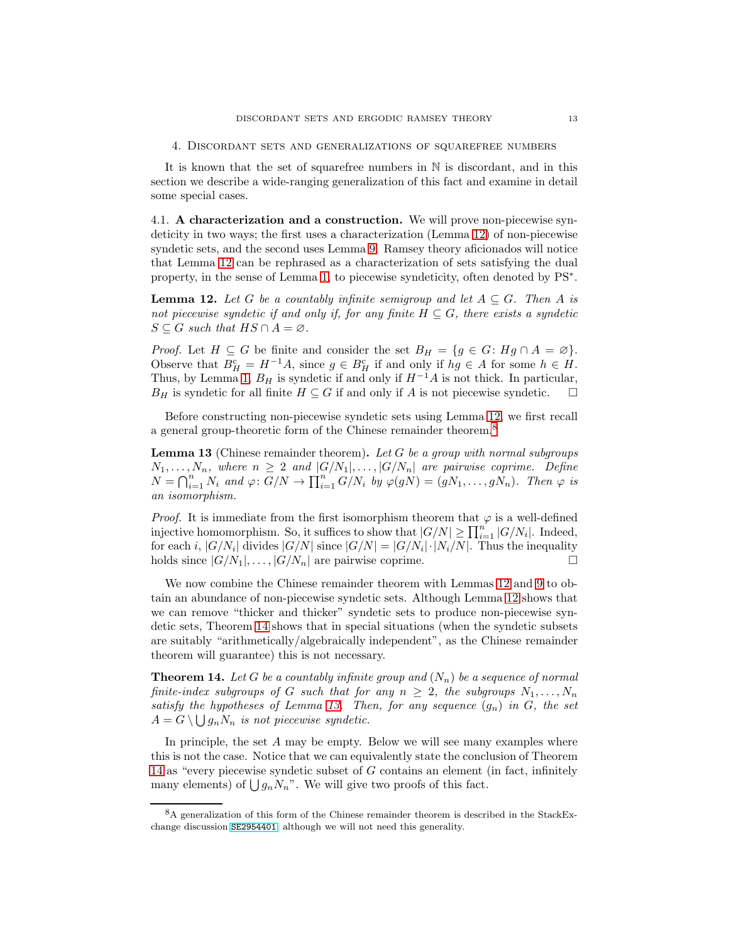<span id="page-12-0"></span>It is known that the set of squarefree numbers in N is discordant, and in this section we describe a wide-ranging generalization of this fact and examine in detail some special cases.

4.1. A characterization and a construction. We will prove non-piecewise syndeticity in two ways; the first uses a characterization (Lemma [12\)](#page-12-1) of non-piecewise syndetic sets, and the second uses Lemma [9.](#page-10-1) Ramsey theory aficionados will notice that Lemma [12](#page-12-1) can be rephrased as a characterization of sets satisfying the dual property, in the sense of Lemma [1,](#page-5-2) to piecewise syndeticity, often denoted by PS<sup>∗</sup> .

<span id="page-12-1"></span>**Lemma 12.** Let G be a countably infinite semigroup and let  $A \subseteq G$ . Then A is *not piecewise syndetic if and only if, for any finite*  $H \subseteq G$ *, there exists a syndetic*  $S \subseteq G$  such that  $HS \cap A = \emptyset$ .

*Proof.* Let  $H \subseteq G$  be finite and consider the set  $B_H = \{g \in G : Hg \cap A = \emptyset\}.$ Observe that  $B_H^c = H^{-1}A$ , since  $g \in B_H^c$  if and only if  $hg \in A$  for some  $h \in H$ . Thus, by Lemma [1,](#page-5-2)  $B_H$  is syndetic if and only if  $H^{-1}A$  is not thick. In particular,  $B_H$  is syndetic for all finite  $H \subseteq G$  if and only if A is not piecewise syndetic.

Before constructing non-piecewise syndetic sets using Lemma [12,](#page-12-1) we first recall a general group-theoretic form of the Chinese remainder theorem.[8](#page-12-2)

<span id="page-12-4"></span>Lemma 13 (Chinese remainder theorem). *Let* G *be a group with normal subgroups*  $N_1, \ldots, N_n$ , where  $n \geq 2$  and  $|G/N_1|, \ldots, |G/N_n|$  are pairwise coprime. Define  $N = \bigcap_{i=1}^{n} N_i$  and  $\varphi: G/N \to \prod_{i=1}^{n} G/N_i$  by  $\varphi(gN) = (gN_1, \ldots, gN_n)$ . Then  $\varphi$  is *an isomorphism.*

*Proof.* It is immediate from the first isomorphism theorem that  $\varphi$  is a well-defined injective homomorphism. So, it suffices to show that  $|G/N| \ge \prod_{i=1}^n |G/N_i|$ . Indeed, for each i,  $|G/N_i|$  divides  $|G/N|$  since  $|G/N| = |G/N_i| \cdot |N_i/N|$ . Thus the inequality holds since  $|G/N_1|, \ldots, |G/N_n|$  are pairwise coprime.

We now combine the Chinese remainder theorem with Lemmas [12](#page-12-1) and [9](#page-10-1) to obtain an abundance of non-piecewise syndetic sets. Although Lemma [12](#page-12-1) shows that we can remove "thicker and thicker" syndetic sets to produce non-piecewise syndetic sets, Theorem [14](#page-12-3) shows that in special situations (when the syndetic subsets are suitably "arithmetically/algebraically independent", as the Chinese remainder theorem will guarantee) this is not necessary.

<span id="page-12-3"></span>**Theorem 14.** Let G be a countably infinite group and  $(N_n)$  be a sequence of normal *finite-index subgroups of* G *such that for any*  $n \geq 2$ *, the subgroups*  $N_1, \ldots, N_n$ *satisfy the hypotheses of Lemma [13.](#page-12-4) Then, for any sequence*  $(g_n)$  *in*  $G$ *, the set*  $A = G \setminus \bigcup g_n N_n$  *is not piecewise syndetic.* 

In principle, the set  $A$  may be empty. Below we will see many examples where this is not the case. Notice that we can equivalently state the conclusion of Theorem [14](#page-12-3) as "every piecewise syndetic subset of G contains an element (in fact, infinitely many elements) of  $\bigcup g_nN_n$ ". We will give two proofs of this fact.

<span id="page-12-2"></span><sup>8</sup>A generalization of this form of the Chinese remainder theorem is described in the StackExchange discussion [SE2954401](https://math.stackexchange.com/questions/2954401/validation-for-a-conjecture-about-chinese-remainder-theorem-for-groups), although we will not need this generality.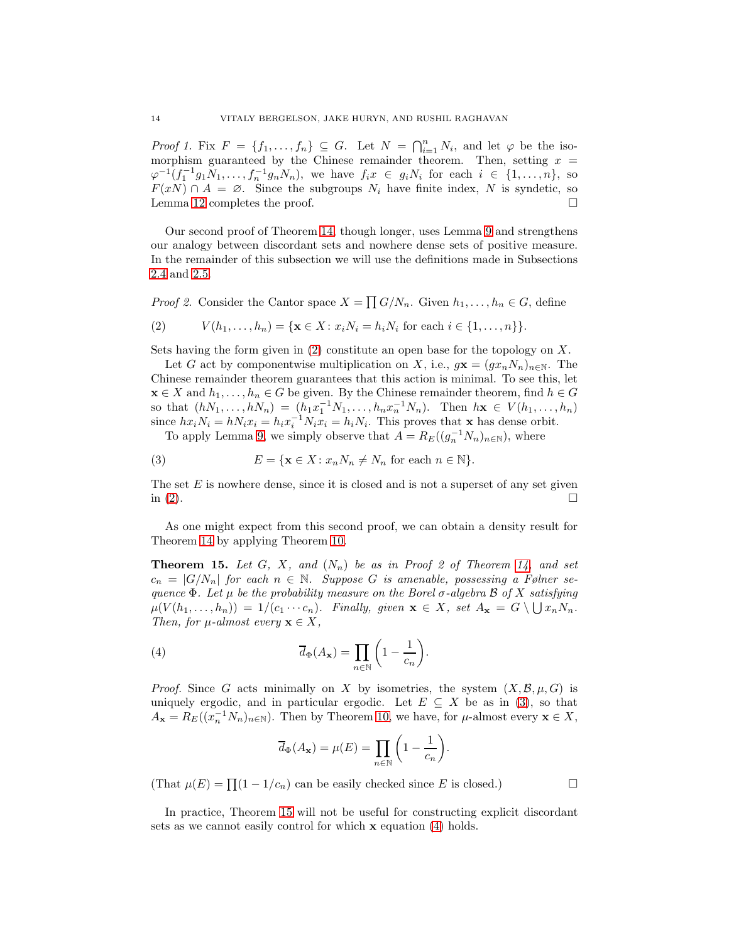*Proof 1.* Fix  $F = \{f_1, \ldots, f_n\} \subseteq G$ . Let  $N = \bigcap_{i=1}^n N_i$ , and let  $\varphi$  be the isomorphism guaranteed by the Chinese remainder theorem. Then, setting  $x =$  $\varphi^{-1}(f_1^{-1}g_1N_1,\ldots,f_n^{-1}g_nN_n)$ , we have  $f_ix \in g_iN_i$  for each  $i \in \{1,\ldots,n\}$ , so  $F(xN) \cap A = \emptyset$ . Since the subgroups  $N_i$  have finite index, N is syndetic, so Lemma [12](#page-12-1) completes the proof.

Our second proof of Theorem [14,](#page-12-3) though longer, uses Lemma [9](#page-10-1) and strengthens our analogy between discordant sets and nowhere dense sets of positive measure. In the remainder of this subsection we will use the definitions made in Subsections [2.4](#page-8-1) and [2.5.](#page-9-0)

*Proof 2.* Consider the Cantor space  $X = \prod G/N_n$ . Given  $h_1, \ldots, h_n \in G$ , define

<span id="page-13-0"></span>(2) 
$$
V(h_1, ..., h_n) = \{ \mathbf{x} \in X : x_i N_i = h_i N_i \text{ for each } i \in \{1, ..., n\} \}.
$$

Sets having the form given in  $(2)$  constitute an open base for the topology on X.

Let G act by componentwise multiplication on X, i.e.,  $g\mathbf{x} = (gx_nN_n)_{n\in\mathbb{N}}$ . The Chinese remainder theorem guarantees that this action is minimal. To see this, let  $\mathbf{x} \in X$  and  $h_1, \ldots, h_n \in G$  be given. By the Chinese remainder theorem, find  $h \in G$ so that  $(hN_1, \ldots, hN_n) = (h_1 x_1^{-1} N_1, \ldots, h_n x_n^{-1} N_n)$ . Then  $h\mathbf{x} \in V(h_1, \ldots, h_n)$ since  $hx_iN_i = hNi_i = h_ix_i^{-1}N_ix_i = h_iN_i$ . This proves that **x** has dense orbit.

<span id="page-13-1"></span>To apply Lemma [9,](#page-10-1) we simply observe that  $A = R_E((g_n^{-1}N_n)_{n \in \mathbb{N}})$ , where

(3) 
$$
E = \{ \mathbf{x} \in X : x_n N_n \neq N_n \text{ for each } n \in \mathbb{N} \}.
$$

The set  $E$  is nowhere dense, since it is closed and is not a superset of any set given in  $(2)$ .

As one might expect from this second proof, we can obtain a density result for Theorem [14](#page-12-3) by applying Theorem [10.](#page-11-0)

<span id="page-13-2"></span>**Theorem 15.** Let  $G$ ,  $X$ , and  $(N_n)$  be as in Proof 2 of Theorem [14,](#page-12-3) and set  $c_n = |G/N_n|$  for each  $n \in \mathbb{N}$ . Suppose G is amenable, possessing a Følner se*quence*  $Φ$ *. Let*  $μ$  *be the probability measure on the Borel*  $σ$ -algebra  $B$  *of*  $X$  *satisfying*  $\mu(V(h_1,\ldots,h_n)) = 1/(c_1\cdots c_n)$ . Finally, given  $\mathbf{x} \in X$ , set  $A_{\mathbf{x}} = G \setminus \bigcup x_n N_n$ . *Then, for*  $\mu$ -almost every  $\mathbf{x} \in X$ ,

(4) 
$$
\overline{d}_{\Phi}(A_{\mathbf{x}}) = \prod_{n \in \mathbb{N}} \left(1 - \frac{1}{c_n}\right).
$$

*Proof.* Since G acts minimally on X by isometries, the system  $(X, \mathcal{B}, \mu, G)$  is uniquely ergodic, and in particular ergodic. Let  $E \subseteq X$  be as in [\(3\)](#page-13-1), so that  $A_{\mathbf{x}} = R_E((x_n^{-1}N_n)_{n \in \mathbb{N}})$ . Then by Theorem [10,](#page-11-0) we have, for  $\mu$ -almost every  $\mathbf{x} \in X$ ,

<span id="page-13-3"></span>
$$
\overline{d}_{\Phi}(A_{\mathbf{x}}) = \mu(E) = \prod_{n \in \mathbb{N}} \left( 1 - \frac{1}{c_n} \right).
$$

(That  $\mu(E) = \prod (1 - 1/c_n)$  can be easily checked since E is closed.)

In practice, Theorem [15](#page-13-2) will not be useful for constructing explicit discordant sets as we cannot easily control for which  $x$  equation [\(4\)](#page-13-3) holds.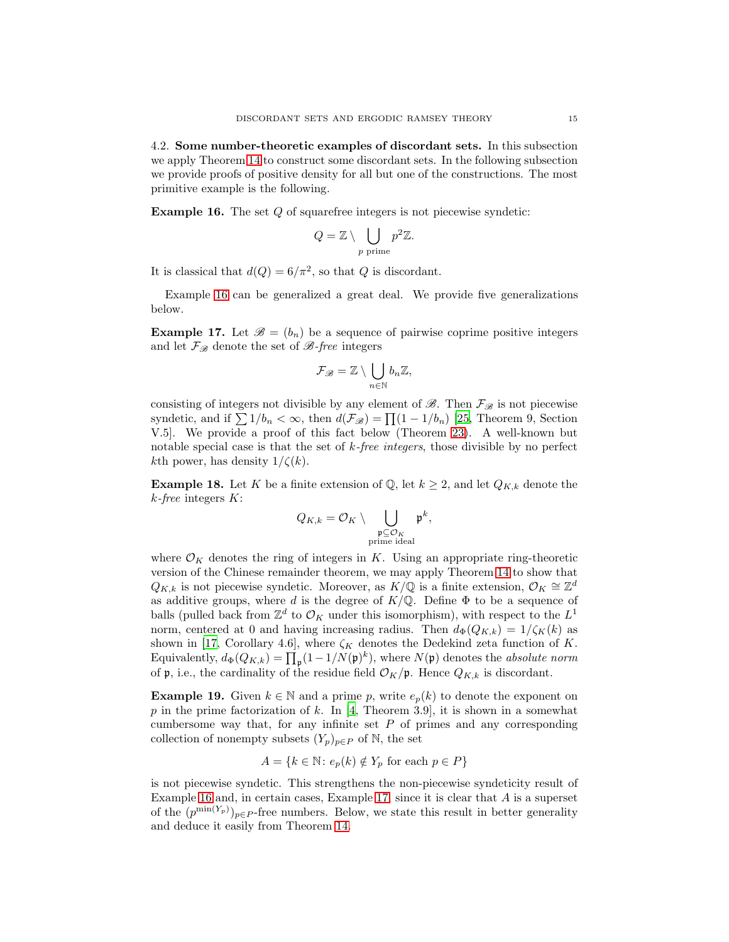<span id="page-14-2"></span>4.2. Some number-theoretic examples of discordant sets. In this subsection we apply Theorem [14](#page-12-3) to construct some discordant sets. In the following subsection we provide proofs of positive density for all but one of the constructions. The most primitive example is the following.

<span id="page-14-0"></span>**Example 16.** The set  $Q$  of squarefree integers is not piecewise syndetic:

$$
Q = \mathbb{Z} \setminus \bigcup_{p \text{ prime}} p^2 \mathbb{Z}.
$$

It is classical that  $d(Q) = 6/\pi^2$ , so that Q is discordant.

Example [16](#page-14-0) can be generalized a great deal. We provide five generalizations below.

<span id="page-14-1"></span>**Example 17.** Let  $\mathscr{B} = (b_n)$  be a sequence of pairwise coprime positive integers and let  $\mathcal{F}_{\mathscr{B}}$  denote the set of  $\mathscr{B}\text{-}free$  integers

$$
\mathcal{F}_{\mathscr{B}}=\mathbb{Z}\setminus\bigcup_{n\in\mathbb{N}}b_n\mathbb{Z},
$$

consisting of integers not divisible by any element of  $\mathscr{B}$ . Then  $\mathcal{F}_{\mathscr{B}}$  is not piecewise syndetic, and if  $\sum 1/b_n < \infty$ , then  $d(\mathcal{F}_{\mathscr{B}}) = \prod (1 - 1/b_n)$  [\[25](#page-34-19), Theorem 9, Section V.5]. We provide a proof of this fact below (Theorem [23\)](#page-16-0). A well-known but notable special case is that the set of k*-free integers*, those divisible by no perfect kth power, has density  $1/\zeta(k)$ .

**Example 18.** Let K be a finite extension of Q, let  $k \geq 2$ , and let  $Q_{K,k}$  denote the k*-free* integers K:

$$
Q_{K,k} = \mathcal{O}_K \setminus \bigcup_{\substack{\mathfrak{p} \subseteq \mathcal{O}_K \\ \text{prime ideal}}} \mathfrak{p}^k,
$$

where  $\mathcal{O}_K$  denotes the ring of integers in K. Using an appropriate ring-theoretic version of the Chinese remainder theorem, we may apply Theorem [14](#page-12-3) to show that  $Q_{K,k}$  is not piecewise syndetic. Moreover, as  $K/\mathbb{Q}$  is a finite extension,  $\mathcal{O}_K \cong \mathbb{Z}^d$ as additive groups, where d is the degree of  $K/\mathbb{Q}$ . Define  $\Phi$  to be a sequence of balls (pulled back from  $\mathbb{Z}^d$  to  $\mathcal{O}_K$  under this isomorphism), with respect to the  $L^1$ norm, centered at 0 and having increasing radius. Then  $d_{\Phi}(Q_{K,k}) = 1/\zeta_K(k)$  as shown in [\[17](#page-34-20), Corollary 4.6], where  $\zeta_K$  denotes the Dedekind zeta function of K. Equivalently,  $d_{\Phi}(Q_{K,k}) = \prod_{\mathfrak{p}} (1 - 1/N(\mathfrak{p})^k)$ , where  $N(\mathfrak{p})$  denotes the *absolute norm* of  $\mathfrak p$ , i.e., the cardinality of the residue field  $\mathcal O_K/\mathfrak p$ . Hence  $Q_{K,k}$  is discordant.

<span id="page-14-3"></span>**Example 19.** Given  $k \in \mathbb{N}$  and a prime p, write  $e_p(k)$  to denote the exponent on p in the prime factorization of k. In [\[4,](#page-33-1) Theorem 3.9], it is shown in a somewhat cumbersome way that, for any infinite set  $P$  of primes and any corresponding collection of nonempty subsets  $(Y_p)_{p \in P}$  of N, the set

$$
A = \{ k \in \mathbb{N} \colon e_p(k) \notin Y_p \text{ for each } p \in P \}
$$

is not piecewise syndetic. This strengthens the non-piecewise syndeticity result of Example [16](#page-14-0) and, in certain cases, Example [17,](#page-14-1) since it is clear that A is a superset of the  $(p^{\min(Y_p)})_{p \in P}$ -free numbers. Below, we state this result in better generality and deduce it easily from Theorem [14.](#page-12-3)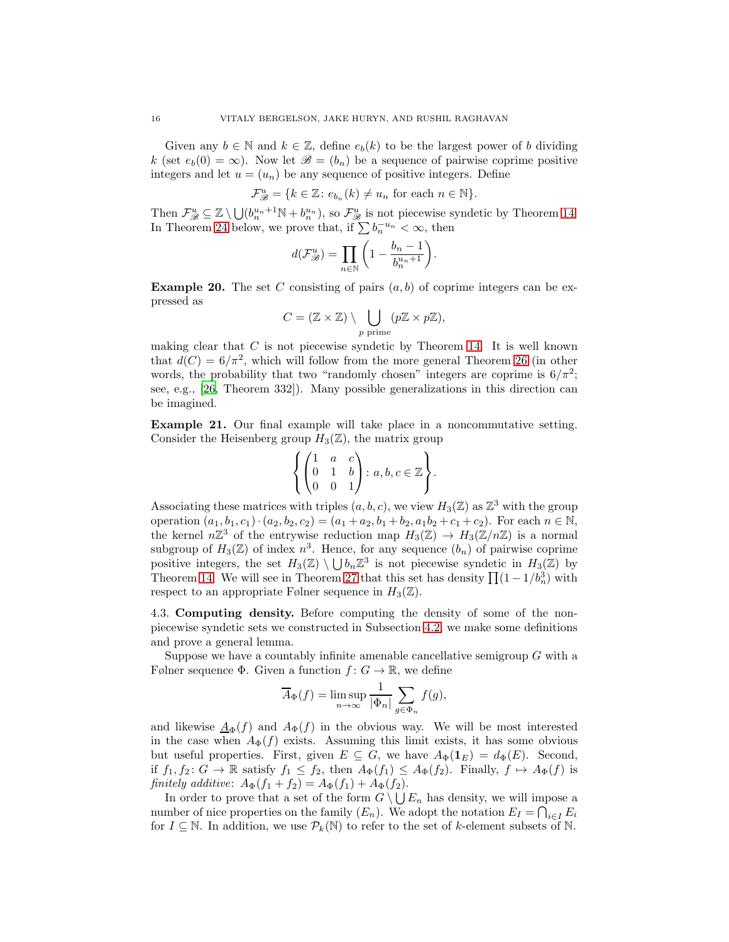Given any  $b \in \mathbb{N}$  and  $k \in \mathbb{Z}$ , define  $e_b(k)$  to be the largest power of b dividing k (set  $e_b(0) = \infty$ ). Now let  $\mathscr{B} = (b_n)$  be a sequence of pairwise coprime positive integers and let  $u = (u_n)$  be any sequence of positive integers. Define

$$
\mathcal{F}_{\mathcal{B}}^u = \{ k \in \mathbb{Z} \colon e_{b_n}(k) \neq u_n \text{ for each } n \in \mathbb{N} \}.
$$

Then  $\mathcal{F}_{\mathcal{B}}^u \subseteq \mathbb{Z} \setminus \bigcup (b_n^{u_n+1} \mathbb{N} + b_n^{u_n}),$  so  $\mathcal{F}_{\mathcal{B}}^u$  is not piecewise syndetic by Theorem [14.](#page-12-3) In Theorem [24](#page-17-0) below, we prove that, if  $\sum b_n^{-u_n} < \infty$ , then

$$
d(\mathcal{F}_{\mathscr{B}}^u) = \prod_{n \in \mathbb{N}} \bigg(1 - \frac{b_n - 1}{b_n^{u_n + 1}}\bigg).
$$

<span id="page-15-0"></span>**Example 20.** The set C consisting of pairs  $(a, b)$  of coprime integers can be expressed as

$$
C = (\mathbb{Z} \times \mathbb{Z}) \setminus \bigcup_{p \text{ prime}} (p\mathbb{Z} \times p\mathbb{Z}),
$$

making clear that  $C$  is not piecewise syndetic by Theorem [14.](#page-12-3) It is well known that  $d(C) = 6/\pi^2$ , which will follow from the more general Theorem [26](#page-18-0) (in other words, the probability that two "randomly chosen" integers are coprime is  $6/\pi^2$ ; see, e.g., [\[26,](#page-34-21) Theorem 332]). Many possible generalizations in this direction can be imagined.

<span id="page-15-1"></span>Example 21. Our final example will take place in a noncommutative setting. Consider the Heisenberg group  $H_3(\mathbb{Z})$ , the matrix group

$$
\left\{ \begin{pmatrix} 1 & a & c \\ 0 & 1 & b \\ 0 & 0 & 1 \end{pmatrix} : a, b, c \in \mathbb{Z} \right\}.
$$

Associating these matrices with triples  $(a, b, c)$ , we view  $H_3(\mathbb{Z})$  as  $\mathbb{Z}^3$  with the group operation  $(a_1, b_1, c_1) \cdot (a_2, b_2, c_2) = (a_1 + a_2, b_1 + b_2, a_1b_2 + c_1 + c_2)$ . For each  $n \in \mathbb{N}$ , the kernel  $n\mathbb{Z}^3$  of the entrywise reduction map  $H_3(\mathbb{Z}) \to H_3(\mathbb{Z}/n\mathbb{Z})$  is a normal subgroup of  $H_3(\mathbb{Z})$  of index  $n^3$ . Hence, for any sequence  $(b_n)$  of pairwise coprime positive integers, the set  $H_3(\mathbb{Z}) \setminus \bigcup b_n\mathbb{Z}^3$  is not piecewise syndetic in  $H_3(\mathbb{Z})$  by Theorem [14.](#page-12-3) We will see in Theorem [27](#page-19-1) that this set has density  $\prod (1 - 1/b_n^3)$  with respect to an appropriate Følner sequence in  $H_3(\mathbb{Z})$ .

4.3. Computing density. Before computing the density of some of the nonpiecewise syndetic sets we constructed in Subsection [4.2,](#page-14-2) we make some definitions and prove a general lemma.

Suppose we have a countably infinite amenable cancellative semigroup  $G$  with a Følner sequence Φ. Given a function  $f: G \to \mathbb{R}$ , we define

$$
\overline{A}_{\Phi}(f) = \limsup_{n \to \infty} \frac{1}{|\Phi_n|} \sum_{g \in \Phi_n} f(g),
$$

and likewise  $\underline{A}_{\Phi}(f)$  and  $A_{\Phi}(f)$  in the obvious way. We will be most interested in the case when  $A_{\Phi}(f)$  exists. Assuming this limit exists, it has some obvious but useful properties. First, given  $E \subseteq G$ , we have  $A_{\Phi}(\mathbf{1}_E) = d_{\Phi}(E)$ . Second, if  $f_1, f_2 \colon G \to \mathbb{R}$  satisfy  $f_1 \leq f_2$ , then  $A_{\Phi}(f_1) \leq A_{\Phi}(f_2)$ . Finally,  $f \mapsto A_{\Phi}(f)$  is *finitely additive*:  $A_{\Phi}(f_1 + f_2) = A_{\Phi}(f_1) + A_{\Phi}(f_2)$ .

In order to prove that a set of the form  $G \setminus \bigcup E_n$  has density, we will impose a number of nice properties on the family  $(E_n)$ . We adopt the notation  $E_I = \bigcap_{i \in I} E_i$ for  $I \subseteq \mathbb{N}$ . In addition, we use  $\mathcal{P}_k(\mathbb{N})$  to refer to the set of k-element subsets of N.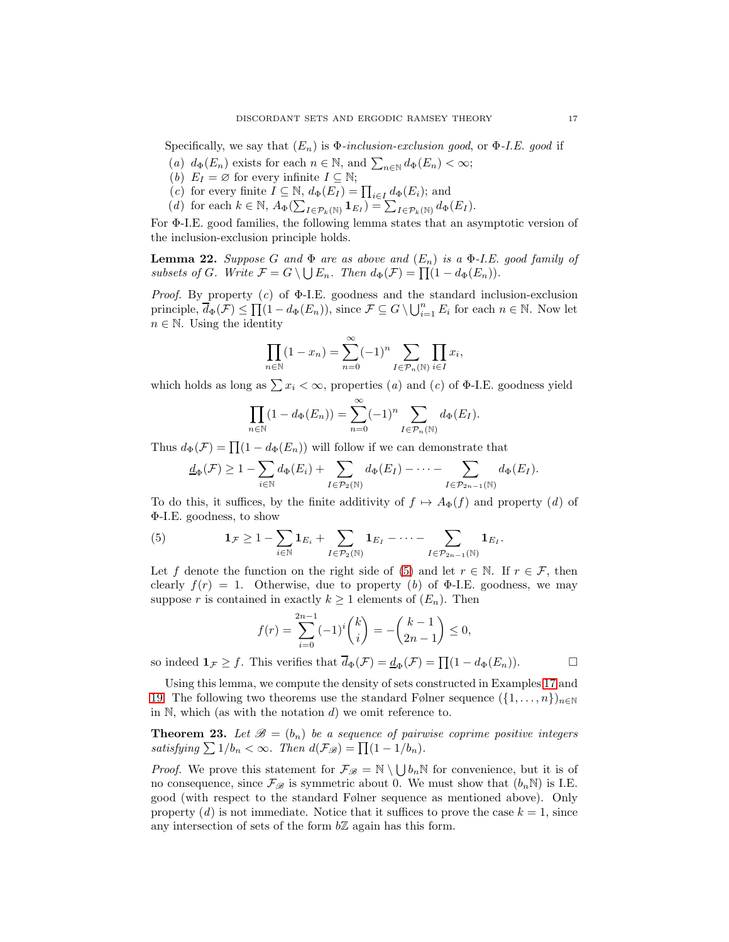Specifically, we say that  $(E_n)$  is  $\Phi$ -inclusion-exclusion good, or  $\Phi$ -*I.E.* good if

- (*a*)  $d_{\Phi}(E_n)$  exists for each  $n \in \mathbb{N}$ , and  $\sum_{n \in \mathbb{N}} d_{\Phi}(E_n) < \infty$ ;
- (*b*)  $E_I = \emptyset$  for every infinite  $I \subseteq \mathbb{N}$ ;
- (*c*) for every finite  $I \subseteq \mathbb{N}$ ,  $d_{\Phi}(E_I) = \prod_{i \in I} d_{\Phi}(E_i)$ ; and
- (*d*) for each  $k \in \mathbb{N}$ ,  $A_{\Phi}(\sum_{I \in \mathcal{P}_k(\mathbb{N})} \mathbf{1}_{E_I}) = \sum_{I \in \mathcal{P}_k(\mathbb{N})} d_{\Phi}(E_I)$ .

For Φ-I.E. good families, the following lemma states that an asymptotic version of the inclusion-exclusion principle holds.

<span id="page-16-2"></span>**Lemma 22.** *Suppose* G and  $\Phi$  are as above and  $(E_n)$  is a  $\Phi$ -I.E. good family of *subsets of* G. Write  $\mathcal{F} = G \setminus \bigcup E_n$ . Then  $d_{\Phi}(\mathcal{F}) = \prod_{n=1}^{\infty} (1 - d_{\Phi}(E_n)).$ 

*Proof.* By property (*c*) of Φ-I.E. goodness and the standard inclusion-exclusion principle,  $\overline{d}_{\Phi}(\mathcal{F}) \leq \prod_{i=1}^n (1 - d_{\Phi}(E_n))$ , since  $\mathcal{F} \subseteq G \setminus \bigcup_{i=1}^n E_i$  for each  $n \in \mathbb{N}$ . Now let  $n \in \mathbb{N}$ . Using the identity

$$
\prod_{n \in \mathbb{N}} (1 - x_n) = \sum_{n=0}^{\infty} (-1)^n \sum_{I \in \mathcal{P}_n(\mathbb{N})} \prod_{i \in I} x_i,
$$

which holds as long as  $\sum x_i < \infty$ , properties (*a*) and (*c*) of  $\Phi$ -I.E. goodness yield

$$
\prod_{n\in\mathbb{N}}(1-d_{\Phi}(E_n))=\sum_{n=0}^{\infty}(-1)^n\sum_{I\in\mathcal{P}_n(\mathbb{N})}d_{\Phi}(E_I).
$$

Thus  $d_{\Phi}(\mathcal{F}) = \prod (1 - d_{\Phi}(E_n))$  will follow if we can demonstrate that

$$
\underline{d}_{\Phi}(\mathcal{F}) \geq 1 - \sum_{i \in \mathbb{N}} d_{\Phi}(E_i) + \sum_{I \in \mathcal{P}_2(\mathbb{N})} d_{\Phi}(E_I) - \cdots - \sum_{I \in \mathcal{P}_{2n-1}(\mathbb{N})} d_{\Phi}(E_I).
$$

To do this, it suffices, by the finite additivity of  $f \mapsto A_{\Phi}(f)$  and property (*d*) of Φ-I.E. goodness, to show

<span id="page-16-1"></span>(5) 
$$
\mathbf{1}_{\mathcal{F}} \geq 1 - \sum_{i \in \mathbb{N}} \mathbf{1}_{E_i} + \sum_{I \in \mathcal{P}_2(\mathbb{N})} \mathbf{1}_{E_I} - \cdots - \sum_{I \in \mathcal{P}_{2n-1}(\mathbb{N})} \mathbf{1}_{E_I}.
$$

Let f denote the function on the right side of [\(5\)](#page-16-1) and let  $r \in \mathbb{N}$ . If  $r \in \mathcal{F}$ , then clearly  $f(r) = 1$ . Otherwise, due to property (b) of  $\Phi$ -I.E. goodness, we may suppose r is contained in exactly  $k \geq 1$  elements of  $(E_n)$ . Then

$$
f(r) = \sum_{i=0}^{2n-1} (-1)^i \binom{k}{i} = -\binom{k-1}{2n-1} \le 0,
$$

so indeed  $\mathbf{1}_{\mathcal{F}} \geq f$ . This verifies that  $\overline{d}_{\Phi}(\mathcal{F}) = \underline{d}_{\Phi}(\mathcal{F}) = \prod (1 - d_{\Phi}(E_n))$ .

Using this lemma, we compute the density of sets constructed in Examples [17](#page-14-1) and [19.](#page-14-3) The following two theorems use the standard Følner sequence  $({1,\ldots,n})_{n\in\mathbb{N}}$ in  $\mathbb N$ , which (as with the notation  $d$ ) we omit reference to.

<span id="page-16-0"></span>**Theorem 23.** Let  $\mathcal{B} = (b_n)$  be a sequence of pairwise coprime positive integers *satisfying*  $\sum 1/b_n < \infty$ . Then  $d(\mathcal{F}_{\mathscr{B}}) = \prod (1 - 1/b_n)$ .

*Proof.* We prove this statement for  $\mathcal{F}_{\mathscr{B}} = \mathbb{N} \setminus \bigcup b_n \mathbb{N}$  for convenience, but it is of no consequence, since  $\mathcal{F}_{\mathscr{B}}$  is symmetric about 0. We must show that  $(b_n\mathbb{N})$  is I.E. good (with respect to the standard Følner sequence as mentioned above). Only property  $(d)$  is not immediate. Notice that it suffices to prove the case  $k = 1$ , since any intersection of sets of the form  $b\mathbb{Z}$  again has this form.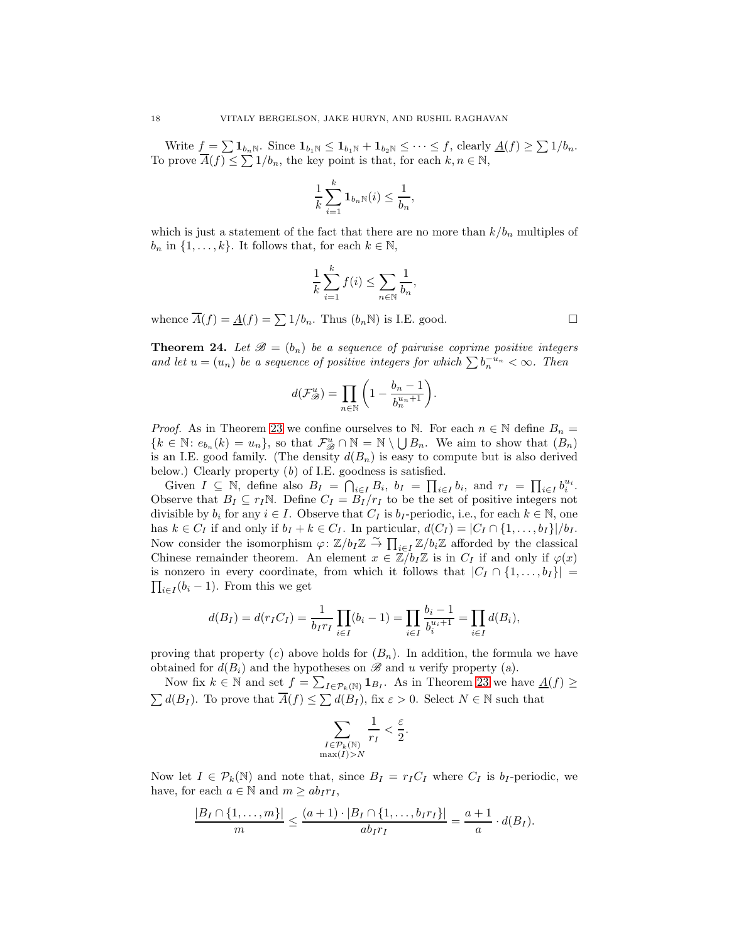Write  $f = \sum \mathbf{1}_{b_n}$ . Since  $\mathbf{1}_{b_1} \leq \mathbf{1}_{b_1} + \mathbf{1}_{b_2} \leq \cdots \leq f$ , clearly  $\underline{A}(f) \geq \sum \mathbf{1}/b_n$ . To prove  $\overline{A}(f) \leq \sum 1/b_n$ , the key point is that, for each  $k, n \in \mathbb{N}$ ,

$$
\frac{1}{k}\sum_{i=1}^k \mathbf{1}_{b_n\mathbb{N}}(i) \le \frac{1}{b_n},
$$

which is just a statement of the fact that there are no more than  $k/b_n$  multiples of  $b_n$  in  $\{1, \ldots, k\}$ . It follows that, for each  $k \in \mathbb{N}$ ,

$$
\frac{1}{k}\sum_{i=1}^k f(i) \le \sum_{n \in \mathbb{N}} \frac{1}{b_n},
$$

whence  $\overline{A}(f) = \underline{A}(f) = \sum 1/b_n$ . Thus  $(b_n \mathbb{N})$  is I.E. good.

<span id="page-17-0"></span>**Theorem 24.** Let  $\mathcal{B} = (b_n)$  be a sequence of pairwise coprime positive integers *and let*  $u = (u_n)$  *be a sequence of positive integers for which*  $\sum b_n^{-u_n} < \infty$ *. Then* 

$$
d(\mathcal{F}_{\mathcal{B}}^u) = \prod_{n \in \mathbb{N}} \bigg( 1 - \frac{b_n - 1}{b_n^{u_n + 1}} \bigg).
$$

*Proof.* As in Theorem [23](#page-16-0) we confine ourselves to N. For each  $n \in \mathbb{N}$  define  $B_n =$  $\{k \in \mathbb{N} : e_{b_n}(k) = u_n\}$ , so that  $\mathcal{F}_{\mathcal{B}}^u \cap \mathbb{N} = \mathbb{N} \setminus \bigcup B_n$ . We aim to show that  $(B_n)$ is an I.E. good family. (The density  $d(B_n)$  is easy to compute but is also derived below.) Clearly property (*b*) of I.E. goodness is satisfied.

Given  $I \subseteq \mathbb{N}$ , define also  $B_I = \bigcap_{i \in I} B_i$ ,  $b_I = \prod_{i \in I} b_i$ , and  $r_I = \prod_{i \in I} b_i^{u_i}$ . Observe that  $B_I \subseteq r_I \mathbb{N}$ . Define  $C_I = B_I/r_I$  to be the set of positive integers not divisible by  $b_i$  for any  $i \in I$ . Observe that  $C_I$  is  $b_I$ -periodic, i.e., for each  $k \in \mathbb{N}$ , one has  $k \in C_I$  if and only if  $b_I + k \in C_I$ . In particular,  $d(C_I) = |C_I \cap \{1, \ldots, b_I\}|/b_I$ . Now consider the isomorphism  $\varphi: \mathbb{Z}/b_I \mathbb{Z} \overset{\sim}{\to} \prod_{i \in I} \mathbb{Z}/b_i \mathbb{Z}$  afforded by the classical Chinese remainder theorem. An element  $x \in \mathbb{Z}/b_I\mathbb{Z}$  is in  $C_I$  if and only if  $\varphi(x)$  $\prod_{i\in I} (b_i - 1)$ . From this we get is nonzero in every coordinate, from which it follows that  $|C_I \cap \{1, \ldots, b_I\}|$ 

$$
d(B_I) = d(r_I C_I) = \frac{1}{b_I r_I} \prod_{i \in I} (b_i - 1) = \prod_{i \in I} \frac{b_i - 1}{b_i^{u_i + 1}} = \prod_{i \in I} d(B_i),
$$

proving that property  $(c)$  above holds for  $(B_n)$ . In addition, the formula we have obtained for  $d(B_i)$  and the hypotheses on  $\mathscr B$  and u verify property (a).

Now fix  $k \in \mathbb{N}$  and set  $f = \sum_{I \in \mathcal{P}_k(\mathbb{N})} \mathbf{1}_{B_I}$ . As in Theorem [23](#page-16-0) we have  $\underline{A}(f) \geq$  $\sum d(B_I)$ . To prove that  $\overline{A}(f) \leq \sum d(B_I)$ , fix  $\varepsilon > 0$ . Select  $N \in \mathbb{N}$  such that

$$
\sum_{\substack{I \in \mathcal{P}_k(\mathbb{N}) \\ \max(I) > N}} \frac{1}{r_I} < \frac{\varepsilon}{2}.
$$

Now let  $I \in \mathcal{P}_k(\mathbb{N})$  and note that, since  $B_I = r_I C_I$  where  $C_I$  is  $b_I$ -periodic, we have, for each  $a \in \mathbb{N}$  and  $m \ge ab_I r_I$ ,

$$
\frac{|B_I \cap \{1,\ldots,m\}|}{m} \leq \frac{(a+1) \cdot |B_I \cap \{1,\ldots,b_I r_I\}|}{ab_{I r_I}} = \frac{a+1}{a} \cdot d(B_I).
$$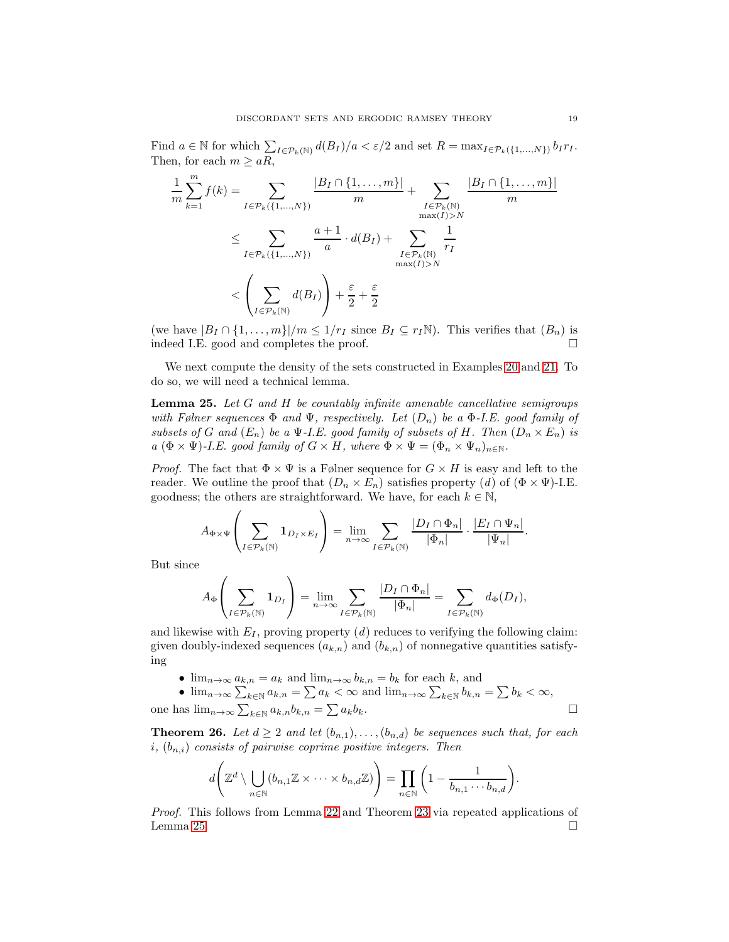Find  $a \in \mathbb{N}$  for which  $\sum_{I \in \mathcal{P}_k(\mathbb{N})} d(B_I)/a < \varepsilon/2$  and set  $R = \max_{I \in \mathcal{P}_k(\{1,\dots,N\})} b_I r_I$ . Then, for each  $m \ge aR$ ,

$$
\frac{1}{m} \sum_{k=1}^{m} f(k) = \sum_{I \in \mathcal{P}_k(\{1,\ldots,N\})} \frac{|B_I \cap \{1,\ldots,m\}|}{m} + \sum_{\substack{I \in \mathcal{P}_k(\mathbb{N}) \\ \max(I) > N}} \frac{|B_I \cap \{1,\ldots,m\}|}{m}
$$
\n
$$
\leq \sum_{I \in \mathcal{P}_k(\{1,\ldots,N\})} \frac{a+1}{a} \cdot d(B_I) + \sum_{\substack{I \in \mathcal{P}_k(\mathbb{N}) \\ \max(I) > N}} \frac{1}{r_I}
$$
\n
$$
< \left(\sum_{I \in \mathcal{P}_k(\mathbb{N})} d(B_I)\right) + \frac{\varepsilon}{2} + \frac{\varepsilon}{2}
$$

(we have  $|B_I \cap \{1, \ldots, m\}|/m \leq 1/r_I$  since  $B_I \subseteq r_I \mathbb{N}$ ). This verifies that  $(B_n)$  is indeed I.E. good and completes the proof.

We next compute the density of the sets constructed in Examples [20](#page-15-0) and [21.](#page-15-1) To do so, we will need a technical lemma.

<span id="page-18-1"></span>Lemma 25. *Let* G *and* H *be countably infinite amenable cancellative semigroups with Følner sequences* Φ *and* Ψ*, respectively. Let* (Dn) *be a* Φ*-I.E. good family of subsets of* G and  $(E_n)$  *be a* Ψ*-I.E. good family of subsets of* H. Then  $(D_n \times E_n)$  *is a*  $(\Phi \times \Psi)$ *-I.E. good family of*  $G \times H$ *, where*  $\Phi \times \Psi = (\Phi_n \times \Psi_n)_{n \in \mathbb{N}}$ *.* 

*Proof.* The fact that  $\Phi \times \Psi$  is a Følner sequence for  $G \times H$  is easy and left to the reader. We outline the proof that  $(D_n \times E_n)$  satisfies property  $(d)$  of  $(\Phi \times \Psi)$ -I.E. goodness; the others are straightforward. We have, for each  $k \in \mathbb{N}$ ,

$$
A_{\Phi\times\Psi}\left(\sum_{I\in\mathcal{P}_k(\mathbb{N})}\mathbf{1}_{D_I\times E_I}\right)=\lim_{n\to\infty}\sum_{I\in\mathcal{P}_k(\mathbb{N})}\frac{|D_I\cap\Phi_n|}{|\Phi_n|}\cdot\frac{|E_I\cap\Psi_n|}{|\Psi_n|}.
$$

But since

$$
A_{\Phi}\left(\sum_{I\in\mathcal{P}_k(\mathbb{N})}\mathbf{1}_{D_I}\right)=\lim_{n\to\infty}\sum_{I\in\mathcal{P}_k(\mathbb{N})}\frac{|D_I\cap\Phi_n|}{|\Phi_n|}=\sum_{I\in\mathcal{P}_k(\mathbb{N})}d_{\Phi}(D_I),
$$

and likewise with  $E_I$ , proving property  $(d)$  reduces to verifying the following claim: given doubly-indexed sequences  $(a_{k,n})$  and  $(b_{k,n})$  of nonnegative quantities satisfying

•  $\lim_{n\to\infty} a_{k,n} = a_k$  and  $\lim_{n\to\infty} b_{k,n} = b_k$  for each k, and

• 
$$
\lim_{n\to\infty} \sum_{k\in\mathbb{N}} a_{k,n} = \sum a_k < \infty
$$
 and  $\lim_{n\to\infty} \sum_{k\in\mathbb{N}} b_{k,n} = \sum b_k < \infty$ ,  
one has  $\lim_{n\to\infty} \sum_{k\in\mathbb{N}} a_{k,n} b_{k,n} = \sum a_k b_k$ .

<span id="page-18-0"></span>**Theorem 26.** Let  $d \geq 2$  and let  $(b_{n,1}), \ldots, (b_{n,d})$  be sequences such that, for each  $i, (b_{n,i})$  *consists of pairwise coprime positive integers. Then* 

$$
d\left(\mathbb{Z}^d\setminus \bigcup_{n\in\mathbb{N}} (b_{n,1}\mathbb{Z}\times\cdots\times b_{n,d}\mathbb{Z})\right)=\prod_{n\in\mathbb{N}} \left(1-\frac{1}{b_{n,1}\cdots b_{n,d}}\right).
$$

*Proof.* This follows from Lemma [22](#page-16-2) and Theorem [23](#page-16-0) via repeated applications of Lemma [25.](#page-18-1)  $\Box$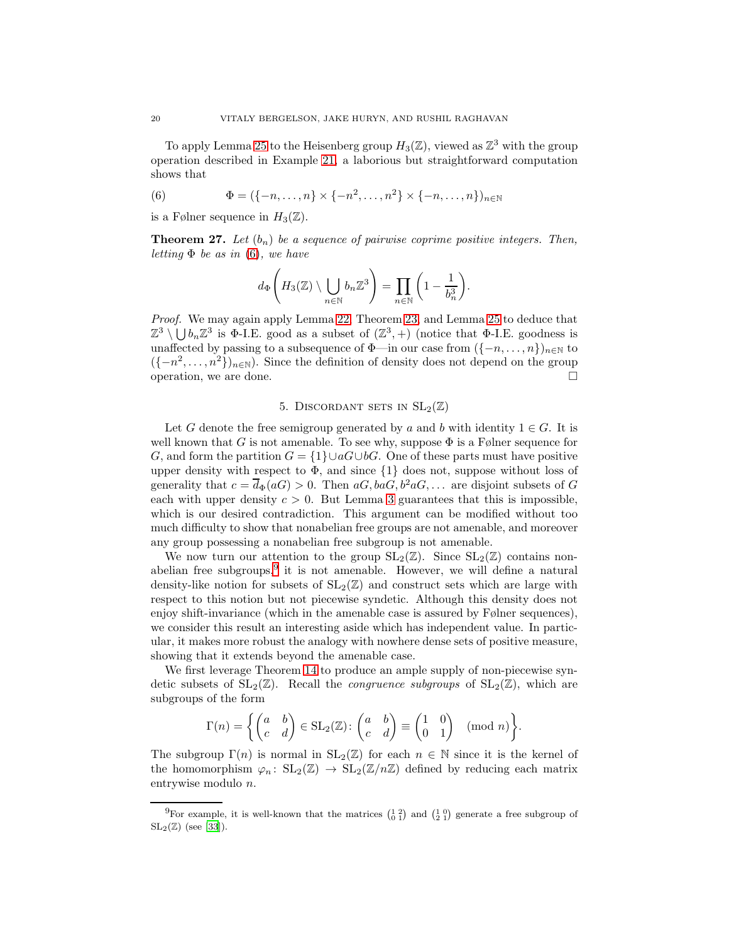To apply Lemma [25](#page-18-1) to the Heisenberg group  $H_3(\mathbb{Z})$ , viewed as  $\mathbb{Z}^3$  with the group operation described in Example [21,](#page-15-1) a laborious but straightforward computation shows that

<span id="page-19-2"></span>(6) 
$$
\Phi = (\{-n, \ldots, n\} \times \{-n^2, \ldots, n^2\} \times \{-n, \ldots, n\})_{n \in \mathbb{N}}
$$

is a Følner sequence in  $H_3(\mathbb{Z})$ .

<span id="page-19-1"></span>**Theorem 27.** Let  $(b_n)$  be a sequence of pairwise coprime positive integers. Then, *letting* Φ *be as in* [\(6\)](#page-19-2)*, we have*

$$
d_{\Phi}\Bigg(H_3(\mathbb{Z})\setminus\bigcup_{n\in\mathbb{N}}b_n\mathbb{Z}^3\Bigg)=\prod_{n\in\mathbb{N}}\bigg(1-\frac{1}{b_n^3}\bigg).
$$

*Proof.* We may again apply Lemma [22,](#page-16-2) Theorem [23,](#page-16-0) and Lemma [25](#page-18-1) to deduce that  $\mathbb{Z}^3 \setminus \bigcup b_n \mathbb{Z}^3$  is  $\Phi$ -I.E. good as a subset of  $(\mathbb{Z}^3, +)$  (notice that  $\Phi$ -I.E. goodness is unaffected by passing to a subsequence of  $\Phi$ —in our case from  $({-n, \ldots, n})_{n\in\mathbb{N}}$  to  $({-n<sup>2</sup>,...,n<sup>2</sup>})<sub>n\in\mathbb{N}}</sub>$ ). Since the definition of density does not depend on the group operation, we are done.

## 5. DISCORDANT SETS IN  $SL_2(\mathbb{Z})$

<span id="page-19-0"></span>Let G denote the free semigroup generated by a and b with identity  $1 \in G$ . It is well known that G is not amenable. To see why, suppose  $\Phi$  is a Følner sequence for G, and form the partition  $G = \{1\} \cup aG \cup bG$ . One of these parts must have positive upper density with respect to  $\Phi$ , and since  $\{1\}$  does not, suppose without loss of generality that  $c = \overline{d}_{\Phi}(aG) > 0$ . Then  $aG, baG, b^2 aG, \ldots$  are disjoint subsets of G each with upper density  $c > 0$ . But Lemma [3](#page-6-0) guarantees that this is impossible, which is our desired contradiction. This argument can be modified without too much difficulty to show that nonabelian free groups are not amenable, and moreover any group possessing a nonabelian free subgroup is not amenable.

We now turn our attention to the group  $SL_2(\mathbb{Z})$ . Since  $SL_2(\mathbb{Z})$  contains nonabelian free subgroups, $9$  it is not amenable. However, we will define a natural density-like notion for subsets of  $SL_2(\mathbb{Z})$  and construct sets which are large with respect to this notion but not piecewise syndetic. Although this density does not enjoy shift-invariance (which in the amenable case is assured by Følner sequences), we consider this result an interesting aside which has independent value. In particular, it makes more robust the analogy with nowhere dense sets of positive measure, showing that it extends beyond the amenable case.

We first leverage Theorem [14](#page-12-3) to produce an ample supply of non-piecewise syndetic subsets of  $SL_2(\mathbb{Z})$ . Recall the *congruence subgroups* of  $SL_2(\mathbb{Z})$ , which are subgroups of the form

$$
\Gamma(n) = \left\{ \begin{pmatrix} a & b \\ c & d \end{pmatrix} \in SL_2(\mathbb{Z}) : \begin{pmatrix} a & b \\ c & d \end{pmatrix} \equiv \begin{pmatrix} 1 & 0 \\ 0 & 1 \end{pmatrix} \pmod{n} \right\}.
$$

The subgroup  $\Gamma(n)$  is normal in  $SL_2(\mathbb{Z})$  for each  $n \in \mathbb{N}$  since it is the kernel of the homomorphism  $\varphi_n: SL_2(\mathbb{Z}) \to SL_2(\mathbb{Z}/n\mathbb{Z})$  defined by reducing each matrix entrywise modulo n.

<span id="page-19-3"></span><sup>&</sup>lt;sup>9</sup>For example, it is well-known that the matrices  $\begin{pmatrix} 1 & 2 \\ 0 & 1 \end{pmatrix}$  and  $\begin{pmatrix} 1 & 0 \\ 2 & 1 \end{pmatrix}$  generate a free subgroup of  $SL_2(\mathbb{Z})$  (see [\[33](#page-34-22)]).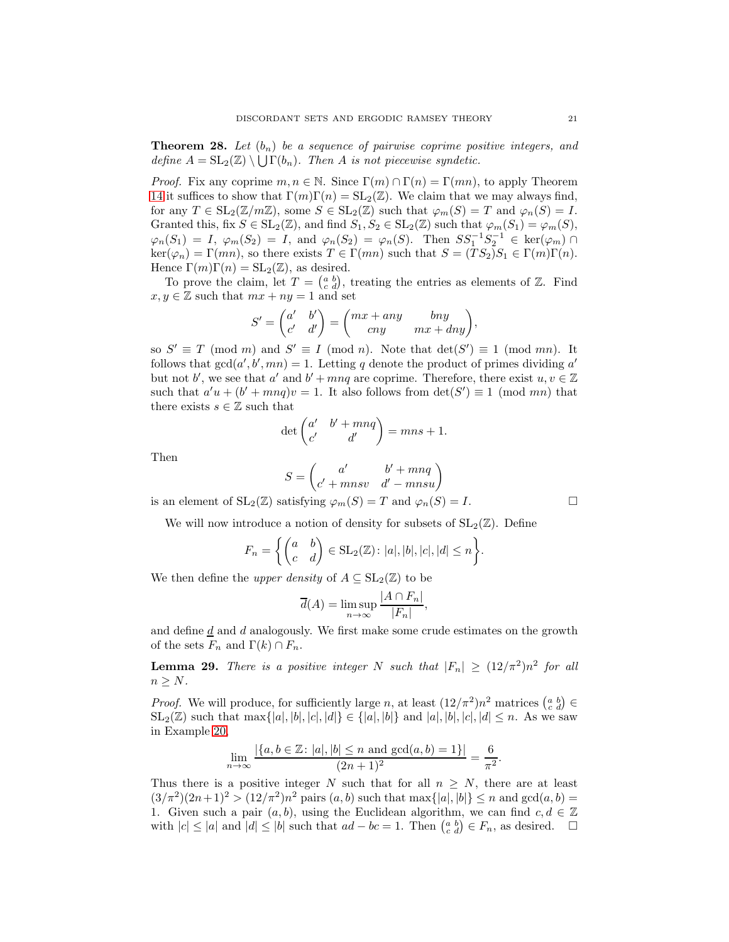<span id="page-20-0"></span>**Theorem 28.** Let  $(b_n)$  be a sequence of pairwise coprime positive integers, and *define*  $A = SL_2(\mathbb{Z}) \setminus \bigcup \Gamma(b_n)$ *. Then A is not piecewise syndetic.* 

*Proof.* Fix any coprime  $m, n \in \mathbb{N}$ . Since  $\Gamma(m) \cap \Gamma(n) = \Gamma(mn)$ , to apply Theorem [14](#page-12-3) it suffices to show that  $\Gamma(m)\Gamma(n) = SL_2(\mathbb{Z})$ . We claim that we may always find, for any  $T \in SL_2(\mathbb{Z}/m\mathbb{Z})$ , some  $S \in SL_2(\mathbb{Z})$  such that  $\varphi_m(S) = T$  and  $\varphi_n(S) = I$ . Granted this, fix  $S \in SL_2(\mathbb{Z})$ , and find  $S_1, S_2 \in SL_2(\mathbb{Z})$  such that  $\varphi_m(S_1) = \varphi_m(S)$ ,  $\varphi_n(S_1) = I, \ \varphi_m(S_2) = I, \text{ and } \varphi_n(S_2) = \varphi_n(S)$ . Then  $SS_1^{-1}S_2^{-1} \in \text{ker}(\varphi_m) \cap$  $\ker(\varphi_n) = \Gamma(mn)$ , so there exists  $T \in \Gamma(mn)$  such that  $S = (TS_2)S_1 \in \Gamma(m)\Gamma(n)$ . Hence  $\Gamma(m)\Gamma(n) = SL_2(\mathbb{Z})$ , as desired.

To prove the claim, let  $T = \begin{pmatrix} a & b \\ c & d \end{pmatrix}$ , treating the entries as elements of Z. Find  $x, y \in \mathbb{Z}$  such that  $mx + ny = 1$  and set

$$
S' = \begin{pmatrix} a' & b' \\ c' & d' \end{pmatrix} = \begin{pmatrix} mx + any & bny \\ cny & mx + dny \end{pmatrix},
$$

so  $S' \equiv T \pmod{m}$  and  $S' \equiv I \pmod{n}$ . Note that  $\det(S') \equiv 1 \pmod{mn}$ . It follows that  $gcd(a', b', mn) = 1$ . Letting q denote the product of primes dividing a' but not b', we see that  $a'$  and  $b' + mnq$  are coprime. Therefore, there exist  $u, v \in \mathbb{Z}$ such that  $a'u + (b' + mnq)v = 1$ . It also follows from  $\det(S') \equiv 1 \pmod{mn}$  that there exists  $s \in \mathbb{Z}$  such that

$$
\det\begin{pmatrix} a' & b'+mnq \\ c' & d' \end{pmatrix} = mns + 1.
$$

Then

$$
S = \begin{pmatrix} a' & b' + mnq \\ c' + mnsv & d' - mnsu \end{pmatrix}
$$

is an element of  $SL_2(\mathbb{Z})$  satisfying  $\varphi_m(S) = T$  and  $\varphi_n(S) = I$ .

We will now introduce a notion of density for subsets of  $SL_2(\mathbb{Z})$ . Define

$$
F_n = \left\{ \begin{pmatrix} a & b \\ c & d \end{pmatrix} \in \text{SL}_2(\mathbb{Z}) \colon |a|, |b|, |c|, |d| \leq n \right\}.
$$

We then define the *upper density* of  $A \subseteq SL_2(\mathbb{Z})$  to be

$$
\overline{d}(A) = \limsup_{n \to \infty} \frac{|A \cap F_n|}{|F_n|},
$$

and define  $\underline{d}$  and d analogously. We first make some crude estimates on the growth of the sets  $F_n$  and  $\Gamma(k) \cap F_n$ .

<span id="page-20-1"></span>**Lemma 29.** There is a positive integer N such that  $|F_n| \geq (12/\pi^2)n^2$  for all  $n \geq N$ .

*Proof.* We will produce, for sufficiently large n, at least  $(12/\pi^2)n^2$  matrices  $\begin{pmatrix} a & b \\ c & d \end{pmatrix} \in$  $SL_2(\mathbb{Z})$  such that  $\max\{|a|, |b|, |c|, |d|\} \in \{|a|, |b|\}$  and  $|a|, |b|, |c|, |d| \leq n$ . As we saw in Example [20,](#page-15-0)

$$
\lim_{n \to \infty} \frac{|\{a, b \in \mathbb{Z} : |a|, |b| \le n \text{ and } \gcd(a, b) = 1\}|}{(2n + 1)^2} = \frac{6}{\pi^2}.
$$

Thus there is a positive integer N such that for all  $n \geq N$ , there are at least  $(3/\pi^2)(2n+1)^2 > (12/\pi^2)n^2$  pairs  $(a, b)$  such that max $\{|a|, |b|\} \leq n$  and  $gcd(a, b)$ 1. Given such a pair  $(a, b)$ , using the Euclidean algorithm, we can find  $c, d \in \mathbb{Z}$ with  $|c| \le |a|$  and  $|d| \le |b|$  such that  $ad - bc = 1$ . Then  $\begin{pmatrix} a & b \\ c & d \end{pmatrix} \in F_n$ , as desired.  $\square$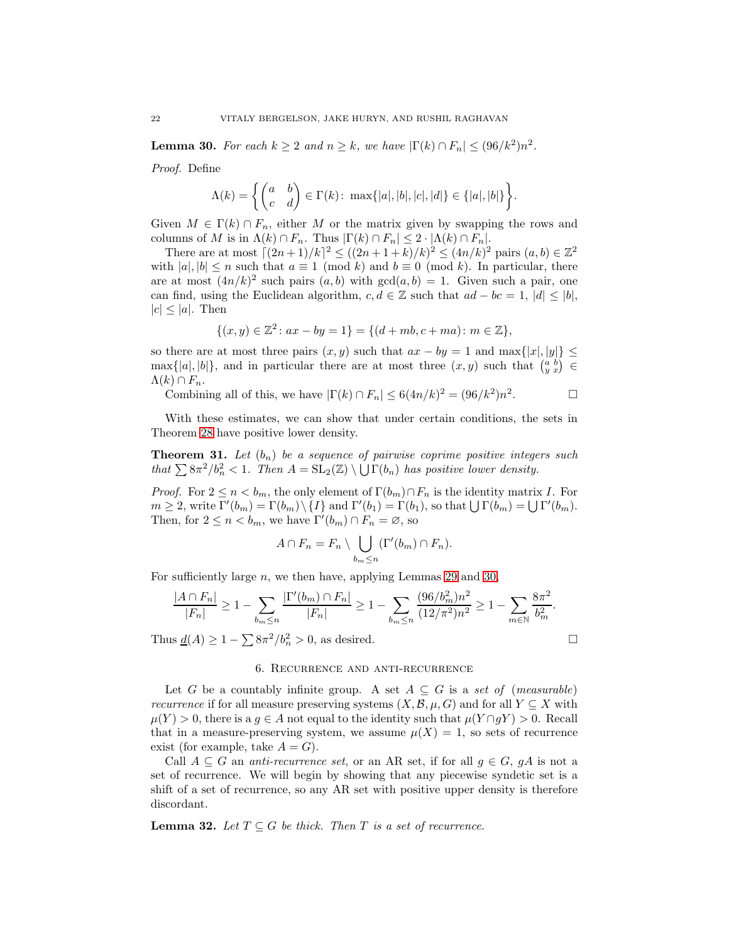<span id="page-21-1"></span>**Lemma 30.** For each  $k \geq 2$  and  $n \geq k$ , we have  $|\Gamma(k) \cap F_n| \leq (96/k^2)n^2$ .

*Proof.* Define

$$
\Lambda(k) = \left\{ \begin{pmatrix} a & b \\ c & d \end{pmatrix} \in \Gamma(k): \ \max\{|a|, |b|, |c|, |d|\} \in \{|a|, |b|\} \right\}.
$$

Given  $M \in \Gamma(k) \cap F_n$ , either M or the matrix given by swapping the rows and columns of M is in  $\Lambda(k) \cap F_n$ . Thus  $|\Gamma(k) \cap F_n| \leq 2 \cdot |\Lambda(k) \cap F_n|$ .

There are at most  $[(2n+1)/k]^2 \leq ((2n+1+k)/k)^2 \leq (4n/k)^2$  pairs  $(a, b) \in \mathbb{Z}^2$ with  $|a|, |b| \le n$  such that  $a \equiv 1 \pmod{k}$  and  $b \equiv 0 \pmod{k}$ . In particular, there are at most  $(4n/k)^2$  such pairs  $(a, b)$  with  $gcd(a, b) = 1$ . Given such a pair, one can find, using the Euclidean algorithm,  $c, d \in \mathbb{Z}$  such that  $ad - bc = 1$ ,  $|d| \leq |b|$ ,  $|c| < |a|$ . Then

$$
\{(x,y)\in\mathbb{Z}^2\colon ax-by=1\} = \{(d+mb, c+ma)\colon m\in\mathbb{Z}\},\
$$

so there are at most three pairs  $(x, y)$  such that  $ax - by = 1$  and  $\max\{|x|, |y|\} \le$  $\max\{|a|, |b|\}$ , and in particular there are at most three  $(x, y)$  such that  $\begin{pmatrix} a & b \\ y & x \end{pmatrix} \in$  $\Lambda(k) \cap F_n$ .

Combining all of this, we have  $|\Gamma(k) \cap F_n| \leq 6(4n/k)^2 = (96/k^2)n^2$  $\Box$ 

With these estimates, we can show that under certain conditions, the sets in Theorem [28](#page-20-0) have positive lower density.

**Theorem 31.** Let  $(b_n)$  be a sequence of pairwise coprime positive integers such *that*  $\sum 8\pi^2/b_n^2 < 1$ . *Then*  $A = SL_2(\mathbb{Z}) \setminus \bigcup \Gamma(b_n)$  *has positive lower density.* 

*Proof.* For  $2 \le n < b_m$ , the only element of  $\Gamma(b_m) \cap F_n$  is the identity matrix I. For  $m \geq 2$ , write  $\Gamma'(b_m) = \Gamma(b_m) \setminus \{I\}$  and  $\Gamma'(b_1) = \Gamma(b_1)$ , so that  $\bigcup \Gamma(b_m) = \bigcup \Gamma'(b_m)$ . Then, for  $2 \leq n < b_m$ , we have  $\Gamma'(b_m) \cap F_n = \emptyset$ , so

$$
A \cap F_n = F_n \setminus \bigcup_{b_m \leq n} (\Gamma'(b_m) \cap F_n).
$$

For sufficiently large  $n$ , we then have, applying Lemmas [29](#page-20-1) and [30,](#page-21-1)

$$
\frac{|A \cap F_n|}{|F_n|} \ge 1 - \sum_{b_m \le n} \frac{|\Gamma'(b_m) \cap F_n|}{|F_n|} \ge 1 - \sum_{b_m \le n} \frac{(96/b_m^2)n^2}{(12/\pi^2)n^2} \ge 1 - \sum_{m \in \mathbb{N}} \frac{8\pi^2}{b_m^2}.
$$

<span id="page-21-0"></span>Thus  $\underline{d}(A) \geq 1 - \sum 8\pi^2/b_n^2 > 0$ , as desired.

## 6. Recurrence and anti-recurrence

Let G be a countably infinite group. A set  $A \subseteq G$  is a *set of* (*measurable*) *recurrence* if for all measure preserving systems  $(X, \mathcal{B}, \mu, G)$  and for all  $Y \subseteq X$  with  $\mu(Y) > 0$ , there is a  $g \in A$  not equal to the identity such that  $\mu(Y \cap gY) > 0$ . Recall that in a measure-preserving system, we assume  $\mu(X) = 1$ , so sets of recurrence exist (for example, take  $A = G$ ).

Call  $A \subseteq G$  an *anti-recurrence set*, or an AR set, if for all  $g \in G$ , g A is not a set of recurrence. We will begin by showing that any piecewise syndetic set is a shift of a set of recurrence, so any AR set with positive upper density is therefore discordant.

**Lemma 32.** Let  $T \subseteq G$  be thick. Then T is a set of recurrence.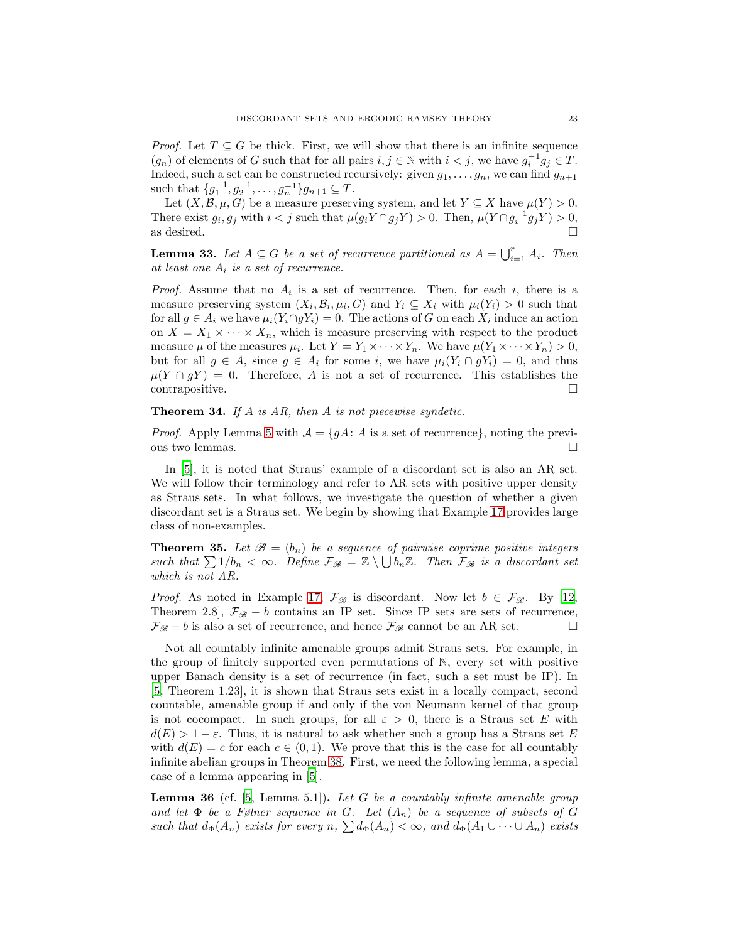*Proof.* Let  $T \subseteq G$  be thick. First, we will show that there is an infinite sequence  $(g_n)$  of elements of G such that for all pairs  $i, j \in \mathbb{N}$  with  $i < j$ , we have  $g_i^{-1}g_j \in T$ . Indeed, such a set can be constructed recursively: given  $g_1, \ldots, g_n$ , we can find  $g_{n+1}$ such that  $\{g_1^{-1}, g_2^{-1}, \ldots, g_n^{-1}\}g_{n+1} \subseteq T$ .

Let  $(X, \mathcal{B}, \mu, G)$  be a measure preserving system, and let  $Y \subseteq X$  have  $\mu(Y) > 0$ . There exist  $g_i, g_j$  with  $i < j$  such that  $\mu(g_i Y \cap g_j Y) > 0$ . Then,  $\mu(Y \cap g_i^{-1} g_j Y) > 0$ , as desired.  $\Box$ 

**Lemma 33.** Let  $A \subseteq G$  be a set of recurrence partitioned as  $A = \bigcup_{i=1}^{r} A_i$ . Then *at least one* A<sup>i</sup> *is a set of recurrence.*

*Proof.* Assume that no  $A_i$  is a set of recurrence. Then, for each i, there is a measure preserving system  $(X_i, \mathcal{B}_i, \mu_i, G)$  and  $Y_i \subseteq X_i$  with  $\mu_i(Y_i) > 0$  such that for all  $g \in A_i$  we have  $\mu_i(Y_i \cap gY_i) = 0$ . The actions of G on each  $X_i$  induce an action on  $X = X_1 \times \cdots \times X_n$ , which is measure preserving with respect to the product measure  $\mu$  of the measures  $\mu_i$ . Let  $Y = Y_1 \times \cdots \times Y_n$ . We have  $\mu(Y_1 \times \cdots \times Y_n) > 0$ , but for all  $g \in A$ , since  $g \in A_i$  for some i, we have  $\mu_i(Y_i \cap gY_i) = 0$ , and thus  $\mu(Y \cap gY) = 0$ . Therefore, A is not a set of recurrence. This establishes the  $\Box$  contrapositive.

### Theorem 34. *If* A *is AR, then* A *is not piecewise syndetic.*

*Proof.* Apply Lemma [5](#page-7-2) with  $A = \{gA: A \text{ is a set of recurrence}\}\)$ , noting the previous two lemmas.

In [\[5\]](#page-33-5), it is noted that Straus' example of a discordant set is also an AR set. We will follow their terminology and refer to AR sets with positive upper density as Straus sets. In what follows, we investigate the question of whether a given discordant set is a Straus set. We begin by showing that Example [17](#page-14-1) provides large class of non-examples.

**Theorem 35.** Let  $\mathcal{B} = (b_n)$  be a sequence of pairwise coprime positive integers *such that*  $\sum 1/b_n < \infty$ *. Define*  $\mathcal{F}_{\mathcal{B}} = \mathbb{Z} \setminus \bigcup b_n \mathbb{Z}$ *. Then*  $\mathcal{F}_{\mathcal{B}}$  *is a discordant set which is not AR.*

*Proof.* As noted in Example [17,](#page-14-1)  $\mathcal{F}_{\mathcal{B}}$  is discordant. Now let  $b \in \mathcal{F}_{\mathcal{B}}$ . By [\[12,](#page-34-7) Theorem 2.8],  $\mathcal{F}_{\mathscr{B}} - b$  contains an IP set. Since IP sets are sets of recurrence,  $\mathcal{F}_{\mathscr{B}}$  − b is also a set of recurrence, and hence  $\mathcal{F}_{\mathscr{B}}$  cannot be an AR set.  $□$ 

Not all countably infinite amenable groups admit Straus sets. For example, in the group of finitely supported even permutations of N, every set with positive upper Banach density is a set of recurrence (in fact, such a set must be IP). In [\[5,](#page-33-5) Theorem 1.23], it is shown that Straus sets exist in a locally compact, second countable, amenable group if and only if the von Neumann kernel of that group is not cocompact. In such groups, for all  $\varepsilon > 0$ , there is a Straus set E with  $d(E) > 1 - \varepsilon$ . Thus, it is natural to ask whether such a group has a Straus set E with  $d(E) = c$  for each  $c \in (0, 1)$ . We prove that this is the case for all countably infinite abelian groups in Theorem [38.](#page-24-0) First, we need the following lemma, a special case of a lemma appearing in [\[5](#page-33-5)].

<span id="page-22-0"></span>Lemma 36 (cf. [\[5](#page-33-5), Lemma 5.1]). *Let* G *be a countably infinite amenable group and let*  $\Phi$  *be a Følner sequence in G. Let*  $(A_n)$  *be a sequence of subsets of G such that*  $d_{\Phi}(A_n)$  *exists for every*  $n, \sum d_{\Phi}(A_n) < \infty$ *, and*  $d_{\Phi}(A_1 \cup \cdots \cup A_n)$  *exists*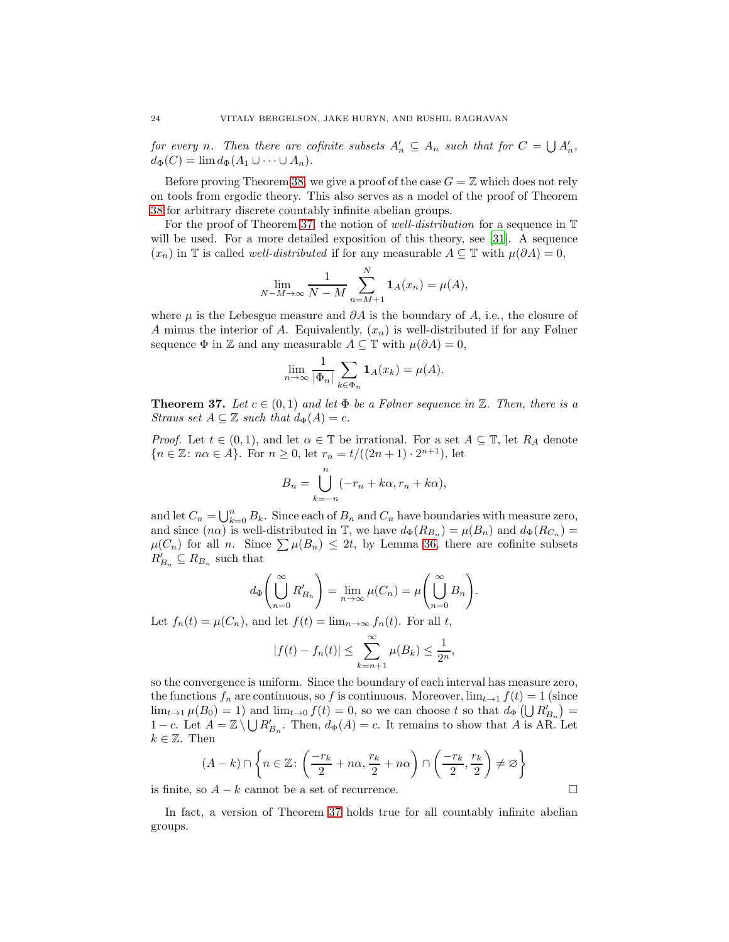*for every n*. Then there are cofinite subsets  $A'_n \subseteq A_n$  such that for  $C = \bigcup A'_n$ ,  $d_{\Phi}(C) = \lim d_{\Phi}(A_1 \cup \cdots \cup A_n).$ 

Before proving Theorem [38,](#page-24-0) we give a proof of the case  $G = \mathbb{Z}$  which does not rely on tools from ergodic theory. This also serves as a model of the proof of Theorem [38](#page-24-0) for arbitrary discrete countably infinite abelian groups.

For the proof of Theorem [37,](#page-23-0) the notion of *well-distribution* for a sequence in T will be used. For a more detailed exposition of this theory, see [\[31](#page-34-23)]. A sequence  $(x_n)$  in T is called *well-distributed* if for any measurable  $A \subseteq T$  with  $\mu(\partial A) = 0$ ,

$$
\lim_{N-M \to \infty} \frac{1}{N-M} \sum_{n=M+1}^{N} \mathbf{1}_{A}(x_{n}) = \mu(A),
$$

where  $\mu$  is the Lebesgue measure and  $\partial A$  is the boundary of A, i.e., the closure of A minus the interior of A. Equivalently,  $(x_n)$  is well-distributed if for any Følner sequence  $\Phi$  in  $\mathbb Z$  and any measurable  $A \subseteq \mathbb T$  with  $\mu(\partial A) = 0$ ,

$$
\lim_{n \to \infty} \frac{1}{|\Phi_n|} \sum_{k \in \Phi_n} \mathbf{1}_A(x_k) = \mu(A).
$$

<span id="page-23-0"></span>**Theorem 37.** Let  $c \in (0,1)$  and let  $\Phi$  be a Følner sequence in  $\mathbb{Z}$ . Then, there is a *Straus set*  $A \subseteq \mathbb{Z}$  *such that*  $d_{\Phi}(A) = c$ *.* 

*Proof.* Let  $t \in (0,1)$ , and let  $\alpha \in \mathbb{T}$  be irrational. For a set  $A \subseteq \mathbb{T}$ , let  $R_A$  denote  ${n \in \mathbb{Z} : n\alpha \in A}$ . For  $n \ge 0$ , let  $r_n = t/((2n+1) \cdot 2^{n+1})$ , let

$$
B_n = \bigcup_{k=-n}^{n} (-r_n + k\alpha, r_n + k\alpha),
$$

and let  $C_n = \bigcup_{k=0}^n B_k$ . Since each of  $B_n$  and  $C_n$  have boundaries with measure zero, and since  $(n\alpha)$  is well-distributed in  $\mathbb{T}$ , we have  $d_{\Phi}(R_{B_n}) = \mu(B_n)$  and  $d_{\Phi}(R_{C_n}) =$  $\mu(C_n)$  for all n. Since  $\sum \mu(B_n) \leq 2t$ , by Lemma [36,](#page-22-0) there are cofinite subsets  $R'_{B_n} \subseteq R_{B_n}$  such that

$$
d_{\Phi}\left(\bigcup_{n=0}^{\infty} R'_{B_n}\right) = \lim_{n \to \infty} \mu(C_n) = \mu\left(\bigcup_{n=0}^{\infty} B_n\right).
$$

Let  $f_n(t) = \mu(C_n)$ , and let  $f(t) = \lim_{n \to \infty} f_n(t)$ . For all t,

$$
|f(t) - f_n(t)| \le \sum_{k=n+1}^{\infty} \mu(B_k) \le \frac{1}{2^n},
$$

so the convergence is uniform. Since the boundary of each interval has measure zero, the functions  $f_n$  are continuous, so f is continuous. Moreover,  $\lim_{t\to 1} f(t) = 1$  (since  $\lim_{t\to 1}\mu(B_0)=1$  and  $\lim_{t\to 0}f(t)=0$ , so we can choose t so that  $d_{\Phi}\left(\bigcup R'_{B_n}\right)=$ 1 – c. Let  $A = \mathbb{Z} \setminus \bigcup R'_{B_n}$ . Then,  $d_{\Phi}(A) = c$ . It remains to show that A is AR. Let  $k \in \mathbb{Z}$ . Then

$$
(A - k) \cap \left\{ n \in \mathbb{Z} \colon \left( \frac{-r_k}{2} + n\alpha, \frac{r_k}{2} + n\alpha \right) \cap \left( \frac{-r_k}{2}, \frac{r_k}{2} \right) \neq \varnothing \right\}
$$

is finite, so  $A - k$  cannot be a set of recurrence.

In fact, a version of Theorem [37](#page-23-0) holds true for all countably infinite abelian groups.

$$
\Box
$$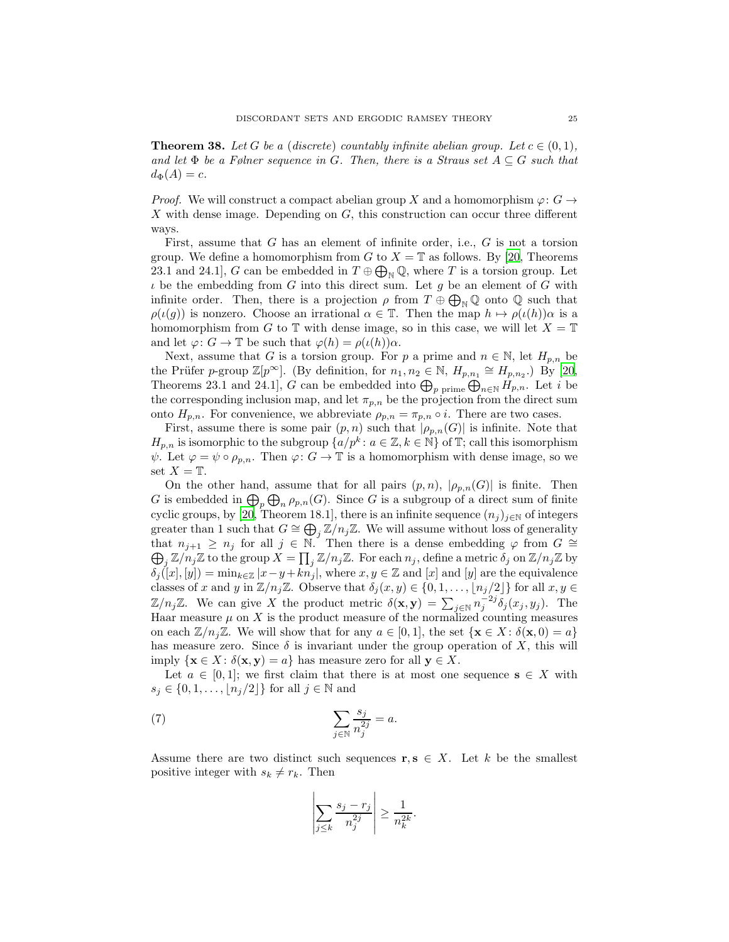<span id="page-24-0"></span>**Theorem 38.** Let G be a (discrete) countably infinite abelian group. Let  $c \in (0,1)$ , *and let*  $\Phi$  *be a Følner sequence in G. Then, there is a Straus set*  $A \subseteq G$  *such that*  $d_{\Phi}(A) = c.$ 

*Proof.* We will construct a compact abelian group X and a homomorphism  $\varphi: G \to$ X with dense image. Depending on G, this construction can occur three different ways.

First, assume that  $G$  has an element of infinite order, i.e.,  $G$  is not a torsion group. We define a homomorphism from G to  $X = \mathbb{T}$  as follows. By [\[20,](#page-34-24) Theorems] 23.1 and 24.1], G can be embedded in  $T \oplus \bigoplus_{\mathbb{N}} \mathbb{Q}$ , where T is a torsion group. Let  $\iota$  be the embedding from G into this direct sum. Let g be an element of G with infinite order. Then, there is a projection  $\rho$  from  $T \oplus \bigoplus_{\mathbb{N}} \mathbb{Q}$  onto  $\mathbb Q$  such that  $\rho(\iota(g))$  is nonzero. Choose an irrational  $\alpha \in \mathbb{T}$ . Then the map  $h \mapsto \rho(\iota(h))\alpha$  is a homomorphism from G to T with dense image, so in this case, we will let  $X = T$ and let  $\varphi: G \to \mathbb{T}$  be such that  $\varphi(h) = \rho(\iota(h))\alpha$ .

Next, assume that G is a torsion group. For p a prime and  $n \in \mathbb{N}$ , let  $H_{p,n}$  be the Prüfer p-group  $\mathbb{Z}[p^{\infty}]$ . (By definition, for  $n_1, n_2 \in \mathbb{N}$ ,  $H_{p,n_1} \cong H_{p,n_2}$ .) By [\[20,](#page-34-24) Theorems 23.1 and 24.1], G can be embedded into  $\bigoplus_{p \text{ prime}} \bigoplus_{n \in \mathbb{N}} H_{p,n}$ . Let i be the corresponding inclusion map, and let  $\pi_{p,n}$  be the projection from the direct sum onto  $H_{p,n}$ . For convenience, we abbreviate  $\rho_{p,n} = \pi_{p,n} \circ i$ . There are two cases.

First, assume there is some pair  $(p, n)$  such that  $|\rho_{p,n}(G)|$  is infinite. Note that  $H_{p,n}$  is isomorphic to the subgroup  $\{a/p^k : a \in \mathbb{Z}, k \in \mathbb{N}\}\$  of  $\mathbb{T}$ ; call this isomorphism  $\psi$ . Let  $\varphi = \psi \circ \rho_{p,n}$ . Then  $\varphi: G \to \mathbb{T}$  is a homomorphism with dense image, so we set  $X = T$ .

On the other hand, assume that for all pairs  $(p, n)$ ,  $|\rho_{p,n}(G)|$  is finite. Then G is embedded in  $\bigoplus_p \bigoplus_n \rho_{p,n}(G)$ . Since G is a subgroup of a direct sum of finite cyclic groups, by [\[20](#page-34-24), Theorem 18.1], there is an infinite sequence  $(n_j)_{j\in\mathbb{N}}$  of integers greater than 1 such that  $G \cong \bigoplus_{j} \mathbb{Z}/n_j\mathbb{Z}$ . We will assume without loss of generality that  $n_{j+1} \geq n_j$  for all  $j \in \mathbb{N}$ . Then there is a dense embedding  $\varphi$  from  $G \cong$  $\bigoplus_j \mathbb{Z}/n_j\mathbb{Z}$  to the group  $X = \prod_j \mathbb{Z}/n_j\mathbb{Z}$ . For each  $n_j$ , define a metric  $\delta_j$  on  $\mathbb{Z}/n_j\mathbb{Z}$  by  $\delta_j([x],[y]) = \min_{k \in \mathbb{Z}} |x-y+kn_j|$ , where  $x, y \in \mathbb{Z}$  and  $[x]$  and  $[y]$  are the equivalence classes of x and y in  $\mathbb{Z}/n_j\mathbb{Z}$ . Observe that  $\delta_j(x, y) \in \{0, 1, \ldots, \lfloor n_j/2 \rfloor\}$  for all  $x, y \in$  $\mathbb{Z}/n_j\mathbb{Z}$ . We can give X the product metric  $\delta(\mathbf{x}, \mathbf{y}) = \sum_{j \in \mathbb{N}} n_j^{-2j} \delta_j(x_j, y_j)$ . The Haar measure  $\mu$  on X is the product measure of the normalized counting measures on each  $\mathbb{Z}/n_j\mathbb{Z}$ . We will show that for any  $a \in [0,1]$ , the set  $\{x \in X : \delta(x, 0) = a\}$ has measure zero. Since  $\delta$  is invariant under the group operation of X, this will imply  $\{x \in X : \delta(x, y) = a\}$  has measure zero for all  $y \in X$ .

Let  $a \in [0,1]$ ; we first claim that there is at most one sequence  $s \in X$  with  $s_j \in \{0, 1, \ldots, |n_j/2|\}$  for all  $j \in \mathbb{N}$  and

(7) 
$$
\sum_{j \in \mathbb{N}} \frac{s_j}{n_j^{2j}} = a.
$$

Assume there are two distinct such sequences  $\mathbf{r}, \mathbf{s} \in X$ . Let k be the smallest positive integer with  $s_k \neq r_k$ . Then

<span id="page-24-1"></span>
$$
\left|\sum_{j\leq k}\frac{s_j-r_j}{n_j^{2j}}\right|\geq \frac{1}{n_k^{2k}}.
$$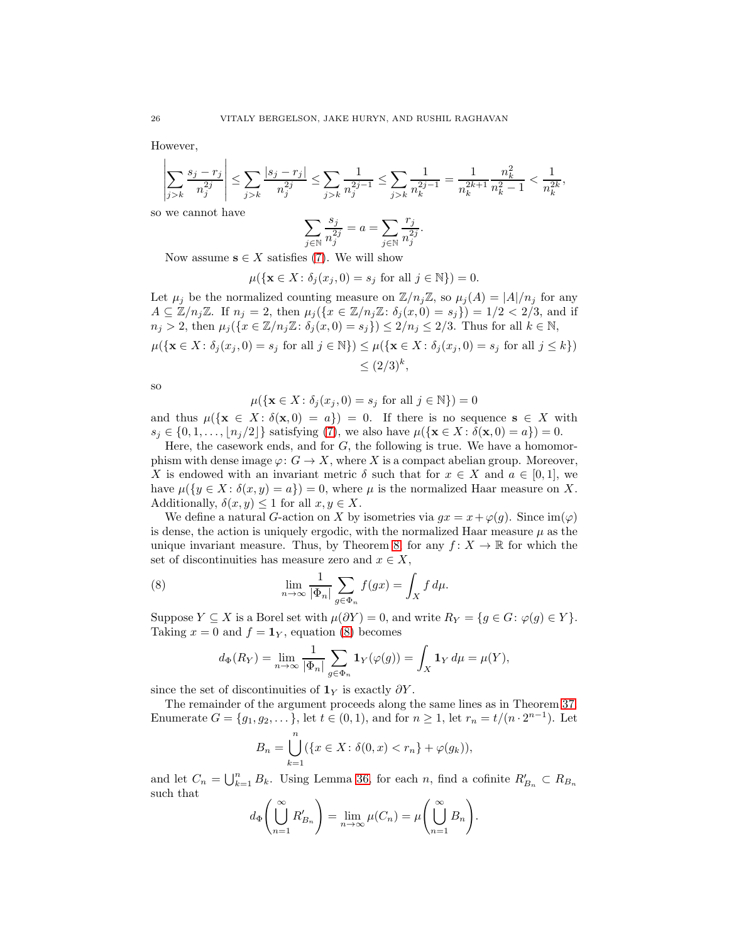However,

$$
\left|\sum_{j>k}\frac{s_j-r_j}{n_j^{2j}}\right|\leq \sum_{j>k}\frac{|s_j-r_j|}{n_j^{2j}}\leq \sum_{j>k}\frac{1}{n_j^{2j-1}}\leq \sum_{j>k}\frac{1}{n_k^{2j-1}}=\frac{1}{n_k^{2k+1}}\frac{n_k^2}{n_k^2-1}<\frac{1}{n_k^{2k}},
$$

so we cannot have

$$
\sum_{j \in \mathbb{N}} \frac{s_j}{n_j^{2j}} = a = \sum_{j \in \mathbb{N}} \frac{r_j}{n_j^{2j}}.
$$

Now assume  $s \in X$  satisfies [\(7\)](#page-24-1). We will show

$$
\mu(\{\mathbf{x} \in X \colon \delta_j(x_j, 0) = s_j \text{ for all } j \in \mathbb{N}\}) = 0.
$$

Let  $\mu_j$  be the normalized counting measure on  $\mathbb{Z}/n_j\mathbb{Z}$ , so  $\mu_j(A) = |A|/n_j$  for any  $A \subseteq \mathbb{Z}/n_j\mathbb{Z}$ . If  $n_j = 2$ , then  $\mu_j(\{x \in \mathbb{Z}/n_j\mathbb{Z} : \delta_j(x,0) = s_j\}) = 1/2 < 2/3$ , and if  $n_j > 2$ , then  $\mu_j(\{x \in \mathbb{Z}/n_j\mathbb{Z} : \delta_j(x,0) = s_j\}) \leq 2/n_j \leq 2/3$ . Thus for all  $k \in \mathbb{N}$ ,

$$
\mu(\{\mathbf{x} \in X \colon \delta_j(x_j, 0) = s_j \text{ for all } j \in \mathbb{N}\}) \le \mu(\{\mathbf{x} \in X \colon \delta_j(x_j, 0) = s_j \text{ for all } j \le k\})
$$
  

$$
\le (2/3)^k,
$$

so

$$
\mu(\{\mathbf{x} \in X \colon \delta_j(x_j, 0) = s_j \text{ for all } j \in \mathbb{N}\}) = 0
$$

and thus  $\mu({\{x \in X : \delta(x,0) = a\}}) = 0$ . If there is no sequence  $s \in X$  with  $s_j \in \{0, 1, \ldots, |n_j/2|\}$  satisfying [\(7\)](#page-24-1), we also have  $\mu(\{\mathbf{x} \in X : \delta(\mathbf{x}, 0) = a\}) = 0$ .

Here, the casework ends, and for  $G$ , the following is true. We have a homomorphism with dense image  $\varphi: G \to X$ , where X is a compact abelian group. Moreover, X is endowed with an invariant metric  $\delta$  such that for  $x \in X$  and  $a \in [0,1]$ , we have  $\mu({y \in X : \delta(x, y) = a}) = 0$ , where  $\mu$  is the normalized Haar measure on X. Additionally,  $\delta(x, y) \leq 1$  for all  $x, y \in X$ .

We define a natural G-action on X by isometries via  $gx = x + \varphi(g)$ . Since  $\text{im}(\varphi)$ is dense, the action is uniquely ergodic, with the normalized Haar measure  $\mu$  as the unique invariant measure. Thus, by Theorem [8,](#page-9-1) for any  $f: X \to \mathbb{R}$  for which the set of discontinuities has measure zero and  $x \in X$ ,

(8) 
$$
\lim_{n \to \infty} \frac{1}{|\Phi_n|} \sum_{g \in \Phi_n} f(gx) = \int_X f d\mu.
$$

Suppose  $Y \subseteq X$  is a Borel set with  $\mu(\partial Y) = 0$ , and write  $R_Y = \{g \in G : \varphi(g) \in Y\}.$ Taking  $x = 0$  and  $f = 1<sub>Y</sub>$ , equation [\(8\)](#page-25-0) becomes

<span id="page-25-0"></span>
$$
d_{\Phi}(R_Y) = \lim_{n \to \infty} \frac{1}{|\Phi_n|} \sum_{g \in \Phi_n} \mathbf{1}_Y(\varphi(g)) = \int_X \mathbf{1}_Y d\mu = \mu(Y),
$$

since the set of discontinuities of  $1<sub>Y</sub>$  is exactly  $\partial Y$ .

The remainder of the argument proceeds along the same lines as in Theorem [37.](#page-23-0) Enumerate  $G = \{g_1, g_2, \dots\}$ , let  $t \in (0, 1)$ , and for  $n \ge 1$ , let  $r_n = t/(n \cdot 2^{n-1})$ . Let

$$
B_n = \bigcup_{k=1}^n (\{x \in X \colon \delta(0, x) < r_n\} + \varphi(g_k)),
$$

and let  $C_n = \bigcup_{k=1}^n B_k$ . Using Lemma [36,](#page-22-0) for each n, find a cofinite  $R'_{B_n} \subset R_{B_n}$ such that

$$
d_{\Phi}\left(\bigcup_{n=1}^{\infty} R'_{B_n}\right) = \lim_{n \to \infty} \mu(C_n) = \mu\left(\bigcup_{n=1}^{\infty} B_n\right).
$$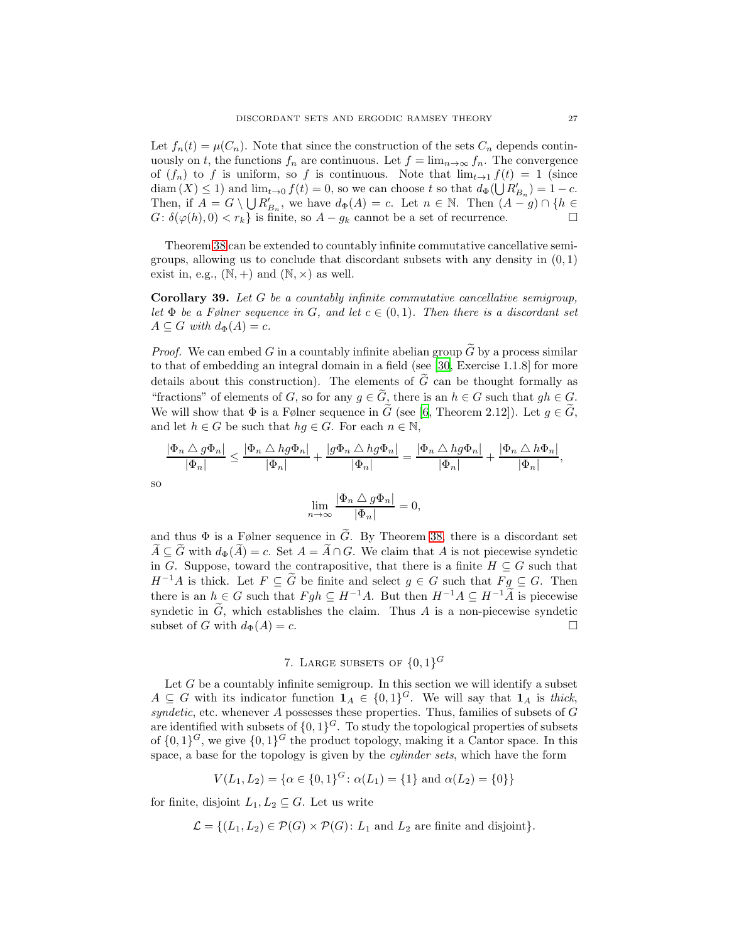Let  $f_n(t) = \mu(C_n)$ . Note that since the construction of the sets  $C_n$  depends continuously on t, the functions  $f_n$  are continuous. Let  $f = \lim_{n \to \infty} f_n$ . The convergence of  $(f_n)$  to f is uniform, so f is continuous. Note that  $\lim_{t\to 1} f(t) = 1$  (since  $\text{diam}(X) \leq 1$  and  $\lim_{t \to 0} f(t) = 0$ , so we can choose t so that  $d_{\Phi}(\bigcup R'_{B_n}) = 1 - c$ . Then, if  $A = G \setminus \bigcup R'_{B_n}$ , we have  $d_{\Phi}(A) = c$ . Let  $n \in \mathbb{N}$ . Then  $(A - g) \cap \{h \in$  $G: \delta(\varphi(h), 0) < r_k$  is finite, so  $A - g_k$  cannot be a set of recurrence.

Theorem [38](#page-24-0) can be extended to countably infinite commutative cancellative semigroups, allowing us to conclude that discordant subsets with any density in  $(0, 1)$ exist in, e.g.,  $(N, +)$  and  $(N, \times)$  as well.

Corollary 39. *Let* G *be a countably infinite commutative cancellative semigroup, let*  $\Phi$  *be a Følner sequence in* G, and let  $c \in (0,1)$ *. Then there is a discordant set*  $A \subseteq G$  *with*  $d_{\Phi}(A) = c$ .

*Proof.* We can embed G in a countably infinite abelian group G by a process similar to that of embedding an integral domain in a field (see [\[30,](#page-34-25) Exercise 1.1.8] for more details about this construction). The elements of  $\tilde{G}$  can be thought formally as "fractions" of elements of G, so for any  $g \in \tilde{G}$ , there is an  $h \in G$  such that  $gh \in G$ . We will show that  $\Phi$  is a Følner sequence in  $\tilde{G}$  (see [\[6](#page-34-26), Theorem 2.12]). Let  $g \in \tilde{G}$ , and let  $h \in G$  be such that  $hg \in G$ . For each  $n \in \mathbb{N}$ ,

$$
\frac{|\Phi_n \bigtriangleup g\Phi_n|}{|\Phi_n|} \le \frac{|\Phi_n \bigtriangleup hg\Phi_n|}{|\Phi_n|} + \frac{|g\Phi_n \bigtriangleup hg\Phi_n|}{|\Phi_n|} = \frac{|\Phi_n \bigtriangleup hg\Phi_n|}{|\Phi_n|} + \frac{|\Phi_n \bigtriangleup h\Phi_n|}{|\Phi_n|},
$$

$$
\lim_{n\to\infty}\frac{|\Phi_n\bigtriangleup g\Phi_n|}{|\Phi_n|}=
$$

= 0,

and thus  $\Phi$  is a Følner sequence in  $\tilde{G}$ . By Theorem [38,](#page-24-0) there is a discordant set  $\widetilde{A} \subseteq \widetilde{G}$  with  $d_{\Phi}(\widetilde{A}) = c$ . Set  $A = \widetilde{A} \cap G$ . We claim that A is not piecewise syndetic in G. Suppose, toward the contrapositive, that there is a finite  $H \subseteq G$  such that  $H^{-1}A$  is thick. Let  $F \subseteq G$  be finite and select  $g \in G$  such that  $Fg \subseteq G$ . Then there is an  $h \in G$  such that  $Fgh \subseteq H^{-1}A$ . But then  $H^{-1}A \subseteq H^{-1}\widetilde{A}$  is piecewise syndetic in  $\tilde{G}$ , which establishes the claim. Thus A is a non-piecewise syndetic subset of G with  $d_{\Phi}(A) = c$ . subset of G with  $d_{\Phi}(A) = c$ .

# 7. LARGE SUBSETS OF  $\{0,1\}^G$

<span id="page-26-0"></span>Let  $G$  be a countably infinite semigroup. In this section we will identify a subset  $A \subseteq G$  with its indicator function  $\mathbf{1}_A \in \{0,1\}^G$ . We will say that  $\mathbf{1}_A$  is *thick*,  $syndetic$ , etc. whenever  $A$  possesses these properties. Thus, families of subsets of  $G$ are identified with subsets of  $\{0,1\}^G$ . To study the topological properties of subsets of  $\{0,1\}$ <sup>G</sup>, we give  $\{0,1\}$ <sup>G</sup> the product topology, making it a Cantor space. In this space, a base for the topology is given by the *cylinder sets*, which have the form

$$
V(L_1, L_2) = \{ \alpha \in \{0, 1\}^G \colon \alpha(L_1) = \{1\} \text{ and } \alpha(L_2) = \{0\} \}
$$

for finite, disjoint  $L_1, L_2 \subseteq G$ . Let us write

so

$$
\mathcal{L} = \{ (L_1, L_2) \in \mathcal{P}(G) \times \mathcal{P}(G) \colon L_1 \text{ and } L_2 \text{ are finite and disjoint} \}.
$$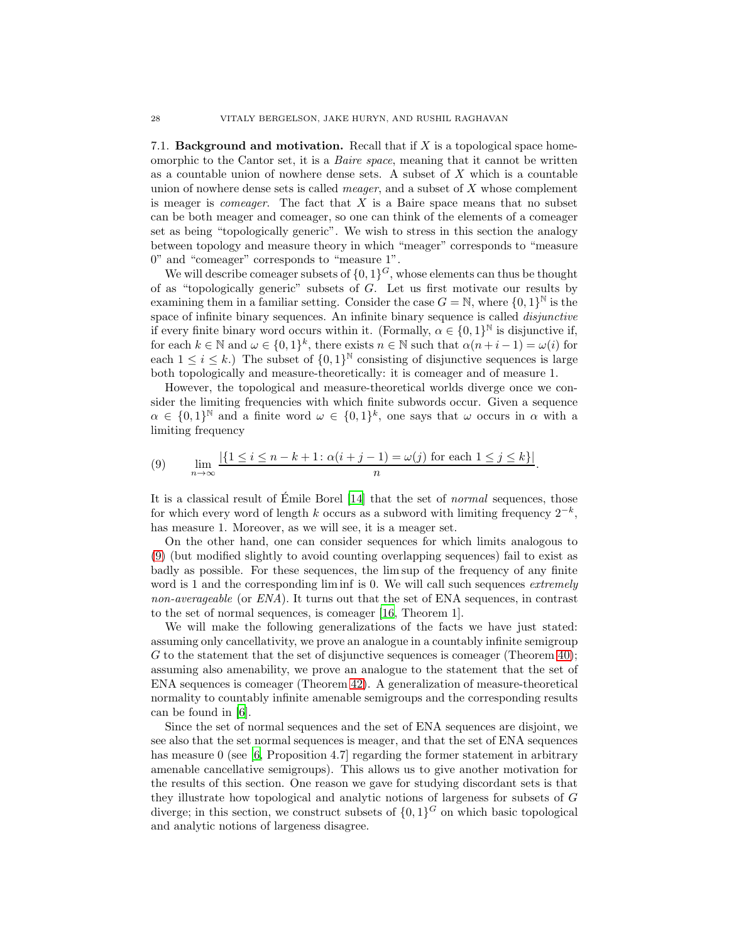7.1. **Background and motivation.** Recall that if  $X$  is a topological space homeomorphic to the Cantor set, it is a *Baire space*, meaning that it cannot be written as a countable union of nowhere dense sets. A subset of X which is a countable union of nowhere dense sets is called *meager*, and a subset of X whose complement is meager is *comeager*. The fact that X is a Baire space means that no subset can be both meager and comeager, so one can think of the elements of a comeager set as being "topologically generic". We wish to stress in this section the analogy between topology and measure theory in which "meager" corresponds to "measure 0" and "comeager" corresponds to "measure 1".

We will describe comeager subsets of  $\{0,1\}^G$ , whose elements can thus be thought of as "topologically generic" subsets of  $G$ . Let us first motivate our results by examining them in a familiar setting. Consider the case  $G = \mathbb{N}$ , where  $\{0, 1\}^{\mathbb{N}}$  is the space of infinite binary sequences. An infinite binary sequence is called *disjunctive* if every finite binary word occurs within it. (Formally,  $\alpha \in \{0,1\}^{\mathbb{N}}$  is disjunctive if, for each  $k \in \mathbb{N}$  and  $\omega \in \{0,1\}^k$ , there exists  $n \in \mathbb{N}$  such that  $\alpha(n+i-1) = \omega(i)$  for each  $1 \leq i \leq k$ .) The subset of  $\{0,1\}^{\mathbb{N}}$  consisting of disjunctive sequences is large both topologically and measure-theoretically: it is comeager and of measure 1.

However, the topological and measure-theoretical worlds diverge once we consider the limiting frequencies with which finite subwords occur. Given a sequence  $\alpha \in \{0,1\}^{\mathbb{N}}$  and a finite word  $\omega \in \{0,1\}^k$ , one says that  $\omega$  occurs in  $\alpha$  with a limiting frequency

<span id="page-27-0"></span>(9) 
$$
\lim_{n \to \infty} \frac{|\{1 \le i \le n - k + 1 : \alpha(i + j - 1) = \omega(j) \text{ for each } 1 \le j \le k\}|}{n}.
$$

It is a classical result of  $\acute{E}$ mile Borel [\[14\]](#page-34-27) that the set of *normal* sequences, those for which every word of length k occurs as a subword with limiting frequency  $2^{-k}$ , has measure 1. Moreover, as we will see, it is a meager set.

On the other hand, one can consider sequences for which limits analogous to [\(9\)](#page-27-0) (but modified slightly to avoid counting overlapping sequences) fail to exist as badly as possible. For these sequences, the lim sup of the frequency of any finite word is 1 and the corresponding lim inf is 0. We will call such sequences *extremely non-averageable* (or *ENA*). It turns out that the set of ENA sequences, in contrast to the set of normal sequences, is comeager [\[16](#page-34-28), Theorem 1].

We will make the following generalizations of the facts we have just stated: assuming only cancellativity, we prove an analogue in a countably infinite semigroup G to the statement that the set of disjunctive sequences is comeager (Theorem [40\)](#page-28-0); assuming also amenability, we prove an analogue to the statement that the set of ENA sequences is comeager (Theorem [42\)](#page-29-0). A generalization of measure-theoretical normality to countably infinite amenable semigroups and the corresponding results can be found in [\[6\]](#page-34-26).

Since the set of normal sequences and the set of ENA sequences are disjoint, we see also that the set normal sequences is meager, and that the set of ENA sequences has measure 0 (see  $[6,$  Proposition 4.7) regarding the former statement in arbitrary amenable cancellative semigroups). This allows us to give another motivation for the results of this section. One reason we gave for studying discordant sets is that they illustrate how topological and analytic notions of largeness for subsets of G diverge; in this section, we construct subsets of  $\{0,1\}^G$  on which basic topological and analytic notions of largeness disagree.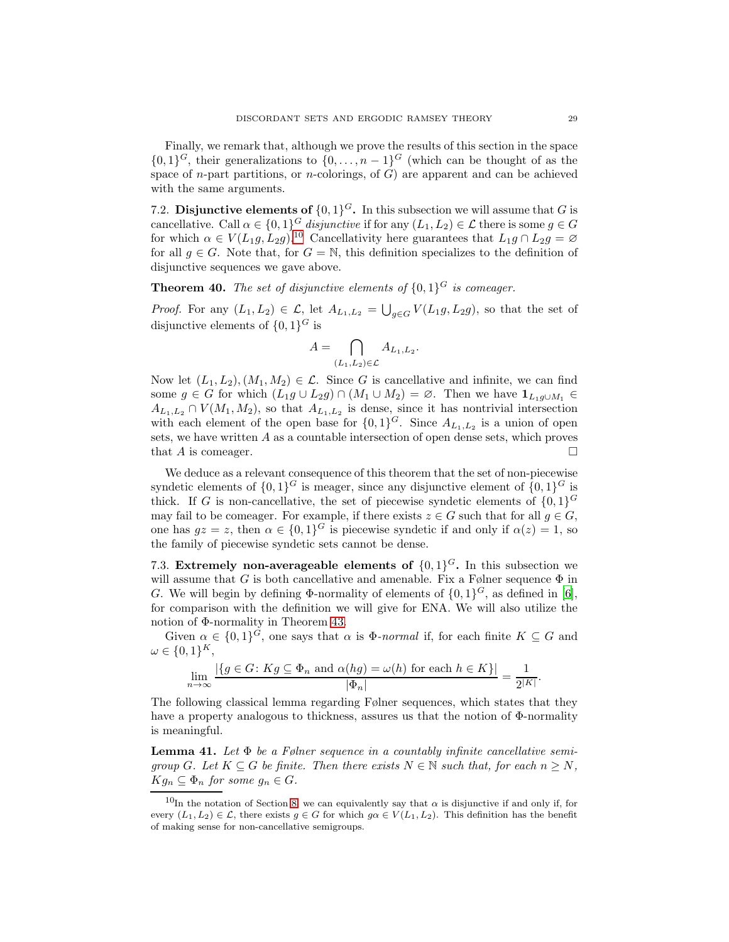Finally, we remark that, although we prove the results of this section in the space  $\{0,1\}^G$ , their generalizations to  $\{0,\ldots,n-1\}^G$  (which can be thought of as the space of *n*-part partitions, or *n*-colorings, of  $G$ ) are apparent and can be achieved with the same arguments.

7.2. Disjunctive elements of  $\{0,1\}^G$ . In this subsection we will assume that G is cancellative. Call  $\alpha \in \{0,1\}^G$  *disjunctive* if for any  $(L_1, L_2) \in \mathcal{L}$  there is some  $g \in G$ for which  $\alpha \in V(L_1g, L_2g)$ .<sup>[10](#page-28-1)</sup> Cancellativity here guarantees that  $L_1g \cap L_2g = \varnothing$ for all  $g \in G$ . Note that, for  $G = \mathbb{N}$ , this definition specializes to the definition of disjunctive sequences we gave above.

<span id="page-28-0"></span>**Theorem 40.** The set of disjunctive elements of  $\{0,1\}^G$  is comeager.

*Proof.* For any  $(L_1, L_2) \in \mathcal{L}$ , let  $A_{L_1, L_2} = \bigcup_{g \in G} V(L_1g, L_2g)$ , so that the set of disjunctive elements of  $\{0,1\}^G$  is

$$
A = \bigcap_{(L_1, L_2) \in \mathcal{L}} A_{L_1, L_2}.
$$

Now let  $(L_1, L_2), (M_1, M_2) \in \mathcal{L}$ . Since G is cancellative and infinite, we can find some  $g \in G$  for which  $(L_1g \cup L_2g) \cap (M_1 \cup M_2) = \emptyset$ . Then we have  $\mathbf{1}_{L_1g \cup M_1} \in$  $A_{L_1,L_2} \cap V(M_1,M_2)$ , so that  $A_{L_1,L_2}$  is dense, since it has nontrivial intersection with each element of the open base for  $\{0,1\}^G$ . Since  $A_{L_1,L_2}$  is a union of open sets, we have written A as a countable intersection of open dense sets, which proves that A is comeager.  $\square$ 

We deduce as a relevant consequence of this theorem that the set of non-piecewise syndetic elements of  $\{0,1\}^G$  is meager, since any disjunctive element of  $\{0,1\}^G$  is thick. If G is non-cancellative, the set of piecewise syndetic elements of  $\{0,1\}^G$ may fail to be comeager. For example, if there exists  $z \in G$  such that for all  $g \in G$ , one has  $gz = z$ , then  $\alpha \in \{0,1\}^G$  is piecewise syndetic if and only if  $\alpha(z) = 1$ , so the family of piecewise syndetic sets cannot be dense.

7.3. Extremely non-averageable elements of  $\{0,1\}^G$ . In this subsection we will assume that  $G$  is both cancellative and amenable. Fix a Følner sequence  $\Phi$  in G. We will begin by defining  $\Phi$ -normality of elements of  $\{0,1\}^G$ , as defined in [\[6\]](#page-34-26), for comparison with the definition we will give for ENA. We will also utilize the notion of Φ-normality in Theorem [43.](#page-30-1)

Given  $\alpha \in \{0,1\}^G$ , one says that  $\alpha$  is  $\Phi$ -normal if, for each finite  $K \subseteq G$  and  $\omega \in \{0,1\}^K,$ 

$$
\lim_{n \to \infty} \frac{|\{g \in G \colon Kg \subseteq \Phi_n \text{ and } \alpha(hg) = \omega(h) \text{ for each } h \in K\}|}{|\Phi_n|} = \frac{1}{2^{|K|}}.
$$

The following classical lemma regarding Følner sequences, which states that they have a property analogous to thickness, assures us that the notion of Φ-normality is meaningful.

<span id="page-28-2"></span>Lemma 41. *Let* Φ *be a Følner sequence in a countably infinite cancellative semigroup* G. Let  $K \subseteq G$  *be finite. Then there exists*  $N \in \mathbb{N}$  *such that, for each*  $n \geq N$ ,  $Kg_n \subseteq \Phi_n$  *for some*  $g_n \in G$ *.* 

<span id="page-28-1"></span><sup>&</sup>lt;sup>10</sup>In the notation of Section [8,](#page-30-0) we can equivalently say that  $\alpha$  is disjunctive if and only if, for every  $(L_1, L_2) \in \mathcal{L}$ , there exists  $g \in G$  for which  $g \alpha \in V(L_1, L_2)$ . This definition has the benefit of making sense for non-cancellative semigroups.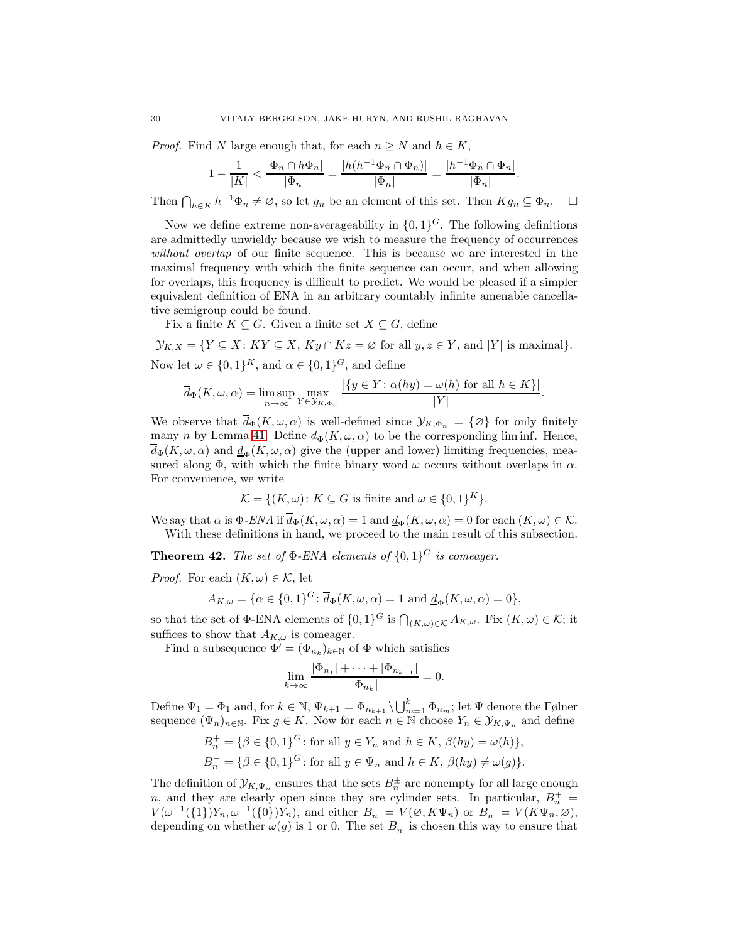*Proof.* Find N large enough that, for each  $n \geq N$  and  $h \in K$ ,

$$
1 - \frac{1}{|K|} < \frac{|\Phi_n \cap h\Phi_n|}{|\Phi_n|} = \frac{|h(h^{-1}\Phi_n \cap \Phi_n)|}{|\Phi_n|} = \frac{|h^{-1}\Phi_n \cap \Phi_n|}{|\Phi_n|}.
$$

Then  $\bigcap_{h\in K} h^{-1}\Phi_n \neq \emptyset$ , so let  $g_n$  be an element of this set. Then  $Kg_n \subseteq \Phi_n$ .  $\Box$ 

Now we define extreme non-averageability in  $\{0,1\}^G$ . The following definitions are admittedly unwieldy because we wish to measure the frequency of occurrences *without overlap* of our finite sequence. This is because we are interested in the maximal frequency with which the finite sequence can occur, and when allowing for overlaps, this frequency is difficult to predict. We would be pleased if a simpler equivalent definition of ENA in an arbitrary countably infinite amenable cancellative semigroup could be found.

Fix a finite  $K \subseteq G$ . Given a finite set  $X \subseteq G$ , define

 $\mathcal{Y}_{K,X} = \{ Y \subseteq X : KY \subseteq X, Ky \cap Kz = \emptyset \text{ for all } y, z \in Y, \text{ and } |Y| \text{ is maximal} \}.$ Now let  $\omega \in \{0,1\}^K$ , and  $\alpha \in \{0,1\}^G$ , and define

$$
\overline{d}_{\Phi}(K,\omega,\alpha) = \limsup_{n \to \infty} \max_{Y \in \mathcal{Y}_K, \Phi_n} \frac{|\{y \in Y : \alpha(hy) = \omega(h) \text{ for all } h \in K\}|}{|Y|}.
$$

We observe that  $\overline{d}_{\Phi}(K, \omega, \alpha)$  is well-defined since  $\mathcal{Y}_{K, \Phi_n} = {\emptyset}$  for only finitely many n by Lemma [41.](#page-28-2) Define  $\underline{d}_{\Phi}(K, \omega, \alpha)$  to be the corresponding lim inf. Hence,  $\overline{d}_{\Phi}(K, \omega, \alpha)$  and  $\underline{d}_{\Phi}(K, \omega, \alpha)$  give the (upper and lower) limiting frequencies, measured along  $\Phi$ , with which the finite binary word  $\omega$  occurs without overlaps in  $\alpha$ . For convenience, we write

$$
\mathcal{K} = \{ (K, \omega) \colon K \subseteq G \text{ is finite and } \omega \in \{0, 1\}^K \}.
$$

We say that  $\alpha$  is  $\Phi$ -*ENA* if  $\overline{d}_{\Phi}(K, \omega, \alpha) = 1$  and  $\underline{d}_{\Phi}(K, \omega, \alpha) = 0$  for each  $(K, \omega) \in \mathcal{K}$ . With these definitions in hand, we proceed to the main result of this subsection.

<span id="page-29-0"></span>**Theorem 42.** The set of  $\Phi$ -ENA elements of  $\{0,1\}$ <sup>G</sup> is comeager.

*Proof.* For each  $(K, \omega) \in \mathcal{K}$ , let

$$
A_{K,\omega} = \{ \alpha \in \{0,1\}^G \colon \overline{d}_{\Phi}(K,\omega,\alpha) = 1 \text{ and } \underline{d}_{\Phi}(K,\omega,\alpha) = 0 \},
$$

so that the set of  $\Phi$ -ENA elements of  $\{0,1\}^G$  is  $\bigcap_{(K,\omega)\in\mathcal{K}} A_{K,\omega}$ . Fix  $(K,\omega)\in\mathcal{K}$ ; it suffices to show that  $A_{K,\omega}$  is comeager.

Find a subsequence  $\Phi' = (\Phi_{n_k})_{k \in \mathbb{N}}$  of  $\Phi$  which satisfies

$$
\lim_{k \to \infty} \frac{|\Phi_{n_1}| + \dots + |\Phi_{n_{k-1}}|}{|\Phi_{n_k}|} = 0.
$$

Define  $\Psi_1 = \Phi_1$  and, for  $k \in \mathbb{N}$ ,  $\Psi_{k+1} = \Phi_{n_{k+1}} \setminus \bigcup_{m=1}^k \Phi_{n_m}$ ; let  $\Psi$  denote the Følner sequence  $(\Psi_n)_{n\in\mathbb{N}}$ . Fix  $g\in K$ . Now for each  $n\in\mathbb{N}$  choose  $Y_n\in\mathcal{Y}_{K,\Psi_n}$  and define

$$
B_n^+ = \{ \beta \in \{0, 1\}^G \colon \text{for all } y \in Y_n \text{ and } h \in K, \beta(hy) = \omega(h) \},
$$
  

$$
B_n^- = \{ \beta \in \{0, 1\}^G \colon \text{for all } y \in \Psi_n \text{ and } h \in K, \beta(hy) \neq \omega(g) \}.
$$

The definition of  $\mathcal{Y}_{K,\Psi_n}$  ensures that the sets  $B_n^{\pm}$  are nonempty for all large enough n, and they are clearly open since they are cylinder sets. In particular,  $B_n^+$  =  $V(\omega^{-1}(\{1\})Y_n, \omega^{-1}(\{0\})Y_n)$ , and either  $B_n^- = V(\emptyset, K\Psi_n)$  or  $B_n^- = V(K\Psi_n, \emptyset)$ , depending on whether  $\omega(g)$  is 1 or 0. The set  $B_n^-$  is chosen this way to ensure that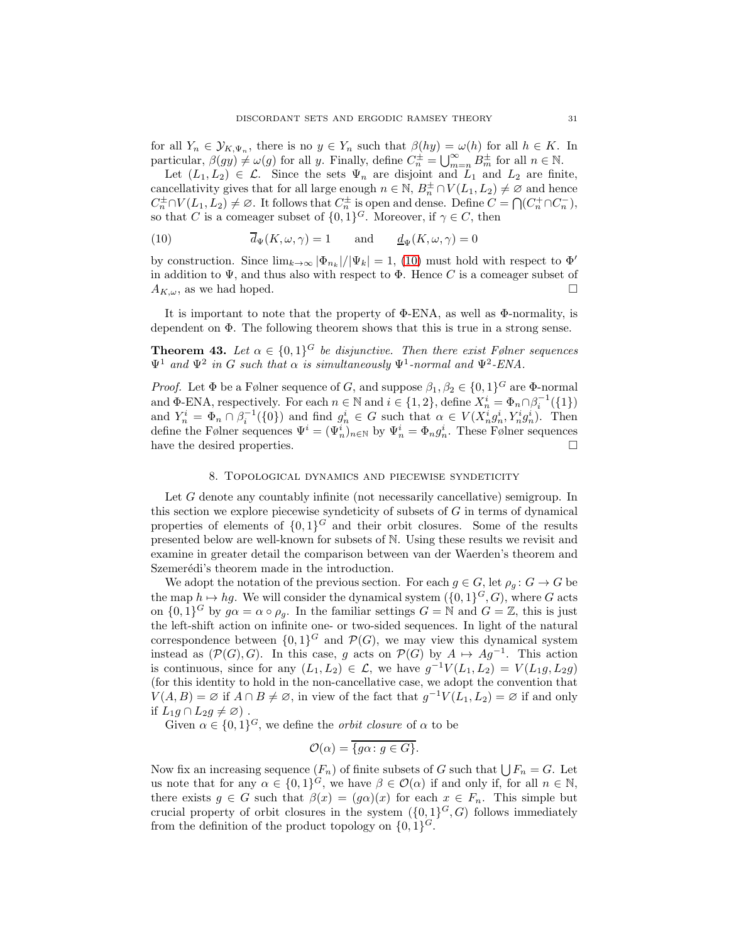for all  $Y_n \in \mathcal{Y}_{K,\Psi_n}$ , there is no  $y \in Y_n$  such that  $\beta(hy) = \omega(h)$  for all  $h \in K$ . In particular,  $\beta(gy) \neq \omega(g)$  for all y. Finally, define  $C_n^{\pm} = \bigcup_{m=n}^{\infty} B_m^{\pm}$  for all  $n \in \mathbb{N}$ .

Let  $(L_1, L_2) \in \mathcal{L}$ . Since the sets  $\Psi_n$  are disjoint and  $L_1$  and  $L_2$  are finite, cancellativity gives that for all large enough  $n \in \mathbb{N}$ ,  $B_n^{\pm} \cap V(L_1, L_2) \neq \emptyset$  and hence  $C_n^{\pm} \cap V(L_1, L_2) \neq \emptyset$ . It follows that  $C_n^{\pm}$  is open and dense. Define  $C = \bigcap (C_n^+ \cap C_n^-)$ , so that C is a comeager subset of  $\{0,1\}^G$ . Moreover, if  $\gamma \in C$ , then

<span id="page-30-2"></span>(10) 
$$
\overline{d}_{\Psi}(K,\omega,\gamma) = 1 \quad \text{and} \quad \underline{d}_{\Psi}(K,\omega,\gamma) = 0
$$

by construction. Since  $\lim_{k\to\infty} |\Phi_{n_k}|/|\Psi_k|=1$ , [\(10\)](#page-30-2) must hold with respect to  $\Phi'$ in addition to  $\Psi$ , and thus also with respect to  $\Phi$ . Hence C is a comeager subset of  $A_{K,\omega}$ , as we had hoped.

It is important to note that the property of Φ-ENA, as well as Φ-normality, is dependent on Φ. The following theorem shows that this is true in a strong sense.

<span id="page-30-1"></span>**Theorem 43.** Let  $\alpha \in \{0,1\}^G$  be disjunctive. Then there exist Følner sequences  $\Psi^1$  and  $\Psi^2$  in G such that  $\alpha$  is simultaneously  $\Psi^1$ -normal and  $\Psi^2$ -ENA.

*Proof.* Let  $\Phi$  be a Følner sequence of G, and suppose  $\beta_1, \beta_2 \in \{0, 1\}^G$  are  $\Phi$ -normal and  $\Phi$ -ENA, respectively. For each  $n \in \mathbb{N}$  and  $i \in \{1, 2\}$ , define  $X_n^i = \Phi_n \cap \beta_i^{-1}(\{1\})$ and  $Y_n^i = \Phi_n \cap \beta_i^{-1}(\{0\})$  and find  $g_n^i \in G$  such that  $\alpha \in V(X_n^i g_n^i, Y_n^i g_n^i)$ . Then define the Følner sequences  $\Psi^i = (\Psi_n^i)_{n \in \mathbb{N}}$  by  $\Psi_n^i = \Phi_n g_n^i$ . These Følner sequences have the desired properties.

### 8. Topological dynamics and piecewise syndeticity

<span id="page-30-0"></span>Let G denote any countably infinite (not necessarily cancellative) semigroup. In this section we explore piecewise syndeticity of subsets of  $G$  in terms of dynamical properties of elements of  $\{0,1\}^G$  and their orbit closures. Some of the results presented below are well-known for subsets of N. Using these results we revisit and examine in greater detail the comparison between van der Waerden's theorem and Szemerédi's theorem made in the introduction.

We adopt the notation of the previous section. For each  $g \in G$ , let  $\rho_g : G \to G$  be the map  $h \mapsto hg$ . We will consider the dynamical system  $({0, 1}^G, G)$ , where G acts on  $\{0,1\}^G$  by  $g\alpha = \alpha \circ \rho_g$ . In the familiar settings  $G = \mathbb{N}$  and  $G = \mathbb{Z}$ , this is just the left-shift action on infinite one- or two-sided sequences. In light of the natural correspondence between  $\{0,1\}^G$  and  $\mathcal{P}(G)$ , we may view this dynamical system instead as  $(\mathcal{P}(G), G)$ . In this case, g acts on  $\mathcal{P}(G)$  by  $A \mapsto Ag^{-1}$ . This action is continuous, since for any  $(L_1, L_2) \in \mathcal{L}$ , we have  $g^{-1}V(L_1, L_2) = V(L_1g, L_2g)$ (for this identity to hold in the non-cancellative case, we adopt the convention that  $V(A, B) = \emptyset$  if  $A \cap B \neq \emptyset$ , in view of the fact that  $g^{-1}V(L_1, L_2) = \emptyset$  if and only if  $L_1g \cap L_2g \neq \emptyset$ .

Given  $\alpha \in \{0,1\}^G$ , we define the *orbit closure* of  $\alpha$  to be

$$
\mathcal{O}(\alpha) = \overline{\{g\alpha \colon g \in G\}}.
$$

Now fix an increasing sequence  $(F_n)$  of finite subsets of G such that  $\bigcup F_n = G$ . Let us note that for any  $\alpha \in \{0,1\}^G$ , we have  $\beta \in \mathcal{O}(\alpha)$  if and only if, for all  $n \in \mathbb{N}$ , there exists  $g \in G$  such that  $\beta(x) = (g\alpha)(x)$  for each  $x \in F_n$ . This simple but crucial property of orbit closures in the system  $({0,1}^G, G)$  follows immediately from the definition of the product topology on  $\{0,1\}^G$ .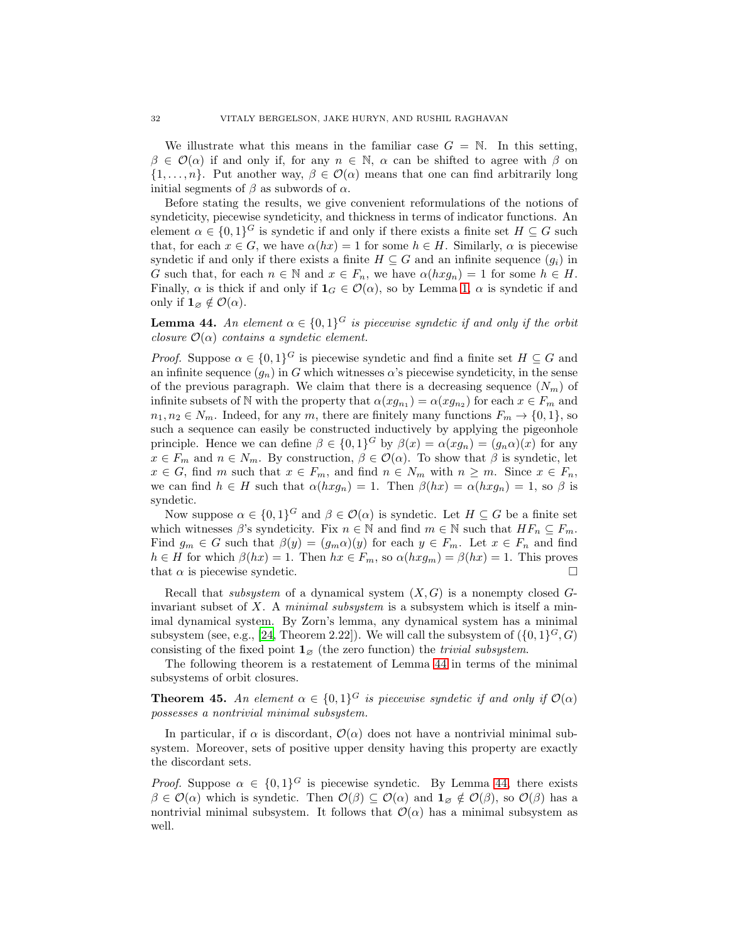We illustrate what this means in the familiar case  $G = N$ . In this setting,  $\beta \in \mathcal{O}(\alpha)$  if and only if, for any  $n \in \mathbb{N}$ ,  $\alpha$  can be shifted to agree with  $\beta$  on  $\{1,\ldots,n\}$ . Put another way,  $\beta \in \mathcal{O}(\alpha)$  means that one can find arbitrarily long initial segments of  $\beta$  as subwords of  $\alpha$ .

Before stating the results, we give convenient reformulations of the notions of syndeticity, piecewise syndeticity, and thickness in terms of indicator functions. An element  $\alpha \in \{0,1\}^G$  is syndetic if and only if there exists a finite set  $H \subseteq G$  such that, for each  $x \in G$ , we have  $\alpha(hx) = 1$  for some  $h \in H$ . Similarly,  $\alpha$  is piecewise syndetic if and only if there exists a finite  $H \subseteq G$  and an infinite sequence  $(g_i)$  in G such that, for each  $n \in \mathbb{N}$  and  $x \in F_n$ , we have  $\alpha(hxg_n) = 1$  for some  $h \in H$ . Finally,  $\alpha$  is thick if and only if  $\mathbf{1}_G \in \mathcal{O}(\alpha)$ , so by Lemma [1,](#page-5-2)  $\alpha$  is syndetic if and only if  $\mathbf{1}_{\emptyset} \notin \mathcal{O}(\alpha)$ .

<span id="page-31-1"></span>**Lemma 44.** An element  $\alpha \in \{0,1\}^G$  is piecewise syndetic if and only if the orbit *closure*  $\mathcal{O}(\alpha)$  *contains a syndetic element.* 

*Proof.* Suppose  $\alpha \in \{0,1\}^G$  is piecewise syndetic and find a finite set  $H \subseteq G$  and an infinite sequence  $(g_n)$  in G which witnesses  $\alpha$ 's piecewise syndeticity, in the sense of the previous paragraph. We claim that there is a decreasing sequence  $(N_m)$  of infinite subsets of N with the property that  $\alpha(xg_{n_1}) = \alpha(xg_{n_2})$  for each  $x \in F_m$  and  $n_1, n_2 \in N_m$ . Indeed, for any m, there are finitely many functions  $F_m \to \{0, 1\}$ , so such a sequence can easily be constructed inductively by applying the pigeonhole principle. Hence we can define  $\beta \in \{0,1\}^G$  by  $\beta(x) = \alpha(xg_n) = (g_n \alpha)(x)$  for any  $x \in F_m$  and  $n \in N_m$ . By construction,  $\beta \in \mathcal{O}(\alpha)$ . To show that  $\beta$  is syndetic, let  $x \in G$ , find m such that  $x \in F_m$ , and find  $n \in N_m$  with  $n \geq m$ . Since  $x \in F_n$ , we can find  $h \in H$  such that  $\alpha(hxg_n) = 1$ . Then  $\beta(hx) = \alpha(hxg_n) = 1$ , so  $\beta$  is syndetic.

Now suppose  $\alpha \in \{0,1\}^G$  and  $\beta \in \mathcal{O}(\alpha)$  is syndetic. Let  $H \subseteq G$  be a finite set which witnesses  $\beta$ 's syndeticity. Fix  $n \in \mathbb{N}$  and find  $m \in \mathbb{N}$  such that  $HF_n \subseteq F_m$ . Find  $g_m \in G$  such that  $\beta(y) = (g_m \alpha)(y)$  for each  $y \in F_m$ . Let  $x \in F_n$  and find  $h \in H$  for which  $\beta(hx) = 1$ . Then  $hx \in F_m$ , so  $\alpha(hxg_m) = \beta(hx) = 1$ . This proves that  $\alpha$  is piecewise syndetic.

Recall that *subsystem* of a dynamical system  $(X, G)$  is a nonempty closed  $G$ invariant subset of X. A *minimal subsystem* is a subsystem which is itself a minimal dynamical system. By Zorn's lemma, any dynamical system has a minimal subsystem (see, e.g., [\[24,](#page-34-29) Theorem 2.22]). We will call the subsystem of  $({0,1}^G, G)$ consisting of the fixed point  $\mathbf{1}_{\emptyset}$  (the zero function) the *trivial subsystem*.

The following theorem is a restatement of Lemma [44](#page-31-1) in terms of the minimal subsystems of orbit closures.

<span id="page-31-0"></span>**Theorem 45.** An element  $\alpha \in \{0,1\}^G$  is piecewise syndetic if and only if  $\mathcal{O}(\alpha)$ *possesses a nontrivial minimal subsystem.*

In particular, if  $\alpha$  is discordant,  $\mathcal{O}(\alpha)$  does not have a nontrivial minimal subsystem. Moreover, sets of positive upper density having this property are exactly the discordant sets.

*Proof.* Suppose  $\alpha \in \{0,1\}^G$  is piecewise syndetic. By Lemma [44,](#page-31-1) there exists  $\beta \in \mathcal{O}(\alpha)$  which is syndetic. Then  $\mathcal{O}(\beta) \subseteq \mathcal{O}(\alpha)$  and  $\mathbf{1}_{\varnothing} \notin \mathcal{O}(\beta)$ , so  $\mathcal{O}(\beta)$  has a nontrivial minimal subsystem. It follows that  $\mathcal{O}(\alpha)$  has a minimal subsystem as well.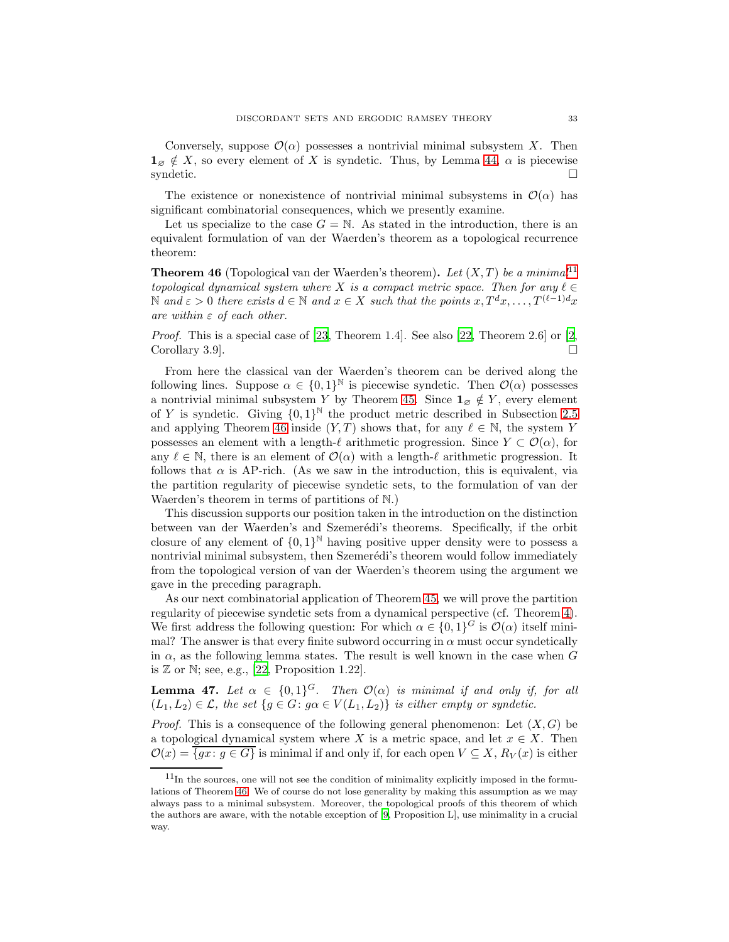Conversely, suppose  $\mathcal{O}(\alpha)$  possesses a nontrivial minimal subsystem X. Then  $\mathbf{1}_{\emptyset} \notin X$ , so every element of X is syndetic. Thus, by Lemma [44,](#page-31-1)  $\alpha$  is piecewise syndetic.  $\Box$ 

The existence or nonexistence of nontrivial minimal subsystems in  $\mathcal{O}(\alpha)$  has significant combinatorial consequences, which we presently examine.

Let us specialize to the case  $G = N$ . As stated in the introduction, there is an equivalent formulation of van der Waerden's theorem as a topological recurrence theorem:

<span id="page-32-1"></span>**Theorem 46** (Topological van der Waerden's theorem). Let  $(X, T)$  be a minimal<sup>[11](#page-32-0)</sup> *topological dynamical system where* X *is a compact metric space. Then for any*  $\ell \in$ N and  $\varepsilon > 0$  there exists  $d \in \mathbb{N}$  and  $x \in X$  such that the points  $x, T^d x, \ldots, T^{(\ell-1)d} x$ *are within* ε *of each other.*

*Proof.* This is a special case of [\[23,](#page-34-10) Theorem 1.4]. See also [\[22](#page-34-2), Theorem 2.6] or [\[2,](#page-33-6) Corollary 3.9.  $\Box$ 

From here the classical van der Waerden's theorem can be derived along the following lines. Suppose  $\alpha \in \{0,1\}^{\mathbb{N}}$  is piecewise syndetic. Then  $\mathcal{O}(\alpha)$  possesses a nontrivial minimal subsystem Y by Theorem [45.](#page-31-0) Since  $\mathbf{1}_{\varnothing} \notin Y$ , every element of Y is syndetic. Giving  $\{0,1\}^{\mathbb{N}}$  the product metric described in Subsection [2.5](#page-9-0) and applying Theorem [46](#page-32-1) inside  $(Y, T)$  shows that, for any  $\ell \in \mathbb{N}$ , the system Y possesses an element with a length- $\ell$  arithmetic progression. Since  $Y \subset \mathcal{O}(\alpha)$ , for any  $\ell \in \mathbb{N}$ , there is an element of  $\mathcal{O}(\alpha)$  with a length- $\ell$  arithmetic progression. It follows that  $\alpha$  is AP-rich. (As we saw in the introduction, this is equivalent, via the partition regularity of piecewise syndetic sets, to the formulation of van der Waerden's theorem in terms of partitions of N.)

This discussion supports our position taken in the introduction on the distinction between van der Waerden's and Szemerédi's theorems. Specifically, if the orbit closure of any element of  $\{0,1\}^{\mathbb{N}}$  having positive upper density were to possess a nontrivial minimal subsystem, then Szemerédi's theorem would follow immediately from the topological version of van der Waerden's theorem using the argument we gave in the preceding paragraph.

As our next combinatorial application of Theorem [45,](#page-31-0) we will prove the partition regularity of piecewise syndetic sets from a dynamical perspective (cf. Theorem [4\)](#page-7-0). We first address the following question: For which  $\alpha \in \{0,1\}^G$  is  $\mathcal{O}(\alpha)$  itself minimal? The answer is that every finite subword occurring in  $\alpha$  must occur syndetically in  $\alpha$ , as the following lemma states. The result is well known in the case when G is  $\mathbb Z$  or  $\mathbb N$ ; see, e.g., [\[22,](#page-34-2) Proposition 1.22].

<span id="page-32-2"></span>**Lemma 47.** Let  $\alpha \in \{0,1\}^G$ . Then  $\mathcal{O}(\alpha)$  is minimal if and only if, for all  $(L_1, L_2) \in \mathcal{L}$ , the set  $\{g \in G : g \alpha \in V(L_1, L_2)\}$  *is either empty or syndetic.* 

*Proof.* This is a consequence of the following general phenomenon: Let  $(X, G)$  be a topological dynamical system where X is a metric space, and let  $x \in X$ . Then  $\mathcal{O}(x) = \overline{\{gx : g \in G\}}$  is minimal if and only if, for each open  $V \subseteq X$ ,  $R_V(x)$  is either

<span id="page-32-0"></span> $^{11}{\rm In}$  the sources, one will not see the condition of minimality explicitly imposed in the formulations of Theorem [46.](#page-32-1) We of course do not lose generality by making this assumption as we may always pass to a minimal subsystem. Moreover, the topological proofs of this theorem of which the authors are aware, with the notable exception of [\[9](#page-34-30), Proposition L], use minimality in a crucial way.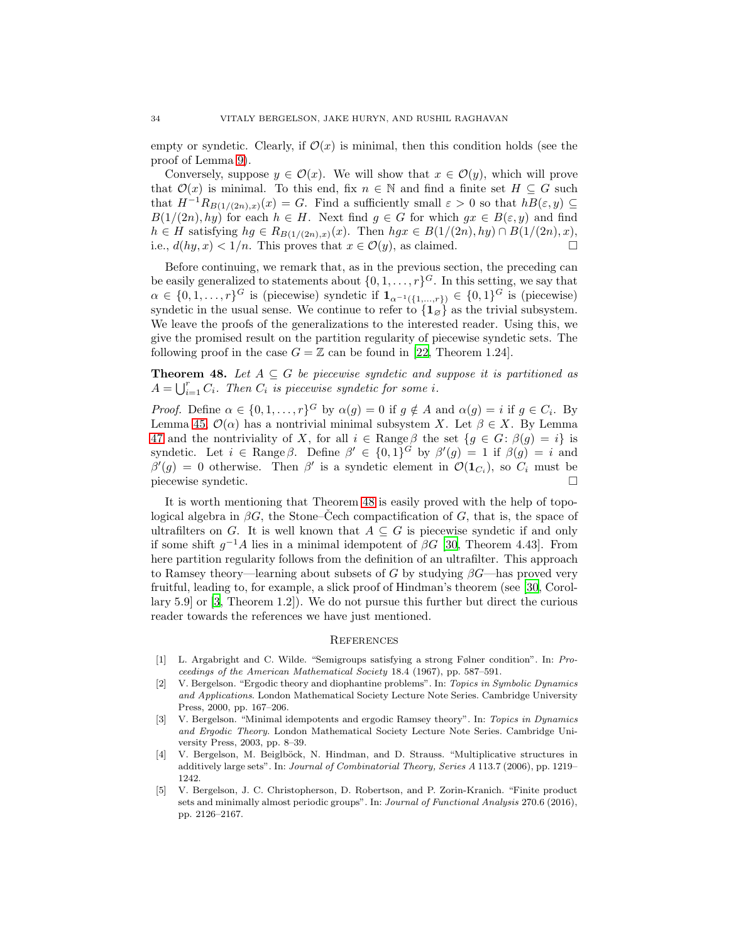empty or syndetic. Clearly, if  $\mathcal{O}(x)$  is minimal, then this condition holds (see the proof of Lemma [9\)](#page-10-1).

Conversely, suppose  $y \in \mathcal{O}(x)$ . We will show that  $x \in \mathcal{O}(y)$ , which will prove that  $\mathcal{O}(x)$  is minimal. To this end, fix  $n \in \mathbb{N}$  and find a finite set  $H \subseteq G$  such that  $H^{-1}R_{B(1/(2n),x)}(x) = G$ . Find a sufficiently small  $\varepsilon > 0$  so that  $hB(\varepsilon, y) \subseteq$  $B(1/(2n), hy)$  for each  $h \in H$ . Next find  $g \in G$  for which  $gx \in B(\varepsilon, y)$  and find  $h \in H$  satisfying  $hg \in R_{B(1/(2n),x)}(x)$ . Then  $hgx \in B(1/(2n), hy) \cap B(1/(2n), x)$ , i.e.,  $d(hy, x) < 1/n$ . This proves that  $x \in \mathcal{O}(y)$ , as claimed.

Before continuing, we remark that, as in the previous section, the preceding can be easily generalized to statements about  $\{0, 1, \ldots, r\}^G$ . In this setting, we say that  $\alpha \in \{0,1,\ldots,r\}^G$  is (piecewise) syndetic if  $\mathbf{1}_{\alpha^{-1}(\{1,\ldots,r\})} \in \{0,1\}^G$  is (piecewise) syndetic in the usual sense. We continue to refer to  $\{1_{\emptyset}\}\$ as the trivial subsystem. We leave the proofs of the generalizations to the interested reader. Using this, we give the promised result on the partition regularity of piecewise syndetic sets. The following proof in the case  $G = \mathbb{Z}$  can be found in [\[22,](#page-34-2) Theorem 1.24].

<span id="page-33-3"></span>**Theorem 48.** Let  $A \subseteq G$  be piecewise syndetic and suppose it is partitioned as  $A = \bigcup_{i=1}^{r} C_i$ *. Then*  $C_i$  *is piecewise syndetic for some i*.

*Proof.* Define  $\alpha \in \{0, 1, ..., r\}^G$  by  $\alpha(g) = 0$  if  $g \notin A$  and  $\alpha(g) = i$  if  $g \in C_i$ . By Lemma [45,](#page-31-0)  $\mathcal{O}(\alpha)$  has a nontrivial minimal subsystem X. Let  $\beta \in X$ . By Lemma [47](#page-32-2) and the nontriviality of X, for all  $i \in \text{Range}\,\beta$  the set  $\{g \in G : \beta(g) = i\}$  is syndetic. Let  $i \in \text{Range } \beta$ . Define  $\beta' \in \{0,1\}^G$  by  $\beta'(g) = 1$  if  $\beta(g) = i$  and  $\beta'(g) = 0$  otherwise. Then  $\beta'$  is a syndetic element in  $\mathcal{O}(\mathbf{1}_{C_i})$ , so  $C_i$  must be piecewise syndetic.

It is worth mentioning that Theorem [48](#page-33-3) is easily proved with the help of topological algebra in  $\beta G$ , the Stone–Cech compactification of G, that is, the space of ultrafilters on G. It is well known that  $A \subseteq G$  is piecewise syndetic if and only if some shift  $g^{-1}A$  lies in a minimal idempotent of  $\beta G$  [\[30](#page-34-25), Theorem 4.43]. From here partition regularity follows from the definition of an ultrafilter. This approach to Ramsey theory—learning about subsets of G by studying  $\beta G$ —has proved very fruitful, leading to, for example, a slick proof of Hindman's theorem (see [\[30,](#page-34-25) Corollary 5.9] or [\[3,](#page-33-4) Theorem 1.2]). We do not pursue this further but direct the curious reader towards the references we have just mentioned.

#### <span id="page-33-0"></span>**REFERENCES**

- <span id="page-33-2"></span>[1] L. Argabright and C. Wilde. "Semigroups satisfying a strong Følner condition". In: Proceedings of the American Mathematical Society 18.4 (1967), pp. 587–591.
- <span id="page-33-6"></span>[2] V. Bergelson. "Ergodic theory and diophantine problems". In: Topics in Symbolic Dynamics and Applications. London Mathematical Society Lecture Note Series. Cambridge University Press, 2000, pp. 167–206.
- <span id="page-33-4"></span>[3] V. Bergelson. "Minimal idempotents and ergodic Ramsey theory". In: Topics in Dynamics and Ergodic Theory. London Mathematical Society Lecture Note Series. Cambridge University Press, 2003, pp. 8–39.
- <span id="page-33-1"></span>[4] V. Bergelson, M. Beiglböck, N. Hindman, and D. Strauss. "Multiplicative structures in additively large sets". In: Journal of Combinatorial Theory, Series A 113.7 (2006), pp. 1219– 1242.
- <span id="page-33-5"></span>[5] V. Bergelson, J. C. Christopherson, D. Robertson, and P. Zorin-Kranich. "Finite product sets and minimally almost periodic groups". In: Journal of Functional Analysis 270.6 (2016), pp. 2126–2167.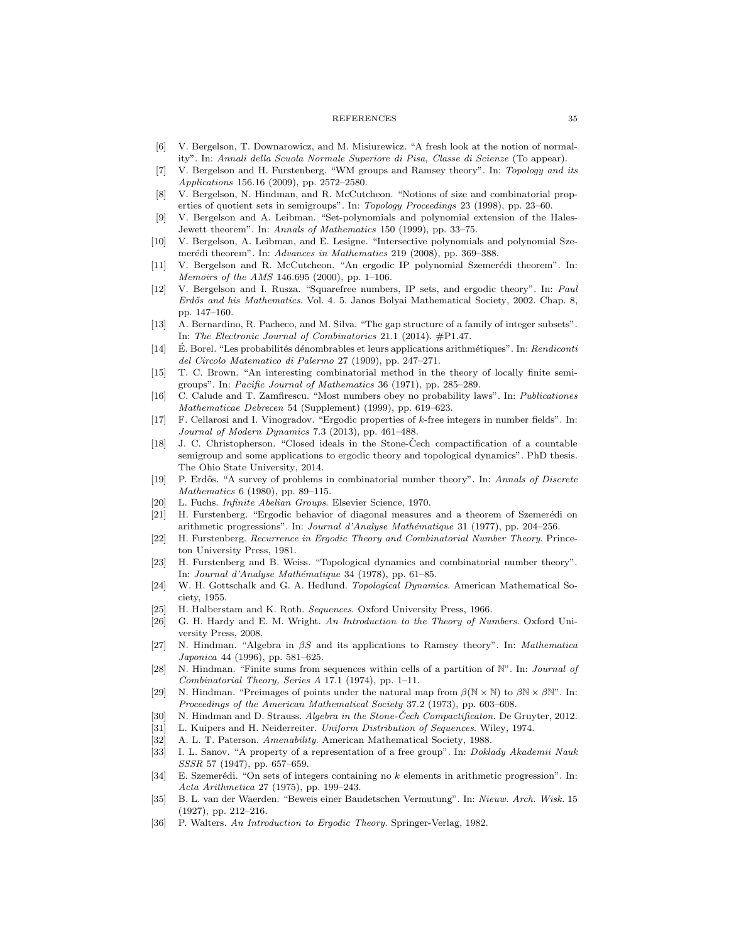#### REFERENCES 35

- <span id="page-34-26"></span>[6] V. Bergelson, T. Downarowicz, and M. Misiurewicz. "A fresh look at the notion of normality". In: Annali della Scuola Normale Superiore di Pisa, Classe di Scienze (To appear).
- <span id="page-34-17"></span>[7] V. Bergelson and H. Furstenberg. "WM groups and Ramsey theory". In: Topology and its Applications 156.16 (2009), pp. 2572–2580.
- <span id="page-34-13"></span>[8] V. Bergelson, N. Hindman, and R. McCutcheon. "Notions of size and combinatorial properties of quotient sets in semigroups". In: Topology Proceedings 23 (1998), pp. 23–60.
- <span id="page-34-30"></span>[9] V. Bergelson and A. Leibman. "Set-polynomials and polynomial extension of the Hales-Jewett theorem". In: Annals of Mathematics 150 (1999), pp. 33–75.
- <span id="page-34-11"></span>[10] V. Bergelson, A. Leibman, and E. Lesigne. "Intersective polynomials and polynomial Szemerédi theorem". In: Advances in Mathematics 219 (2008), pp. 369-388.
- <span id="page-34-12"></span>[11] V. Bergelson and R. McCutcheon. "An ergodic IP polynomial Szemerédi theorem". In: Memoirs of the AMS 146.695 (2000), pp. 1–106.
- <span id="page-34-7"></span>[12] V. Bergelson and I. Rusza. "Squarefree numbers, IP sets, and ergodic theory". In: Paul Erdős and his Mathematics. Vol. 4. 5. Janos Bolyai Mathematical Society, 2002. Chap. 8, pp. 147–160.
- <span id="page-34-8"></span>[13] A. Bernardino, R. Pacheco, and M. Silva. "The gap structure of a family of integer subsets". In: The Electronic Journal of Combinatorics 21.1 (2014). #P1.47.
- <span id="page-34-27"></span>[14] É. Borel. "Les probabilités dénombrables et leurs applications arithmétiques". In: Rendiconti del Circolo Matematico di Palermo 27 (1909), pp. 247–271.
- <span id="page-34-6"></span>[15] T. C. Brown. "An interesting combinatorial method in the theory of locally finite semigroups". In: Pacific Journal of Mathematics 36 (1971), pp. 285–289.
- <span id="page-34-28"></span>[16] C. Calude and T. Zamfirescu. "Most numbers obey no probability laws". In: Publicationes Mathematicae Debrecen 54 (Supplement) (1999), pp. 619–623.
- <span id="page-34-20"></span>[17] F. Cellarosi and I. Vinogradov. "Ergodic properties of k-free integers in number fields". In: Journal of Modern Dynamics 7.3 (2013), pp. 461–488.
- <span id="page-34-16"></span>[18] J. C. Christopherson. "Closed ideals in the Stone-Cech compactification of a countable semigroup and some applications to ergodic theory and topological dynamics". PhD thesis. The Ohio State University, 2014.
- <span id="page-34-5"></span>[19] P. Erdős. "A survey of problems in combinatorial number theory". In: Annals of Discrete Mathematics 6 (1980), pp. 89–115.
- <span id="page-34-24"></span><span id="page-34-9"></span>[20] L. Fuchs. Infinite Abelian Groups. Elsevier Science, 1970.
- [21] H. Furstenberg. "Ergodic behavior of diagonal measures and a theorem of Szemerédi on arithmetic progressions". In: Journal d'Analyse Mathématique 31 (1977), pp. 204–256.
- <span id="page-34-2"></span>[22] H. Furstenberg. Recurrence in Ergodic Theory and Combinatorial Number Theory. Princeton University Press, 1981.
- <span id="page-34-10"></span>[23] H. Furstenberg and B. Weiss. "Topological dynamics and combinatorial number theory". In: Journal d'Analyse Mathématique 34 (1978), pp. 61–85.
- <span id="page-34-29"></span>[24] W. H. Gottschalk and G. A. Hedlund. Topological Dynamics. American Mathematical Society, 1955.
- <span id="page-34-21"></span><span id="page-34-19"></span>[25] H. Halberstam and K. Roth. Sequences. Oxford University Press, 1966.
- [26] G. H. Hardy and E. M. Wright. An Introduction to the Theory of Numbers. Oxford University Press, 2008.
- <span id="page-34-15"></span>[27] N. Hindman. "Algebra in βS and its applications to Ramsey theory". In: Mathematica Japonica 44 (1996), pp. 581–625.
- <span id="page-34-0"></span>[28] N. Hindman. "Finite sums from sequences within cells of a partition of N". In: Journal of Combinatorial Theory, Series A 17.1 (1974), pp. 1–11.
- <span id="page-34-1"></span>[29] N. Hindman. "Preimages of points under the natural map from  $\beta(\mathbb{N} \times \mathbb{N})$  to  $\beta \mathbb{N} \times \beta \mathbb{N}$ ". In: Proceedings of the American Mathematical Society 37.2 (1973), pp. 603–608.
- <span id="page-34-25"></span><span id="page-34-23"></span>[30] N. Hindman and D. Strauss. Algebra in the Stone-Čech Compactificaton. De Gruyter, 2012.
- <span id="page-34-14"></span>[31] L. Kuipers and H. Neiderreiter. Uniform Distribution of Sequences. Wiley, 1974.
- <span id="page-34-22"></span>[32] A. L. T. Paterson. Amenability. American Mathematical Society, 1988.
- [33] I. L. Sanov. "A property of a representation of a free group". In: Doklady Akademii Nauk SSSR 57 (1947), pp. 657–659.
- <span id="page-34-4"></span>[34] E. Szemerédi. "On sets of integers containing no k elements in arithmetic progression". In: Acta Arithmetica 27 (1975), pp. 199–243.
- <span id="page-34-3"></span>[35] B. L. van der Waerden. "Beweis einer Baudetschen Vermutung". In: Nieuw. Arch. Wisk. 15 (1927), pp. 212–216.
- <span id="page-34-18"></span>[36] P. Walters. An Introduction to Ergodic Theory. Springer-Verlag, 1982.